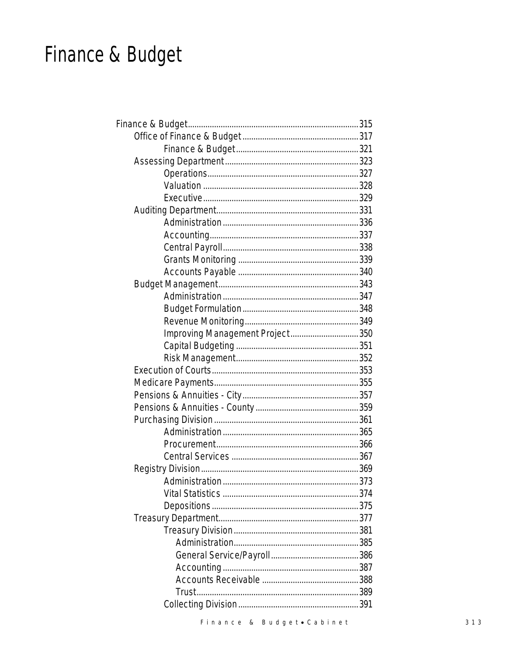# Finance & Budget

| Improving Management Project 350 |  |
|----------------------------------|--|
|                                  |  |
|                                  |  |
|                                  |  |
|                                  |  |
|                                  |  |
|                                  |  |
|                                  |  |
|                                  |  |
|                                  |  |
|                                  |  |
|                                  |  |
|                                  |  |
|                                  |  |
|                                  |  |
|                                  |  |
|                                  |  |
|                                  |  |
|                                  |  |
|                                  |  |
|                                  |  |
|                                  |  |
|                                  |  |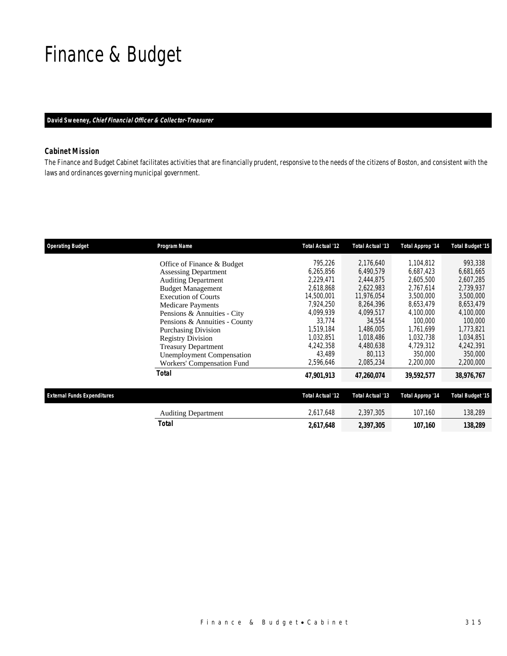## Finance & Budget

#### *David Sweeney, Chief Financial Officer & Collector-Treasurer*

### *Cabinet Mission*

The Finance and Budget Cabinet facilitates activities that are financially prudent, responsive to the needs of the citizens of Boston, and consistent with the laws and ordinances governing municipal government.

| <b>Operating Budget</b>            | Program Name                     | <b>Total Actual '12</b> | Total Actual '13 | Total Approp '14 | <b>Total Budget '15</b> |
|------------------------------------|----------------------------------|-------------------------|------------------|------------------|-------------------------|
|                                    | Office of Finance & Budget       | 795,226                 | 2,176,640        | 1,104,812        | 993,338                 |
|                                    | <b>Assessing Department</b>      | 6,265,856               | 6,490,579        | 6.687.423        | 6,681,665               |
|                                    | <b>Auditing Department</b>       | 2,229,471               | 2,444,875        | 2,605,500        | 2,607,285               |
|                                    | <b>Budget Management</b>         | 2,618,868               | 2,622,983        | 2,767,614        | 2,739,937               |
|                                    | <b>Execution of Courts</b>       | 14,500,001              | 11,976,054       | 3,500,000        | 3,500,000               |
|                                    | <b>Medicare Payments</b>         | 7,924,250               | 8,264,396        | 8,653,479        | 8,653,479               |
|                                    | Pensions & Annuities - City      | 4,099,939               | 4,099,517        | 4,100,000        | 4,100,000               |
|                                    | Pensions & Annuities - County    | 33.774                  | 34.554           | 100,000          | 100,000                 |
|                                    | <b>Purchasing Division</b>       | 1.519.184               | 1,486,005        | 1,761,699        | 1,773,821               |
|                                    | <b>Registry Division</b>         | 1,032,851               | 1,018,486        | 1,032,738        | 1,034,851               |
|                                    | <b>Treasury Department</b>       | 4,242,358               | 4,480,638        | 4,729,312        | 4,242,391               |
|                                    | <b>Unemployment Compensation</b> | 43,489                  | 80,113           | 350,000          | 350,000                 |
|                                    | Workers' Compensation Fund       | 2,596,646               | 2,085,234        | 2,200,000        | 2,200,000               |
|                                    | <b>Total</b>                     | 47,901,913              | 47,260,074       | 39,592,577       | 38,976,767              |
| <b>External Funds Expenditures</b> |                                  | Total Actual '12        | Total Actual '13 | Total Approp '14 | <b>Total Budget '15</b> |
|                                    | <b>Auditing Department</b>       | 2,617,648               | 2,397,305        | 107,160          | 138,289                 |
|                                    | Total                            | 2,617,648               | 2,397,305        | 107,160          | 138,289                 |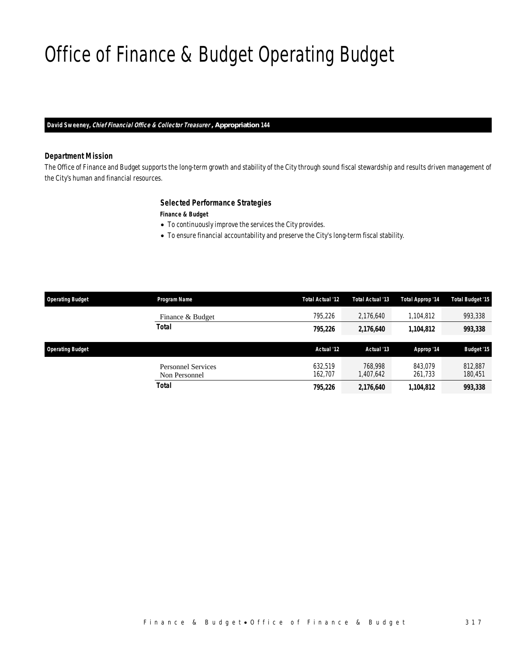# Office of Finance & Budget Operating Budget

*David Sweeney, Chief Financial Office & Collector Treasurer , Appropriation 144* 

#### *Department Mission*

The Office of Finance and Budget supports the long-term growth and stability of the City through sound fiscal stewardship and results driven management of the City's human and financial resources.

### *Selected Performance Strategies*

*Finance & Budget* 

- To continuously improve the services the City provides.
- To ensure financial accountability and preserve the City's long-term fiscal stability.

| <b>Operating Budget</b> | Program Name                               | Total Actual '12   | Total Actual '13     | Total Approp '14   | Total Budget '15   |
|-------------------------|--------------------------------------------|--------------------|----------------------|--------------------|--------------------|
|                         | Finance & Budget                           | 795,226            | 2,176,640            | 1,104,812          | 993,338            |
|                         | <b>Total</b>                               | 795,226            | 2,176,640            | 1,104,812          | 993,338            |
| <b>Operating Budget</b> |                                            | Actual '12         | Actual '13           | Approp '14         | Budget '15         |
|                         | <b>Personnel Services</b><br>Non Personnel | 632.519<br>162.707 | 768.998<br>1,407,642 | 843.079<br>261,733 | 812,887<br>180,451 |
|                         |                                            |                    |                      |                    |                    |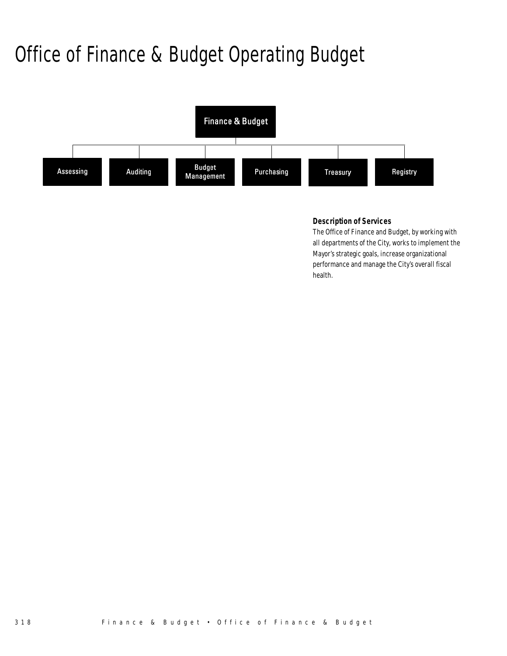# Office of Finance & Budget Operating Budget



### *Description of Services*

The Office of Finance and Budget, by working with all departments of the City, works to implement the Mayor's strategic goals, increase organizational performance and manage the City's overall fiscal health.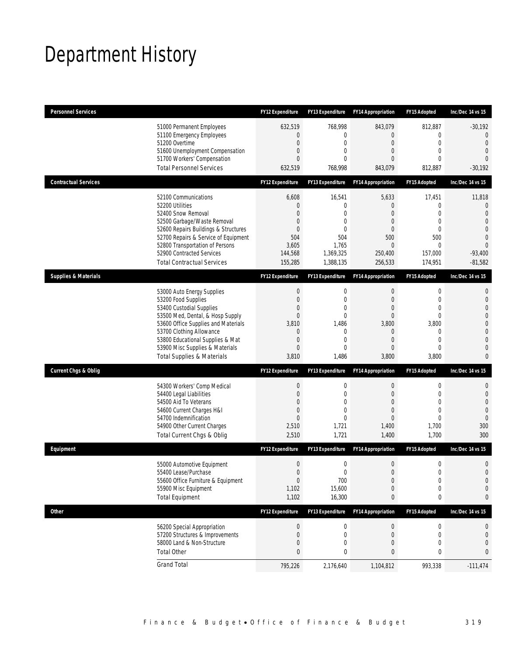# Department History

| <b>Personnel Services</b>       |                                                                                                                                                                                                                                                                                                      | <b>FY12 Expenditure</b>                                                                                             | <b>FY13 Expenditure</b>                                                                                        | <b>FY14 Appropriation</b>                                                     | FY15 Adopted                                                                                                         | Inc/Dec 14 vs 15                                                                                                                       |
|---------------------------------|------------------------------------------------------------------------------------------------------------------------------------------------------------------------------------------------------------------------------------------------------------------------------------------------------|---------------------------------------------------------------------------------------------------------------------|----------------------------------------------------------------------------------------------------------------|-------------------------------------------------------------------------------|----------------------------------------------------------------------------------------------------------------------|----------------------------------------------------------------------------------------------------------------------------------------|
|                                 | 51000 Permanent Employees<br>51100 Emergency Employees<br>51200 Overtime<br>51600 Unemployment Compensation<br>51700 Workers' Compensation<br><b>Total Personnel Services</b>                                                                                                                        | 632,519<br>$\mathbf{0}$<br>$\mathbf 0$<br>0<br>$\Omega$<br>632,519                                                  | 768,998<br>0<br>$\mathbf 0$<br>$\mathbf{0}$<br>$\Omega$<br>768,998                                             | 843,079<br>0<br>0<br>0<br>0<br>843,079                                        | 812,887<br>$\mathbf 0$<br>$\mathbf 0$<br>$\mathbf{0}$<br>$\Omega$<br>812,887                                         | $-30,192$<br>$\overline{0}$<br>$\overline{0}$<br>$\overline{0}$<br>$\Omega$<br>$-30,192$                                               |
| <b>Contractual Services</b>     |                                                                                                                                                                                                                                                                                                      | FY12 Expenditure                                                                                                    | <b>FY13 Expenditure</b>                                                                                        | <b>FY14 Appropriation</b>                                                     | FY15 Adopted                                                                                                         | Inc/Dec 14 vs 15                                                                                                                       |
|                                 | 52100 Communications<br>52200 Utilities<br>52400 Snow Removal<br>52500 Garbage/Waste Removal<br>52600 Repairs Buildings & Structures<br>52700 Repairs & Service of Equipment<br>52800 Transportation of Persons<br>52900 Contracted Services<br><b>Total Contractual Services</b>                    | 6,608<br>0<br>$\Omega$<br>$\overline{0}$<br>$\mathbf{0}$<br>504<br>3,605<br>144,568<br>155,285                      | 16,541<br>$\mathbf 0$<br>$\Omega$<br>$\mathbf 0$<br>$\mathbf 0$<br>504<br>1,765<br>1,369,325<br>1,388,135      | 5,633<br>$\theta$<br>0<br>0<br>0<br>500<br>$\mathbf{0}$<br>250,400<br>256,533 | 17,451<br>$\mathbf 0$<br>$\mathbf{0}$<br>$\mathbf{0}$<br>$\mathbf{0}$<br>500<br>$\overline{0}$<br>157,000<br>174,951 | 11,818<br>$\theta$<br>$\overline{0}$<br>$\overline{0}$<br>$\overline{0}$<br>$\Omega$<br>$\overline{0}$<br>$-93,400$<br>$-81,582$       |
| <b>Supplies &amp; Materials</b> |                                                                                                                                                                                                                                                                                                      | <b>FY12 Expenditure</b>                                                                                             | FY13 Expenditure                                                                                               | <b>FY14 Appropriation</b>                                                     | FY15 Adopted                                                                                                         | Inc/Dec 14 vs 15                                                                                                                       |
|                                 | 53000 Auto Energy Supplies<br>53200 Food Supplies<br>53400 Custodial Supplies<br>53500 Med, Dental, & Hosp Supply<br>53600 Office Supplies and Materials<br>53700 Clothing Allowance<br>53800 Educational Supplies & Mat<br>53900 Misc Supplies & Materials<br><b>Total Supplies &amp; Materials</b> | $\boldsymbol{0}$<br>$\boldsymbol{0}$<br>0<br>$\overline{0}$<br>3,810<br>0<br>$\mathbf 0$<br>$\overline{0}$<br>3,810 | 0<br>$\mathbf{0}$<br>$\mathbf 0$<br>$\mathbf{0}$<br>1,486<br>$\mathbf{0}$<br>$\mathbf{0}$<br>$\Omega$<br>1,486 | 0<br>$\mathbf{0}$<br>0<br>0<br>3,800<br>$\mathbf 0$<br>0<br>0<br>3,800        | $\mathbf 0$<br>$\mathbf{0}$<br>$\mathbf{0}$<br>$\overline{0}$<br>3,800<br>0<br>$\mathbf{0}$<br>$\mathbf{0}$<br>3,800 | 0<br>$\mathbf{0}$<br>$\overline{0}$<br>$\overline{0}$<br>$\mathbf 0$<br>$\overline{0}$<br>$\overline{0}$<br>$\overline{0}$<br>$\Omega$ |
| <b>Current Chgs &amp; Oblig</b> |                                                                                                                                                                                                                                                                                                      | <b>FY12 Expenditure</b>                                                                                             | FY13 Expenditure                                                                                               | <b>FY14 Appropriation</b>                                                     | FY15 Adopted                                                                                                         | Inc/Dec 14 vs 15                                                                                                                       |
|                                 | 54300 Workers' Comp Medical<br>54400 Legal Liabilities<br>54500 Aid To Veterans<br>54600 Current Charges H&I<br>54700 Indemnification<br>54900 Other Current Charges<br>Total Current Chgs & Oblig                                                                                                   | $\boldsymbol{0}$<br>$\boldsymbol{0}$<br>0<br>0<br>$\overline{0}$<br>2,510<br>2,510                                  | 0<br>$\mathbf 0$<br>$\mathbf{0}$<br>$\mathbf{0}$<br>$\mathbf{0}$<br>1,721<br>1,721                             | 0<br>$\overline{0}$<br>0<br>0<br>0<br>1,400<br>1,400                          | 0<br>$\mathbf 0$<br>$\mathbf{0}$<br>$\mathbf{0}$<br>$\mathbf{0}$<br>1,700<br>1,700                                   | 0<br>$\mathbf 0$<br>$\overline{0}$<br>$\overline{0}$<br>$\mathbf{0}$<br>300<br>300                                                     |
| Equipment                       |                                                                                                                                                                                                                                                                                                      | <b>FY12 Expenditure</b>                                                                                             | <b>FY13 Expenditure</b>                                                                                        | <b>FY14 Appropriation</b>                                                     | FY15 Adopted                                                                                                         | Inc/Dec 14 vs 15                                                                                                                       |
|                                 | 55000 Automotive Equipment<br>55400 Lease/Purchase<br>55600 Office Furniture & Equipment<br>55900 Misc Equipment<br><b>Total Equipment</b>                                                                                                                                                           | $\boldsymbol{0}$<br>$\Omega$<br>$\boldsymbol{0}$<br>1,102<br>1,102                                                  | 0<br>$\mathbf 0$<br>700<br>15,600<br>16,300                                                                    | 0<br>$\theta$<br>$\boldsymbol{0}$<br>0<br>0                                   | $\mathbf 0$<br>$\mathbf 0$<br>$\boldsymbol{0}$<br>$\mathbf 0$<br>0                                                   | $\mathbf 0$<br>$\overline{0}$<br>$\mathbf 0$<br>$\mathbf 0$<br>0                                                                       |
| <b>Other</b>                    |                                                                                                                                                                                                                                                                                                      | FY12 Expenditure                                                                                                    | FY13 Expenditure                                                                                               | <b>FY14 Appropriation</b>                                                     | FY15 Adopted                                                                                                         | Inc/Dec 14 vs 15                                                                                                                       |
| <b>Total Other</b>              | 56200 Special Appropriation<br>57200 Structures & Improvements<br>58000 Land & Non-Structure                                                                                                                                                                                                         | $\boldsymbol{0}$<br>0<br>0<br>0                                                                                     | 0<br>0<br>$\mathbf 0$<br>0                                                                                     | $\pmb{0}$<br>$\mathbf 0$<br>0<br>0                                            | 0<br>0<br>$\mathbf 0$<br>0                                                                                           | 0<br>$\mathbf 0$<br>0<br>0                                                                                                             |
| <b>Grand Total</b>              |                                                                                                                                                                                                                                                                                                      | 795,226                                                                                                             | 2,176,640                                                                                                      | 1,104,812                                                                     | 993,338                                                                                                              | $-111,474$                                                                                                                             |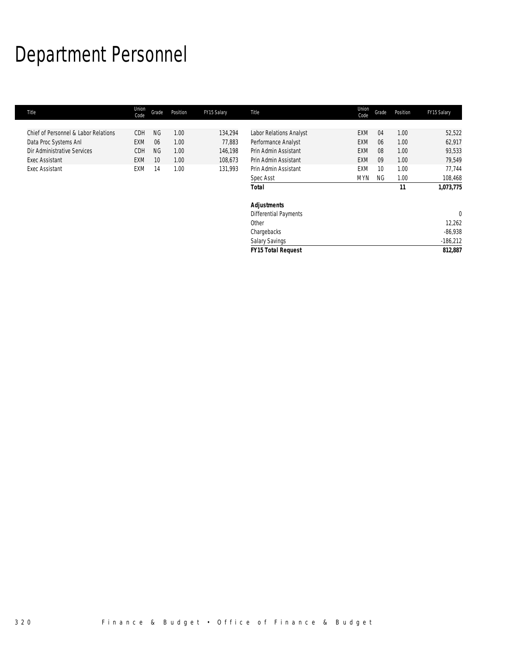# Department Personnel

| Title                                | Union<br>Code | Grade     | Position | FY15 Salary | Title                        | Union<br>Code | Grade | Position | FY15 Salary |
|--------------------------------------|---------------|-----------|----------|-------------|------------------------------|---------------|-------|----------|-------------|
|                                      |               |           |          |             |                              |               |       |          |             |
| Chief of Personnel & Labor Relations | CDH           | <b>NG</b> | 1.00     | 134,294     | Labor Relations Analyst      | <b>EXM</b>    | 04    | 1.00     | 52,522      |
| Data Proc Systems Anl                | <b>EXM</b>    | 06        | 1.00     | 77,883      | Performance Analyst          | <b>EXM</b>    | 06    | 1.00     | 62,917      |
| Dir Administrative Services          | CDH           | <b>NG</b> | 1.00     | 146,198     | Prin Admin Assistant         | <b>EXM</b>    | 08    | 1.00     | 93,533      |
| Exec Assistant                       | EXM           | 10        | 1.00     | 108,673     | Prin Admin Assistant         | <b>EXM</b>    | 09    | 1.00     | 79,549      |
| <b>Exec Assistant</b>                | EXM           | 14        | 1.00     | 131,993     | Prin Admin Assistant         | <b>EXM</b>    | 10    | 1.00     | 77,744      |
|                                      |               |           |          |             | Spec Asst                    | <b>MYN</b>    | NG.   | 1.00     | 108,468     |
|                                      |               |           |          |             | <b>Total</b>                 |               |       | 11       | 1,073,775   |
|                                      |               |           |          |             | <b>Adjustments</b>           |               |       |          |             |
|                                      |               |           |          |             | <b>Differential Payments</b> |               |       |          | $\Omega$    |
|                                      |               |           |          |             | Other                        |               |       |          | 12,262      |
|                                      |               |           |          |             | Chargebacks                  |               |       |          | $-86,938$   |
|                                      |               |           |          |             | Salary Savings               |               |       |          | $-186,212$  |
|                                      |               |           |          |             | <b>FY15 Total Request</b>    |               |       |          | 812.887     |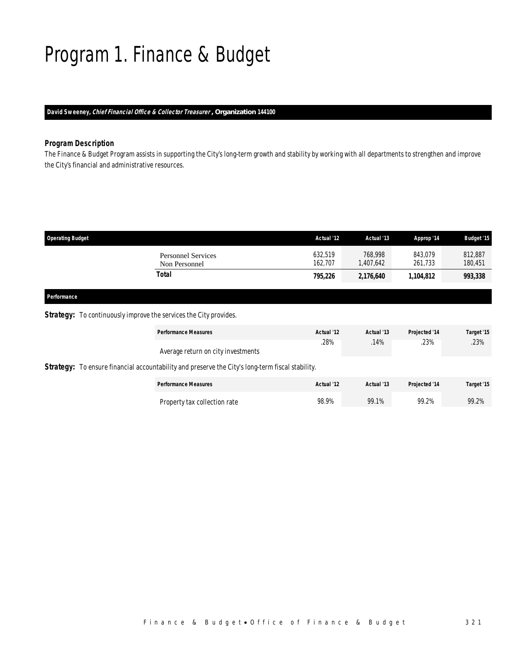# Program 1. Finance & Budget

*David Sweeney, Chief Financial Office & Collector Treasurer , Organization 144100* 

### *Program Description*

The Finance & Budget Program assists in supporting the City's long-term growth and stability by working with all departments to strengthen and improve the City's financial and administrative resources.

| <b>Operating Budget</b>                    | Actual '12         | Actual '13          | Approp '14         | <b>Budget '15</b>  |
|--------------------------------------------|--------------------|---------------------|--------------------|--------------------|
| <b>Personnel Services</b><br>Non Personnel | 632.519<br>162,707 | 768.998<br>,407,642 | 843.079<br>261,733 | 812,887<br>180,451 |
| Total                                      | 795.226            | 2,176,640           | 1,104,812          | 993,338            |
|                                            |                    |                     |                    |                    |

### *Performance*

### **Strategy:** To continuously improve the services the City provides.

|                                                                                                         | <b>Performance Measures</b>        | Actual '12 | Actual '13 | Projected '14 | Target '15 |  |  |  |
|---------------------------------------------------------------------------------------------------------|------------------------------------|------------|------------|---------------|------------|--|--|--|
|                                                                                                         | Average return on city investments | .28%       | .14%       | .23%          | .23%       |  |  |  |
| <b>Strategy:</b> To ensure financial accountability and preserve the City's long-term fiscal stability. |                                    |            |            |               |            |  |  |  |
|                                                                                                         | <b>Performance Measures</b>        | Actual '12 | Actual '13 | Projected '14 | Target '15 |  |  |  |
|                                                                                                         | Property tax collection rate       | 98.9%      | 99.1%      | 99.2%         | 99.2%      |  |  |  |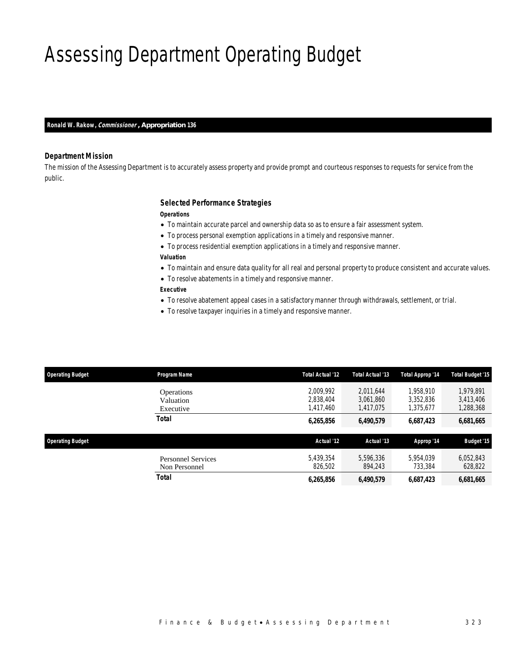# Assessing Department Operating Budget

*Ronald W. Rakow, Commissioner , Appropriation 136* 

#### *Department Mission*

The mission of the Assessing Department is to accurately assess property and provide prompt and courteous responses to requests for service from the public.

#### *Selected Performance Strategies*

*Operations* 

- To maintain accurate parcel and ownership data so as to ensure a fair assessment system.
- To process personal exemption applications in a timely and responsive manner.
- To process residential exemption applications in a timely and responsive manner.
- *Valuation*
- To maintain and ensure data quality for all real and personal property to produce consistent and accurate values.
- To resolve abatements in a timely and responsive manner.

### *Executive*

- To resolve abatement appeal cases in a satisfactory manner through withdrawals, settlement, or trial.
- To resolve taxpayer inquiries in a timely and responsive manner.

| <b>Operating Budget</b> | Program Name                                | Total Actual '12                    | Total Actual '13                    | Total Approp '14                    | <b>Total Budget '15</b>             |
|-------------------------|---------------------------------------------|-------------------------------------|-------------------------------------|-------------------------------------|-------------------------------------|
|                         | <b>Operations</b><br>Valuation<br>Executive | 2.009.992<br>2.838.404<br>1,417,460 | 2.011.644<br>3.061.860<br>1,417,075 | 1,958,910<br>3,352,836<br>1,375,677 | 1.979.891<br>3,413,406<br>1,288,368 |
|                         | Total                                       | 6,265,856                           | 6,490,579                           | 6,687,423                           | 6,681,665                           |
| <b>Operating Budget</b> |                                             | Actual '12                          | Actual '13                          | Approp '14                          | <b>Budget '15</b>                   |
|                         | <b>Personnel Services</b><br>Non Personnel  | 5.439.354<br>826.502                | 5.596.336<br>894.243                | 5.954.039<br>733,384                | 6,052,843<br>628,822                |
|                         | Total                                       | 6,265,856                           | 6,490,579                           | 6,687,423                           | 6,681,665                           |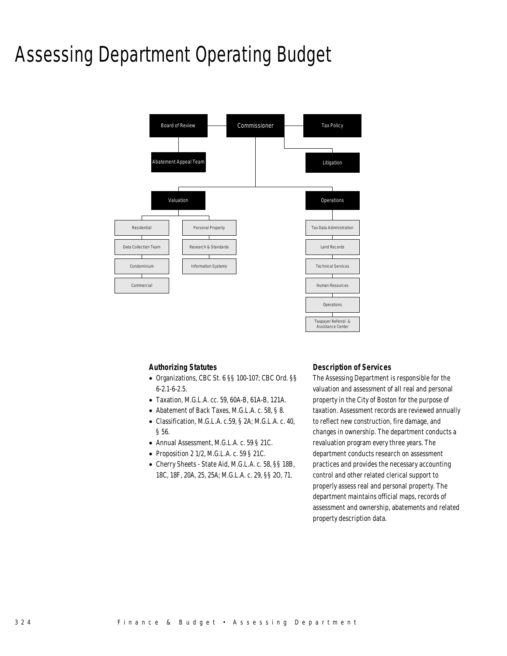# Assessing Department Operating Budget



### *Authorizing Statutes*

- Organizations, CBC St. 6 §§ 100-107; CBC Ord. §§ 6-2.1-6-2.5.
- Taxation, M.G.L.A. cc. 59, 60A-B, 61A-B, 121A.
- Abatement of Back Taxes, M.G.L.A. c. 58, § 8.
- Classification, M.G.L.A. c.59, § 2A; M.G.L.A. c. 40, § 56.
- Annual Assessment, M.G.L.A. c. 59 § 21C.
- Proposition 2 1/2, M.G.L.A. c. 59 § 21C.
- Cherry Sheets State Aid, M.G.L.A. c. 58, §§ 18B, 18C, 18F, 20A, 25, 25A; M.G.L.A. c. 29, §§ 2O, 71.

#### *Description of Services*

The Assessing Department is responsible for the valuation and assessment of all real and personal property in the City of Boston for the purpose of taxation. Assessment records are reviewed annually to reflect new construction, fire damage, and changes in ownership. The department conducts a revaluation program every three years. The department conducts research on assessment practices and provides the necessary accounting control and other related clerical support to properly assess real and personal property. The department maintains official maps, records of assessment and ownership, abatements and related property description data.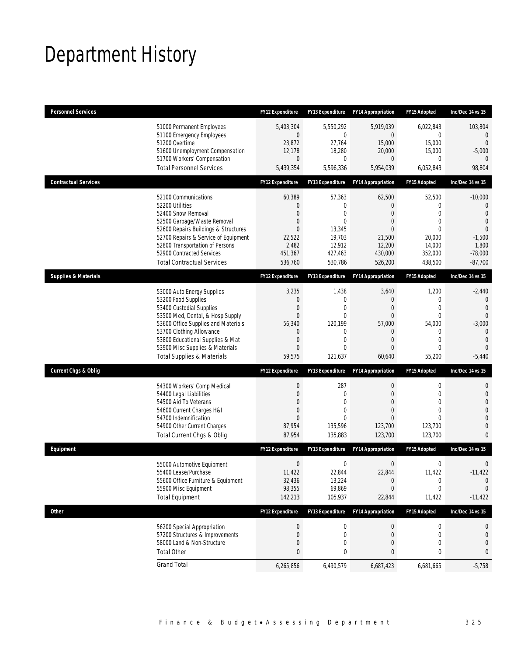# Department History

| <b>Personnel Services</b>       |                                                                                                                                                                                                                                                                                                      | <b>FY12 Expenditure</b>                                             | <b>FY13 Expenditure</b>                                                                                          | <b>FY14 Appropriation</b>                                                      | FY15 Adopted                                                                                          | Inc/Dec 14 vs 15                                                                                                             |
|---------------------------------|------------------------------------------------------------------------------------------------------------------------------------------------------------------------------------------------------------------------------------------------------------------------------------------------------|---------------------------------------------------------------------|------------------------------------------------------------------------------------------------------------------|--------------------------------------------------------------------------------|-------------------------------------------------------------------------------------------------------|------------------------------------------------------------------------------------------------------------------------------|
|                                 | 51000 Permanent Employees<br>51100 Emergency Employees<br>51200 Overtime<br>51600 Unemployment Compensation<br>51700 Workers' Compensation<br><b>Total Personnel Services</b>                                                                                                                        | 5,403,304<br>0<br>23,872<br>12,178<br>0<br>5,439,354                | 5,550,292<br>0<br>27,764<br>18,280<br>0<br>5,596,336                                                             | 5,919,039<br>0<br>15,000<br>20,000<br>0<br>5,954,039                           | 6,022,843<br>0<br>15,000<br>15,000<br>$\mathbf 0$<br>6,052,843                                        | 103,804<br>$\mathbf{0}$<br>$\overline{0}$<br>$-5,000$<br>98,804                                                              |
|                                 |                                                                                                                                                                                                                                                                                                      |                                                                     |                                                                                                                  |                                                                                |                                                                                                       |                                                                                                                              |
| <b>Contractual Services</b>     |                                                                                                                                                                                                                                                                                                      | <b>FY12 Expenditure</b>                                             | FY13 Expenditure                                                                                                 | <b>FY14 Appropriation</b>                                                      | FY15 Adopted                                                                                          | Inc/Dec 14 vs 15                                                                                                             |
|                                 | 52100 Communications<br>52200 Utilities<br>52400 Snow Removal<br>52500 Garbage/Waste Removal<br>52600 Repairs Buildings & Structures<br>52700 Repairs & Service of Equipment<br>52800 Transportation of Persons<br>52900 Contracted Services<br><b>Total Contractual Services</b>                    | 60,389<br>0<br>0<br>0<br>0<br>22,522<br>2,482<br>451,367<br>536,760 | 57,363<br>0<br>$\overline{0}$<br>$\overline{0}$<br>13,345<br>19,703<br>12,912<br>427,463<br>530,786              | 62,500<br>0<br>0<br>0<br>0<br>21,500<br>12,200<br>430,000<br>526,200           | 52,500<br>0<br>$\Omega$<br>$\mathbf{0}$<br>$\Omega$<br>20,000<br>14,000<br>352,000<br>438,500         | $-10,000$<br>$\mathbf{0}$<br>$\mathbf{0}$<br>$\overline{0}$<br>$\overline{0}$<br>$-1,500$<br>1,800<br>$-78,000$<br>$-87,700$ |
| <b>Supplies &amp; Materials</b> |                                                                                                                                                                                                                                                                                                      | <b>FY12 Expenditure</b>                                             | FY13 Expenditure                                                                                                 | <b>FY14 Appropriation</b>                                                      | FY15 Adopted                                                                                          | Inc/Dec 14 vs 15                                                                                                             |
|                                 | 53000 Auto Energy Supplies<br>53200 Food Supplies<br>53400 Custodial Supplies<br>53500 Med, Dental, & Hosp Supply<br>53600 Office Supplies and Materials<br>53700 Clothing Allowance<br>53800 Educational Supplies & Mat<br>53900 Misc Supplies & Materials<br><b>Total Supplies &amp; Materials</b> | 3,235<br>0<br>0<br>0<br>56,340<br>0<br>0<br>0<br>59,575             | 1,438<br>$\mathbf{0}$<br>0<br>$\overline{0}$<br>120,199<br>$\mathbf{0}$<br>$\overline{0}$<br>$\Omega$<br>121,637 | 3,640<br>$\mathbf 0$<br>0<br>0<br>57,000<br>0<br>$\overline{0}$<br>0<br>60,640 | 1,200<br>0<br>$\mathbf{0}$<br>$\overline{0}$<br>54,000<br>0<br>$\mathbf{0}$<br>$\mathbf{0}$<br>55,200 | $-2,440$<br>$\mathbf 0$<br>$\mathbf{0}$<br>$\Omega$<br>$-3,000$<br>$\mathbf{0}$<br>$\overline{0}$<br>$\Omega$<br>$-5,440$    |
| <b>Current Chgs &amp; Oblig</b> |                                                                                                                                                                                                                                                                                                      | <b>FY12 Expenditure</b>                                             | FY13 Expenditure                                                                                                 | <b>FY14 Appropriation</b>                                                      | <b>FY15 Adopted</b>                                                                                   | Inc/Dec 14 vs 15                                                                                                             |
|                                 | 54300 Workers' Comp Medical<br>54400 Legal Liabilities<br>54500 Aid To Veterans<br>54600 Current Charges H&I<br>54700 Indemnification<br>54900 Other Current Charges<br>Total Current Chgs & Oblig                                                                                                   | 0<br>0<br>0<br>0<br>$\Omega$<br>87,954<br>87,954                    | 287<br>$\mathbf{0}$<br>$\mathbf{0}$<br>0<br>$\Omega$<br>135,596<br>135,883                                       | $\mathbf 0$<br>$\overline{0}$<br>0<br>0<br>0<br>123,700<br>123,700             | 0<br>$\mathbf{0}$<br>$\mathbf{0}$<br>$\mathbf{0}$<br>$\Omega$<br>123,700<br>123,700                   | 0<br>$\mathbf 0$<br>$\overline{0}$<br>$\Omega$<br>$\mathbf{0}$<br>$\overline{0}$<br>$\Omega$                                 |
| Equipment                       |                                                                                                                                                                                                                                                                                                      | <b>FY12 Expenditure</b>                                             | <b>FY13 Expenditure</b>                                                                                          | <b>FY14 Appropriation</b>                                                      | FY15 Adopted                                                                                          | Inc/Dec 14 vs 15                                                                                                             |
|                                 | 55000 Automotive Equipment<br>55400 Lease/Purchase<br>55600 Office Furniture & Equipment<br>55900 Misc Equipment<br><b>Total Equipment</b>                                                                                                                                                           | $\mathbf 0$<br>11,422<br>32,436<br>98,355<br>142,213                | $\mathbf 0$<br>22,844<br>13,224<br>69,869<br>105,937                                                             | $\boldsymbol{0}$<br>22,844<br>$\theta$<br>$\mathbf 0$<br>22,844                | $\mathbf 0$<br>11,422<br>0<br>$\mathbf{0}$<br>11,422                                                  | $\mathbf 0$<br>$-11,422$<br>$\theta$<br>0<br>$-11,422$                                                                       |
| <b>Other</b>                    |                                                                                                                                                                                                                                                                                                      | <b>FY12 Expenditure</b>                                             | FY13 Expenditure                                                                                                 | <b>FY14 Appropriation</b>                                                      | FY15 Adopted                                                                                          | Inc/Dec 14 vs 15                                                                                                             |
|                                 | 56200 Special Appropriation<br>57200 Structures & Improvements<br>58000 Land & Non-Structure<br><b>Total Other</b>                                                                                                                                                                                   | 0<br>0<br>0<br>0                                                    | $\boldsymbol{0}$<br>$\mathbf 0$<br>0<br>0                                                                        | $\bf{0}$<br>$\mathbf 0$<br>0<br>0                                              | 0<br>0<br>$\mathbf 0$<br>0                                                                            | 0<br>0<br>0<br>0                                                                                                             |
|                                 | <b>Grand Total</b>                                                                                                                                                                                                                                                                                   | 6,265,856                                                           | 6,490,579                                                                                                        | 6,687,423                                                                      | 6,681,665                                                                                             | $-5,758$                                                                                                                     |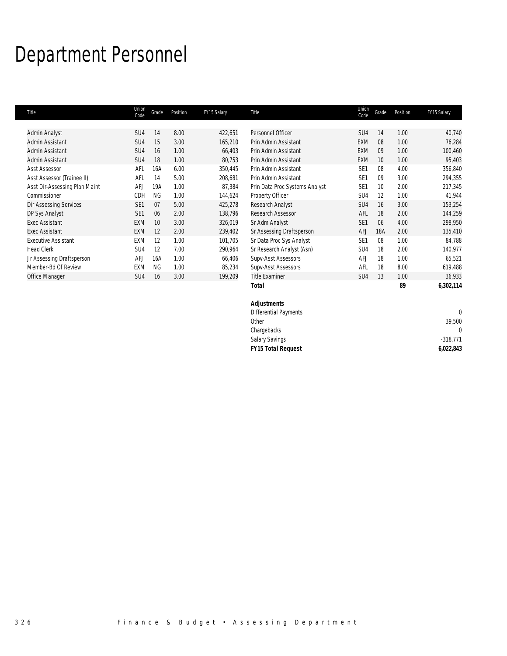# Department Personnel

| Title                         | Union<br>Code   | Grade           | Position | FY15 Salary | Title                          | Union<br>Code   | Grade | Position | FY15 Salary |
|-------------------------------|-----------------|-----------------|----------|-------------|--------------------------------|-----------------|-------|----------|-------------|
|                               |                 |                 |          |             |                                |                 |       |          |             |
| Admin Analyst                 | SU4             | 14              | 8.00     | 422,651     | Personnel Officer              | SU <sub>4</sub> | 14    | 1.00     | 40,740      |
| Admin Assistant               | SU4             | 15              | 3.00     | 165,210     | Prin Admin Assistant           | <b>EXM</b>      | 08    | 1.00     | 76,284      |
| Admin Assistant               | SU4             | 16              | 1.00     | 66,403      | Prin Admin Assistant           | <b>EXM</b>      | 09    | 1.00     | 100,460     |
| Admin Assistant               | SU4             | 18              | 1.00     | 80,753      | Prin Admin Assistant           | EXM             | 10    | 1.00     | 95,403      |
| <b>Asst Assessor</b>          | AFL             | 16A             | 6.00     | 350,445     | Prin Admin Assistant           | SE <sub>1</sub> | 08    | 4.00     | 356,840     |
| Asst Assessor (Trainee II)    | AFL             | 14              | 5.00     | 208,681     | Prin Admin Assistant           | SE <sub>1</sub> | 09    | 3.00     | 294,355     |
| Asst Dir-Assessing Plan Maint | AFJ             | 19A             | 1.00     | 87,384      | Prin Data Proc Systems Analyst | SE <sub>1</sub> | 10    | 2.00     | 217,345     |
| Commissioner                  | CDH             | <b>NG</b>       | 1.00     | 144,624     | Property Officer               | SU4             | 12    | 1.00     | 41,944      |
| <b>Dir Assessing Services</b> | SE <sub>1</sub> | 07              | 5.00     | 425,278     | Research Analyst               | SU <sub>4</sub> | 16    | 3.00     | 153,254     |
| DP Sys Analyst                | SE <sub>1</sub> | 06              | 2.00     | 138,796     | Research Assessor              | AFL             | 18    | 2.00     | 144,259     |
| <b>Exec Assistant</b>         | <b>EXM</b>      | 10 <sup>°</sup> | 3.00     | 326,019     | Sr Adm Analyst                 | SE <sub>1</sub> | 06    | 4.00     | 298,950     |
| <b>Exec Assistant</b>         | <b>EXM</b>      | 12              | 2.00     | 239,402     | Sr Assessing Draftsperson      | <b>AFJ</b>      | 18A   | 2.00     | 135,410     |
| <b>Executive Assistant</b>    | EXM             | 12              | 1.00     | 101,705     | Sr Data Proc Sys Analyst       | SE <sub>1</sub> | 08    | 1.00     | 84,788      |
| <b>Head Clerk</b>             | SU4             | 12              | 7.00     | 290,964     | Sr Research Analyst (Asn)      | SU4             | 18    | 2.00     | 140,977     |
| Jr Assessing Draftsperson     | AFJ             | 16A             | 1.00     | 66,406      | Supv-Asst Assessors            | AFJ             | 18    | 1.00     | 65,521      |
| Member-Bd Of Review           | EXM             | <b>NG</b>       | 1.00     | 85,234      | Supv-Asst Assessors            | AFL             | 18    | 8.00     | 619,488     |
| Office Manager                | SU4             | 16              | 3.00     | 199,209     | <b>Title Examiner</b>          | SU <sub>4</sub> | 13    | 1.00     | 36,933      |
|                               |                 |                 |          |             | <b>Total</b>                   |                 |       | 89       | 6,302,114   |
|                               |                 |                 |          |             | <b>Adjustments</b>             |                 |       |          |             |

| Title Examiner               | SU4 | 13 | 1.00 | 36,933     |
|------------------------------|-----|----|------|------------|
| <b>Total</b>                 |     |    | 89   | 6,302,114  |
| <b>Adjustments</b>           |     |    |      |            |
| <b>Differential Payments</b> |     |    |      | 0          |
| Other                        |     |    |      | 39,500     |
| Chargebacks                  |     |    |      | 0          |
| <b>Salary Savings</b>        |     |    |      | $-318,771$ |
| <b>FY15 Total Request</b>    |     |    |      | 6,022,843  |
|                              |     |    |      |            |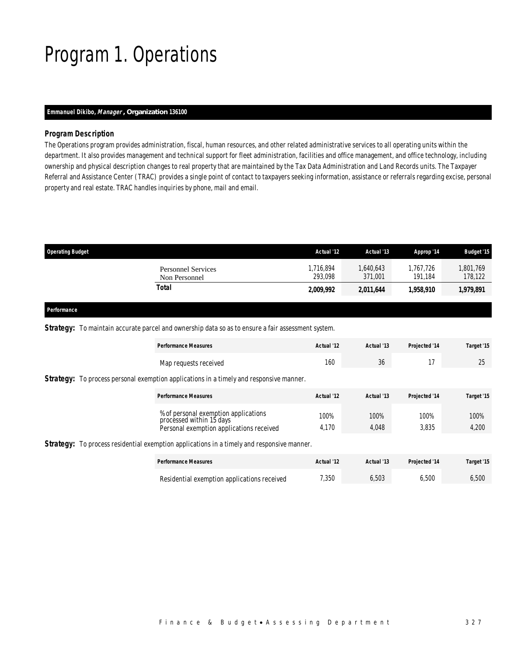# Program 1. Operations

#### *Emmanuel Dikibo, Manager , Organization 136100*

#### *Program Description*

The Operations program provides administration, fiscal, human resources, and other related administrative services to all operating units within the department. It also provides management and technical support for fleet administration, facilities and office management, and office technology, including ownership and physical description changes to real property that are maintained by the Tax Data Administration and Land Records units. The Taxpayer Referral and Assistance Center (TRAC) provides a single point of contact to taxpayers seeking information, assistance or referrals regarding excise, personal property and real estate. TRAC handles inquiries by phone, mail and email.

| <b>Operating Budget</b>                    | Actual '12           | Actual '13          | Approp '14           | <b>Budget '15</b>    |
|--------------------------------------------|----------------------|---------------------|----------------------|----------------------|
| <b>Personnel Services</b><br>Non Personnel | 1.716.894<br>293.098 | .640.643<br>371.001 | 1.767.726<br>191.184 | 1,801,769<br>178,122 |
| Total                                      | 2,009,992            | 2,011,644           | 1,958,910            | 1,979,891            |

*Performance* 

Strategy: To maintain accurate parcel and ownership data so as to ensure a fair assessment system.

| <b>Performance Measures</b>                                                                    | Actual '12 | Actual '13 | Projected '14 | Target '15 |
|------------------------------------------------------------------------------------------------|------------|------------|---------------|------------|
| Map requests received                                                                          | 160        | 36         | 17            | 25         |
| <b>Strategy:</b> To process personal exemption applications in a timely and responsive manner. |            |            |               |            |
| <b>Performance Measures</b>                                                                    | Actual '12 | Actual '13 | Projected '14 | Target '15 |
| % of personal exemption applications<br>processed within 15 days                               | 100%       | 100%       | 100%          | 100%       |
| Personal exemption applications received                                                       | 4,170      | 4,048      | 3,835         | 4,200      |
|                                                                                                |            |            |               |            |

Strategy: To process residential exemption applications in a timely and responsive manner.

| <b>Performance Measures</b>                 | Actual '12 | Actual '13 | <b>Projected '14</b> | Target '15 |
|---------------------------------------------|------------|------------|----------------------|------------|
| Residential exemption applications received | 7,350      | 5.503      | 5.500                | 5.500      |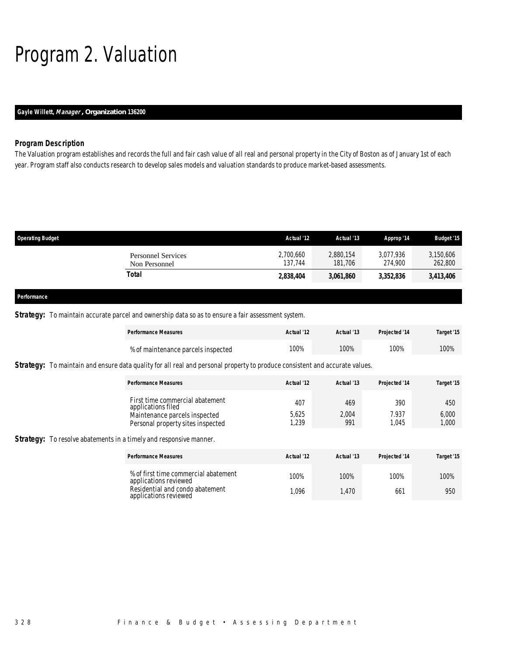# Program 2. Valuation

### *Gayle Willett, Manager , Organization 136200*

### *Program Description*

The Valuation program establishes and records the full and fair cash value of all real and personal property in the City of Boston as of January 1st of each year. Program staff also conducts research to develop sales models and valuation standards to produce market-based assessments.

| <b>Operating Budget</b>                    | Actual '12           | Actual '13           | Approp '14           | <b>Budget '15</b>    |
|--------------------------------------------|----------------------|----------------------|----------------------|----------------------|
| <b>Personnel Services</b><br>Non Personnel | 2,700,660<br>137,744 | 2,880,154<br>181,706 | 3.077.936<br>274.900 | 3,150,606<br>262,800 |
| Total                                      | 2,838,404            | 3,061,860            | 3,352,836            | 3,413,406            |
| Performance                                |                      |                      |                      |                      |

### **Strategy:** To maintain accurate parcel and ownership data so as to ensure a fair assessment system.

| <b>Performance Measures</b>        | Actual '12 | Actual '13 | Projected '14 | Target '15 |
|------------------------------------|------------|------------|---------------|------------|
| % of maintenance parcels inspected | 100%       | 100%       | 100%          | 100%       |

### **Strategy:** To maintain and ensure data quality for all real and personal property to produce consistent and accurate values.

| <b>Performance Measures</b>                                        | Actual '12   | Actual '13   | Projected '14  | Target '15     |
|--------------------------------------------------------------------|--------------|--------------|----------------|----------------|
| First time commercial abatement<br>applications filed              | 407          | 469          | 390            | 450            |
| Maintenance parcels inspected<br>Personal property sites inspected | 5,625<br>239 | 2,004<br>991 | 7.937<br>1.045 | 6,000<br>1,000 |

#### **Strategy:** To resolve abatements in a timely and responsive manner.

| <b>Performance Measures</b>                                   | Actual '12 | Actual '13 | Projected '14 | Target '15 |
|---------------------------------------------------------------|------------|------------|---------------|------------|
| % of first time commercial abatement<br>applications reviewed | 100%       | 100%       | 100%          | 100%       |
| Residential and condo abatement<br>applications reviewed      | 1.096      | .470       | 661           | 950        |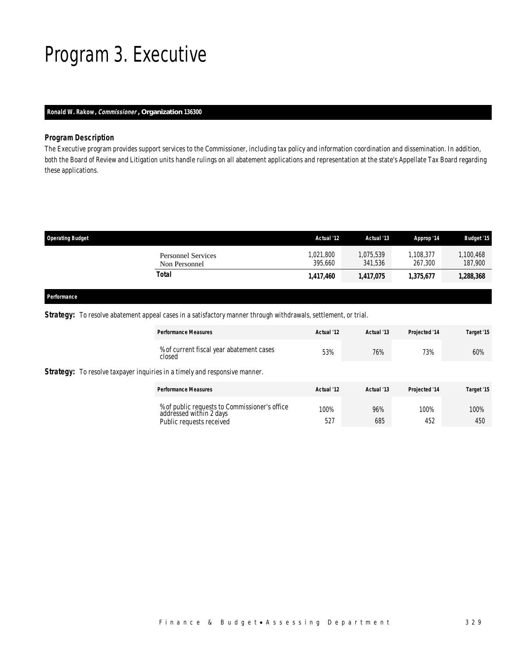# Program 3. Executive

### *Ronald W. Rakow, Commissioner , Organization 136300*

#### *Program Description*

The Executive program provides support services to the Commissioner, including tax policy and information coordination and dissemination. In addition, both the Board of Review and Litigation units handle rulings on all abatement applications and representation at the state's Appellate Tax Board regarding these applications.

| <b>Operating Budget</b>             | Actual '12           | Actual '13           | Approp '14           | <b>Budget '15</b>    |
|-------------------------------------|----------------------|----------------------|----------------------|----------------------|
| Personnel Services<br>Non Personnel | 1,021,800<br>395.660 | 1.075.539<br>341.536 | 1.108.377<br>267.300 | 1,100,468<br>187,900 |
| Total                               | 1,417,460            | 1,417,075            | 1.375.677            | 1,288,368            |
|                                     |                      |                      |                      |                      |

#### *Performance*

**Strategy: To** 

*Strategy:* To resolve abatement appeal cases in a satisfactory manner through withdrawals, settlement, or trial.

| <b>Performance Measures</b>                                                                          | Actual '12  | Actual '13 | Projected '14 | Target '15  |
|------------------------------------------------------------------------------------------------------|-------------|------------|---------------|-------------|
| % of current fiscal year abatement cases<br>closed                                                   | 53%         | 76%        | 73%           | 60%         |
| <b>Strategy:</b> To resolve taxpayer inquiries in a timely and responsive manner.                    |             |            |               |             |
| <b>Performance Measures</b>                                                                          | Actual '12  | Actual '13 | Projected '14 | Target '15  |
| % of public requests to Commissioner's office<br>addressed within 2 days<br>Public requests received | 100%<br>527 | 96%<br>685 | 100%<br>452   | 100%<br>450 |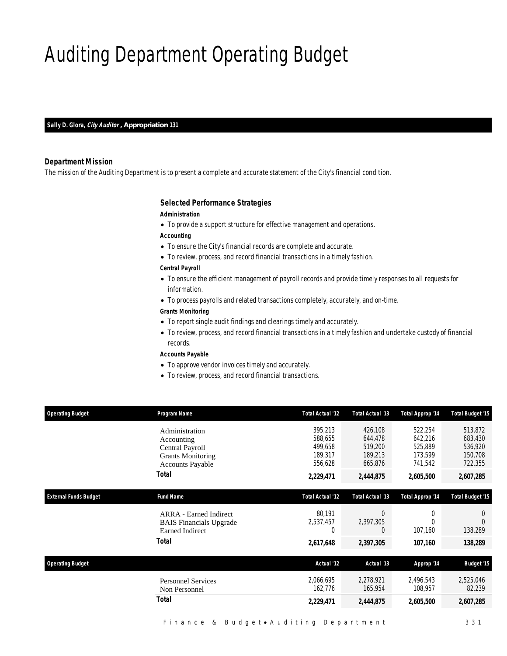# Auditing Department Operating Budget

*Sally D. Glora, City Auditor , Appropriation 131* 

#### *Department Mission*

The mission of the Auditing Department is to present a complete and accurate statement of the City's financial condition.

#### *Selected Performance Strategies*

#### *Administration*

• To provide a support structure for effective management and operations.

*Accounting* 

- To ensure the City's financial records are complete and accurate.
- To review, process, and record financial transactions in a timely fashion.

*Central Payroll* 

- To ensure the efficient management of payroll records and provide timely responses to all requests for information.
- To process payrolls and related transactions completely, accurately, and on-time.

#### *Grants Monitoring*

- To report single audit findings and clearings timely and accurately.
- To review, process, and record financial transactions in a timely fashion and undertake custody of financial records.

*Accounts Payable* 

- To approve vendor invoices timely and accurately.
- To review, process, and record financial transactions.

| <b>Operating Budget</b>      | Program Name                                                                                           | <b>Total Actual '12</b>                             | <b>Total Actual '13</b>                             | <b>Total Approp '14</b>                             | <b>Total Budget '15</b>                             |
|------------------------------|--------------------------------------------------------------------------------------------------------|-----------------------------------------------------|-----------------------------------------------------|-----------------------------------------------------|-----------------------------------------------------|
|                              | Administration<br>Accounting<br>Central Payroll<br><b>Grants Monitoring</b><br><b>Accounts Payable</b> | 395,213<br>588.655<br>499.658<br>189,317<br>556,628 | 426,108<br>644,478<br>519,200<br>189,213<br>665,876 | 522,254<br>642.216<br>525.889<br>173,599<br>741,542 | 513,872<br>683,430<br>536,920<br>150,708<br>722,355 |
|                              | <b>Total</b>                                                                                           | 2,229,471                                           | 2,444,875                                           | 2,605,500                                           | 2,607,285                                           |
| <b>External Funds Budget</b> | <b>Fund Name</b>                                                                                       | <b>Total Actual '12</b>                             | <b>Total Actual '13</b>                             | Total Approp '14                                    | <b>Total Budget '15</b>                             |
|                              | <b>ARRA</b> - Earned Indirect<br><b>BAIS</b> Financials Upgrade<br><b>Earned Indirect</b>              | 80,191<br>2,537,457<br>$\theta$                     | $\Omega$<br>2,397,305<br>0                          | 0<br>0<br>107,160                                   | 138,289                                             |
|                              | Total                                                                                                  | 2,617,648                                           | 2,397,305                                           | 107,160                                             | 138,289                                             |
| <b>Operating Budget</b>      |                                                                                                        | Actual '12                                          | Actual '13                                          | Approp '14                                          | <b>Budget '15</b>                                   |
|                              | <b>Personnel Services</b><br>Non Personnel                                                             | 2,066,695<br>162,776                                | 2,278,921<br>165,954                                | 2,496,543<br>108,957                                | 2,525,046<br>82,239                                 |
|                              | Total                                                                                                  | 2,229,471                                           | 2,444,875                                           | 2,605,500                                           | 2,607,285                                           |
|                              |                                                                                                        |                                                     |                                                     |                                                     |                                                     |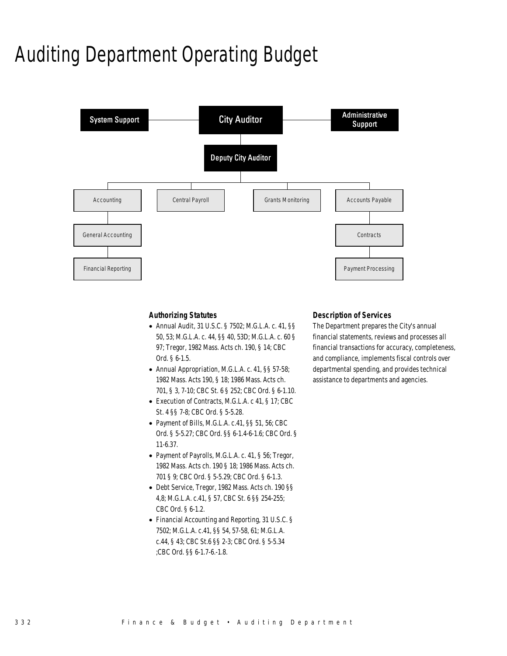# Auditing Department Operating Budget



### *Authorizing Statutes*

- Annual Audit, 31 U.S.C. § 7502; M.G.L.A. c. 41, §§ 50, 53; M.G.L.A. c. 44, §§ 40, 53D; M.G.L.A. c. 60 § 97; Tregor, 1982 Mass. Acts ch. 190, § 14; CBC Ord. § 6-1.5.
- Annual Appropriation, M.G.L.A. c. 41, §§ 57-58; 1982 Mass. Acts 190, § 18; 1986 Mass. Acts ch. 701, § 3, 7-10; CBC St. 6 § 252; CBC Ord. § 6-1.10.
- Execution of Contracts, M.G.L.A. c 41, § 17; CBC St. 4 §§ 7-8; CBC Ord. § 5-5.28.
- Payment of Bills, M.G.L.A. c.41, §§ 51, 56; CBC Ord. § 5-5.27; CBC Ord. §§ 6-1.4-6-1.6; CBC Ord. § 11-6.37.
- Payment of Payrolls, M.G.L.A. c. 41, § 56; Tregor, 1982 Mass. Acts ch. 190 § 18; 1986 Mass. Acts ch. 701 § 9; CBC Ord. § 5-5.29; CBC Ord. § 6-1.3.
- Debt Service, Tregor, 1982 Mass. Acts ch. 190 §§ 4,8; M.G.L.A. c.41, § 57, CBC St. 6 §§ 254-255; CBC Ord. § 6-1.2.
- Financial Accounting and Reporting, 31 U.S.C. § 7502; M.G.L.A. c.41, §§ 54, 57-58, 61; M.G.L.A. c.44, § 43; CBC St.6 §§ 2-3; CBC Ord. § 5-5.34 ;CBC Ord. §§ 6-1.7-6.-1.8.

### *Description of Services*

The Department prepares the City's annual financial statements, reviews and processes all financial transactions for accuracy, completeness, and compliance, implements fiscal controls over departmental spending, and provides technical assistance to departments and agencies.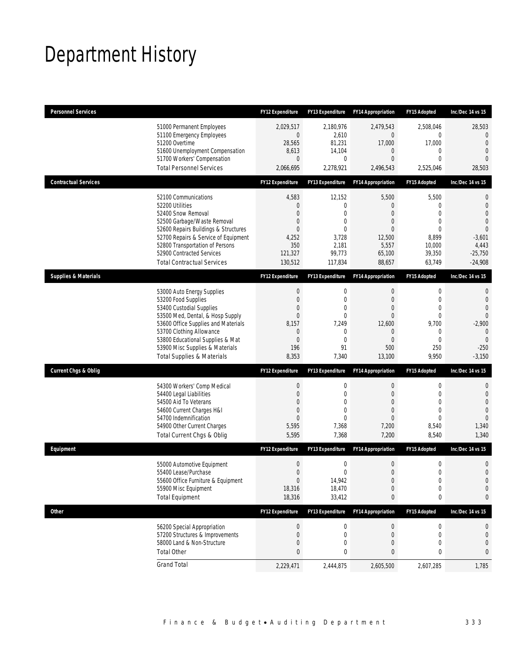# Department History

| <b>Personnel Services</b>                                                                                                                                                                                                                                                                            | <b>FY12 Expenditure</b>                                                                                   | <b>FY13 Expenditure</b>                                                                          | <b>FY14 Appropriation</b>                                                    | <b>FY15 Adopted</b>                                                                                           | Inc/Dec 14 vs 15                                                                                                                 |
|------------------------------------------------------------------------------------------------------------------------------------------------------------------------------------------------------------------------------------------------------------------------------------------------------|-----------------------------------------------------------------------------------------------------------|--------------------------------------------------------------------------------------------------|------------------------------------------------------------------------------|---------------------------------------------------------------------------------------------------------------|----------------------------------------------------------------------------------------------------------------------------------|
| 51000 Permanent Employees<br>51100 Emergency Employees<br>51200 Overtime<br>51600 Unemployment Compensation<br>51700 Workers' Compensation<br><b>Total Personnel Services</b>                                                                                                                        | 2,029,517<br>0<br>28,565<br>8,613<br>$\overline{0}$<br>2,066,695                                          | 2,180,976<br>2,610<br>81,231<br>14,104<br>$\mathbf 0$<br>2,278,921                               | 2,479,543<br>0<br>17,000<br>0<br>$\overline{0}$<br>2,496,543                 | 2,508,046<br>0<br>17,000<br>$\mathbf{0}$<br>$\mathbf{0}$<br>2,525,046                                         | 28,503<br>$\overline{0}$<br>$\overline{0}$<br>$\overline{0}$<br>$\Omega$<br>28,503                                               |
| <b>Contractual Services</b>                                                                                                                                                                                                                                                                          | <b>FY12 Expenditure</b>                                                                                   | <b>FY13 Expenditure</b>                                                                          | <b>FY14 Appropriation</b>                                                    | FY15 Adopted                                                                                                  | Inc/Dec 14 vs 15                                                                                                                 |
| 52100 Communications<br>52200 Utilities<br>52400 Snow Removal<br>52500 Garbage/Waste Removal<br>52600 Repairs Buildings & Structures<br>52700 Repairs & Service of Equipment<br>52800 Transportation of Persons<br>52900 Contracted Services<br><b>Total Contractual Services</b>                    | 4,583<br>0<br>$\overline{0}$<br>0<br>$\overline{0}$<br>4,252<br>350<br>121,327<br>130,512                 | 12,152<br>$\mathbf 0$<br>$\mathbf{0}$<br>0<br>$\mathbf 0$<br>3,728<br>2,181<br>99,773<br>117,834 | 5,500<br>0<br>0<br>0<br>0<br>12,500<br>5,557<br>65,100<br>88,657             | 5,500<br>$\mathbf{0}$<br>$\mathbf{0}$<br>$\mathbf{0}$<br>$\theta$<br>8,899<br>10,000<br>39,350<br>63,749      | $\mathbf 0$<br>$\mathbf{0}$<br>$\overline{0}$<br>$\overline{0}$<br>$\overline{0}$<br>$-3,601$<br>4,443<br>$-25,750$<br>$-24,908$ |
| <b>Supplies &amp; Materials</b>                                                                                                                                                                                                                                                                      | FY12 Expenditure                                                                                          | <b>FY13 Expenditure</b>                                                                          | <b>FY14 Appropriation</b>                                                    | FY15 Adopted                                                                                                  | Inc/Dec 14 vs 15                                                                                                                 |
| 53000 Auto Energy Supplies<br>53200 Food Supplies<br>53400 Custodial Supplies<br>53500 Med, Dental, & Hosp Supply<br>53600 Office Supplies and Materials<br>53700 Clothing Allowance<br>53800 Educational Supplies & Mat<br>53900 Misc Supplies & Materials<br><b>Total Supplies &amp; Materials</b> | $\boldsymbol{0}$<br>$\overline{0}$<br>0<br>$\overline{0}$<br>8,157<br>0<br>$\overline{0}$<br>196<br>8,353 | 0<br>$\mathbf 0$<br>$\mathbf 0$<br>$\mathbf{0}$<br>7,249<br>0<br>$\mathbf 0$<br>91<br>7,340      | $\mathbf 0$<br>0<br>0<br>$\overline{0}$<br>12,600<br>0<br>0<br>500<br>13,100 | $\boldsymbol{0}$<br>$\mathbf{0}$<br>$\mathbf{0}$<br>$\mathbf 0$<br>9,700<br>0<br>$\mathbf{0}$<br>250<br>9,950 | 0<br>$\overline{0}$<br>$\overline{0}$<br>$\overline{0}$<br>$-2,900$<br>$\theta$<br>$\mathbf{0}$<br>$-250$<br>$-3,150$            |
| <b>Current Chgs &amp; Oblig</b>                                                                                                                                                                                                                                                                      | FY12 Expenditure                                                                                          | <b>FY13 Expenditure</b>                                                                          | <b>FY14 Appropriation</b>                                                    | <b>FY15 Adopted</b>                                                                                           | Inc/Dec 14 vs 15                                                                                                                 |
| 54300 Workers' Comp Medical<br>54400 Legal Liabilities<br>54500 Aid To Veterans<br>54600 Current Charges H&I<br>54700 Indemnification<br>54900 Other Current Charges<br>Total Current Chgs & Oblig                                                                                                   | $\boldsymbol{0}$<br>$\boldsymbol{0}$<br>0<br>$\overline{0}$<br>$\overline{0}$<br>5,595<br>5,595           | 0<br>$\mathbf{0}$<br>$\Omega$<br>$\mathbf{0}$<br>$\mathbf 0$<br>7,368<br>7,368                   | $\boldsymbol{0}$<br>$\overline{0}$<br>0<br>0<br>0<br>7,200<br>7,200          | $\boldsymbol{0}$<br>$\mathbf{0}$<br>$\mathbf{0}$<br>$\mathbf{0}$<br>$\mathbf{0}$<br>8,540<br>8,540            | $\mathbf 0$<br>$\mathbf{0}$<br>$\overline{0}$<br>$\overline{0}$<br>$\overline{0}$<br>1,340<br>1,340                              |
| Equipment                                                                                                                                                                                                                                                                                            | <b>FY12 Expenditure</b>                                                                                   | <b>FY13 Expenditure</b>                                                                          | <b>FY14 Appropriation</b>                                                    | <b>FY15 Adopted</b>                                                                                           | Inc/Dec 14 vs 15                                                                                                                 |
| 55000 Automotive Equipment<br>55400 Lease/Purchase<br>55600 Office Furniture & Equipment<br>55900 Misc Equipment<br><b>Total Equipment</b>                                                                                                                                                           | $\boldsymbol{0}$<br>$\Omega$<br>$\boldsymbol{0}$<br>18,316<br>18,316                                      | $\mathbf 0$<br>$\theta$<br>14,942<br>18,470<br>33,412                                            | 0<br>$\Omega$<br>$\boldsymbol{0}$<br>0<br>0                                  | $\boldsymbol{0}$<br>$\theta$<br>$\boldsymbol{0}$<br>$\boldsymbol{0}$<br>0                                     | $\mathbf 0$<br>$\Omega$<br>$\mathbf 0$<br>$\mathbf 0$<br>0                                                                       |
| Other                                                                                                                                                                                                                                                                                                | FY12 Expenditure                                                                                          | FY13 Expenditure                                                                                 | <b>FY14 Appropriation</b>                                                    | FY15 Adopted                                                                                                  | Inc/Dec 14 vs 15                                                                                                                 |
| 56200 Special Appropriation<br>57200 Structures & Improvements<br>58000 Land & Non-Structure<br><b>Total Other</b>                                                                                                                                                                                   | $\boldsymbol{0}$<br>0<br>0<br>0                                                                           | 0<br>0<br>0<br>0                                                                                 | $\pmb{0}$<br>$\mathbf 0$<br>0<br>0                                           | 0<br>0<br>$\mathbf{0}$<br>0                                                                                   | 0<br>$\mathbf 0$<br>0<br>0                                                                                                       |
| <b>Grand Total</b>                                                                                                                                                                                                                                                                                   | 2,229,471                                                                                                 | 2,444,875                                                                                        | 2,605,500                                                                    | 2,607,285                                                                                                     | 1,785                                                                                                                            |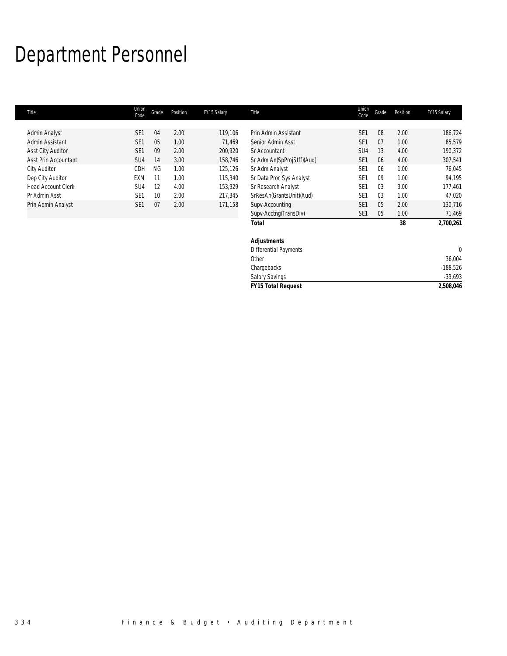# Department Personnel

| Title                     | Union<br>Code   | Grade     | Position | FY15 Salary | Title                      | Union<br>Code   | Grade | Position | FY15 Salary |
|---------------------------|-----------------|-----------|----------|-------------|----------------------------|-----------------|-------|----------|-------------|
|                           |                 |           |          |             |                            |                 |       |          |             |
| Admin Analyst             | SE <sub>1</sub> | 04        | 2.00     | 119,106     | Prin Admin Assistant       | SE <sub>1</sub> | 08    | 2.00     | 186,724     |
| Admin Assistant           | SE <sub>1</sub> | 05        | 1.00     | 71,469      | Senior Admin Asst          | SE <sub>1</sub> | 07    | 1.00     | 85,579      |
| <b>Asst City Auditor</b>  | SE <sub>1</sub> | 09        | 2.00     | 200,920     | Sr Accountant              | SU4             | 13    | 4.00     | 190,372     |
| Asst Prin Accountant      | SU4             | 14        | 3.00     | 158,746     | Sr Adm An(SpProjStff)(Aud) | SE <sub>1</sub> | 06    | 4.00     | 307,541     |
| City Auditor              | CDH             | <b>NG</b> | 1.00     | 125,126     | Sr Adm Analyst             | SE <sub>1</sub> | 06    | 1.00     | 76,045      |
| Dep City Auditor          | EXM             | 11        | 1.00     | 115,340     | Sr Data Proc Sys Analyst   | SE <sub>1</sub> | 09    | 1.00     | 94,195      |
| <b>Head Account Clerk</b> | SU4             | 12        | 4.00     | 153,929     | Sr Research Analyst        | SE <sub>1</sub> | 03    | 3.00     | 177,461     |
| Pr Admin Asst             | SE <sub>1</sub> | 10        | 2.00     | 217,345     | SrResAn(GrantsUnit)(Aud)   | SE <sub>1</sub> | 03    | 1.00     | 47,020      |
| Prin Admin Analyst        | SE <sub>1</sub> | 07        | 2.00     | 171,158     | Supv-Accounting            | SE <sub>1</sub> | 05    | 2.00     | 130,716     |
|                           |                 |           |          |             | Supv-Acctng(TransDiv)      | SE <sub>1</sub> | 05    | 1.00     | 71,469      |
|                           |                 |           |          |             | <b>Total</b>               |                 |       | 38       | 2,700,261   |
|                           |                 |           |          |             | <b>Adjustments</b>         |                 |       |          |             |
|                           |                 |           |          |             | Differential Payments      |                 |       |          | $\theta$    |
|                           |                 |           |          |             | Other                      |                 |       |          | 36,004      |
|                           |                 |           |          |             | Chargebacks                |                 |       |          | $-188,526$  |
|                           |                 |           |          |             | <b>Salary Savings</b>      |                 |       |          | $-39,693$   |
|                           |                 |           |          |             | <b>FY15 Total Request</b>  |                 |       |          | 2,508,046   |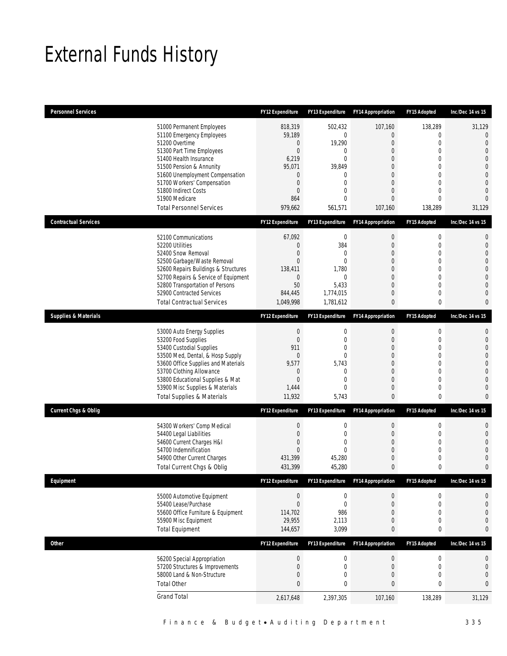# External Funds History

| <b>Personnel Services</b>       |                                                                                                                                                                                                                                                                                                            | <b>FY12 Expenditure</b>                                                                        | <b>FY13 Expenditure</b>                                                                                                                      | <b>FY14 Appropriation</b>                                                                                                          | FY15 Adopted                                                           | Inc/Dec 14 vs 15                                                                                                                                 |
|---------------------------------|------------------------------------------------------------------------------------------------------------------------------------------------------------------------------------------------------------------------------------------------------------------------------------------------------------|------------------------------------------------------------------------------------------------|----------------------------------------------------------------------------------------------------------------------------------------------|------------------------------------------------------------------------------------------------------------------------------------|------------------------------------------------------------------------|--------------------------------------------------------------------------------------------------------------------------------------------------|
|                                 | 51000 Permanent Employees<br>51100 Emergency Employees<br>51200 Overtime<br>51300 Part Time Employees<br>51400 Health Insurance<br>51500 Pension & Annunity<br>51600 Unemployment Compensation<br>51700 Workers' Compensation<br>51800 Indirect Costs<br>51900 Medicare<br><b>Total Personnel Services</b> | 818,319<br>59,189<br>0<br>$\boldsymbol{0}$<br>6,219<br>95,071<br>0<br>0<br>0<br>864<br>979,662 | 502,432<br>$\mathbf 0$<br>19,290<br>0<br>$\mathbf 0$<br>39,849<br>$\mathbf{0}$<br>$\mathbf 0$<br>$\boldsymbol{0}$<br>$\mathbf{0}$<br>561,571 | 107,160<br>0<br>0<br>$\mathbf 0$<br>$\mathbf{0}$<br>$\Omega$<br>$\Omega$<br>$\mathbf{0}$<br>$\mathbf 0$<br>$\mathbf{0}$<br>107,160 | 138,289<br>0<br>0<br>0<br>0<br>$\Omega$<br>0<br>0<br>0<br>0<br>138,289 | 31,129<br>$\overline{0}$<br>$\Omega$<br>$\overline{0}$<br>$\Omega$<br>$\bigcap$<br>$\Omega$<br>$\bigcap$<br>$\overline{0}$<br>$\Omega$<br>31,129 |
| <b>Contractual Services</b>     |                                                                                                                                                                                                                                                                                                            | <b>FY12 Expenditure</b>                                                                        | <b>FY13 Expenditure</b>                                                                                                                      | <b>FY14 Appropriation</b>                                                                                                          | FY15 Adopted                                                           | Inc/Dec 14 vs 15                                                                                                                                 |
|                                 | 52100 Communications<br>52200 Utilities<br>52400 Snow Removal<br>52500 Garbage/Waste Removal<br>52600 Repairs Buildings & Structures<br>52700 Repairs & Service of Equipment<br>52800 Transportation of Persons<br>52900 Contracted Services<br><b>Total Contractual Services</b>                          | 67,092<br>0<br>0<br>0<br>138,411<br>$\mathbf 0$<br>50<br>844,445<br>1,049,998                  | $\bf 0$<br>384<br>$\mathbf{0}$<br>$\theta$<br>1,780<br>$\mathbf 0$<br>5,433<br>1,774,015<br>1,781,612                                        | $\boldsymbol{0}$<br>0<br>$\overline{0}$<br>$\Omega$<br>0<br>0<br>0<br>$\mathbf{0}$<br>$\mathbf{0}$                                 | 0<br>0<br>0<br>$\Omega$<br>0<br>0<br>0<br>0<br>0                       | $\mathbf 0$<br>$\mathbf{0}$<br>$\Omega$<br>$\bigcap$<br>$\Omega$<br>$\Omega$<br>$\Omega$<br>$\bigcap$<br>$\Omega$                                |
| <b>Supplies &amp; Materials</b> |                                                                                                                                                                                                                                                                                                            | <b>FY12 Expenditure</b>                                                                        | <b>FY13 Expenditure</b>                                                                                                                      | <b>FY14 Appropriation</b>                                                                                                          | FY15 Adopted                                                           | Inc/Dec 14 vs 15                                                                                                                                 |
|                                 | 53000 Auto Energy Supplies<br>53200 Food Supplies<br>53400 Custodial Supplies<br>53500 Med, Dental, & Hosp Supply<br>53600 Office Supplies and Materials<br>53700 Clothing Allowance<br>53800 Educational Supplies & Mat<br>53900 Misc Supplies & Materials<br><b>Total Supplies &amp; Materials</b>       | $\boldsymbol{0}$<br>0<br>911<br>0<br>9,577<br>0<br>$\overline{0}$<br>1,444<br>11,932           | $\boldsymbol{0}$<br>$\boldsymbol{0}$<br>$\mathbf{0}$<br>$\mathbf{0}$<br>5,743<br>$\mathbf{0}$<br>$\mathbf 0$<br>$\mathbf{0}$<br>5,743        | $\boldsymbol{0}$<br>0<br>$\mathbf{0}$<br>0<br>$\Omega$<br>$\mathbf{0}$<br>$\mathbf{0}$<br>0<br>$\mathbf{0}$                        | $\boldsymbol{0}$<br>0<br>0<br>0<br>0<br>0<br>$\theta$<br>0<br>0        | $\mathbf{0}$<br>$\overline{0}$<br>$\Omega$<br>$\overline{0}$<br>$\Omega$<br>$\bigcap$<br>$\bigcap$<br>C<br>$\Omega$                              |
| <b>Current Chgs &amp; Oblig</b> |                                                                                                                                                                                                                                                                                                            | <b>FY12 Expenditure</b>                                                                        | <b>FY13 Expenditure</b>                                                                                                                      | <b>FY14 Appropriation</b>                                                                                                          | FY15 Adopted                                                           | Inc/Dec 14 vs 15                                                                                                                                 |
|                                 | 54300 Workers' Comp Medical<br>54400 Legal Liabilities<br>54600 Current Charges H&I<br>54700 Indemnification<br>54900 Other Current Charges<br>Total Current Chgs & Oblig                                                                                                                                  | $\boldsymbol{0}$<br>0<br>0<br>0<br>431,399<br>431,399                                          | $\boldsymbol{0}$<br>$\boldsymbol{0}$<br>0<br>$\mathbf 0$<br>45,280<br>45,280                                                                 | $\boldsymbol{0}$<br>0<br>$\overline{0}$<br>0<br>$\mathbf 0$<br>$\mathbf 0$                                                         | 0<br>0<br>0<br>0<br>0<br>0                                             | $\mathbf 0$<br>$\overline{0}$<br>$\bigcap$<br>$\bigcap$<br>C<br>$\mathbf 0$                                                                      |
| Equipment                       |                                                                                                                                                                                                                                                                                                            | FY12 Expenditure                                                                               | FY13 Expenditure                                                                                                                             | <b>FY14 Appropriation</b>                                                                                                          | FY15 Adopted                                                           | Inc/Dec 14 vs 15                                                                                                                                 |
|                                 | 55000 Automotive Equipment<br>55400 Lease/Purchase<br>55600 Office Furniture & Equipment<br>55900 Misc Equipment<br><b>Total Equipment</b>                                                                                                                                                                 | $\theta$<br>$\boldsymbol{0}$<br>114,702<br>29,955<br>144,657                                   | $\boldsymbol{0}$<br>$\boldsymbol{0}$<br>986<br>2,113<br>3,099                                                                                | 0<br>$\mathbf 0$<br>0<br>$\boldsymbol{0}$<br>$\mathbf{0}$                                                                          | $\boldsymbol{0}$<br>$\boldsymbol{0}$<br>0<br>0<br>0                    | $\boldsymbol{0}$<br>$\mathbf{0}$<br>$\overline{0}$<br>$\mathbf{0}$<br>$\mathbf 0$                                                                |
| Other                           |                                                                                                                                                                                                                                                                                                            | FY12 Expenditure                                                                               | FY13 Expenditure                                                                                                                             | <b>FY14 Appropriation</b>                                                                                                          | FY15 Adopted                                                           | Inc/Dec 14 vs 15                                                                                                                                 |
|                                 | 56200 Special Appropriation<br>57200 Structures & Improvements<br>58000 Land & Non-Structure<br><b>Total Other</b>                                                                                                                                                                                         | $\boldsymbol{0}$<br>0<br>0<br>0                                                                | $\boldsymbol{0}$<br>$\boldsymbol{0}$<br>$\boldsymbol{0}$<br>$\pmb{0}$                                                                        | $\boldsymbol{0}$<br>$\mathbf 0$<br>$\mathbf 0$<br>$\bf{0}$                                                                         | $\boldsymbol{0}$<br>$\boldsymbol{0}$<br>0<br>0                         | $\boldsymbol{0}$<br>$\mathbf 0$<br>$\mathbf{0}$<br>$\pmb{0}$                                                                                     |
|                                 | <b>Grand Total</b>                                                                                                                                                                                                                                                                                         | 2,617,648                                                                                      | 2,397,305                                                                                                                                    | 107,160                                                                                                                            | 138,289                                                                | 31,129                                                                                                                                           |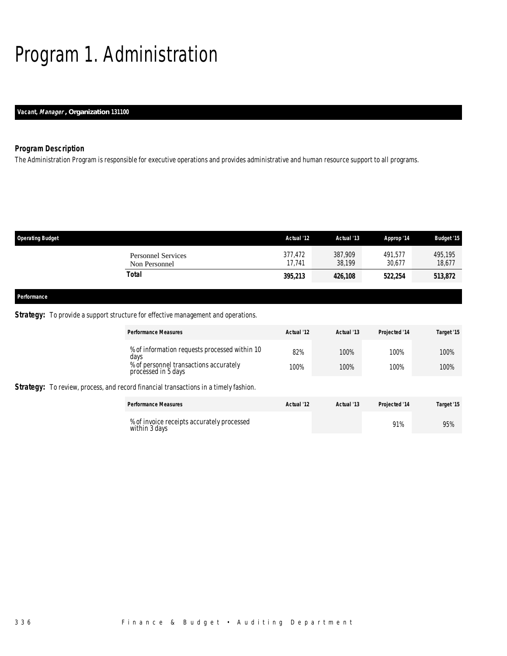# Program 1. Administration

### *Vacant, Manager , Organization 131100*

### *Program Description*

The Administration Program is responsible for executive operations and provides administrative and human resource support to all programs.

| <b>Operating Budget</b> |                                            | Actual '12        | Actual '13        | Approp '14        | <b>Budget '15</b> |
|-------------------------|--------------------------------------------|-------------------|-------------------|-------------------|-------------------|
|                         | <b>Personnel Services</b><br>Non Personnel | 377,472<br>17.741 | 387,909<br>38,199 | 491,577<br>30.677 | 495,195<br>18,677 |
|                         | <b>Total</b>                               | 395,213           | 426,108           | 522,254           | 513,872           |
|                         |                                            |                   |                   |                   |                   |
| Performance             |                                            |                   |                   |                   |                   |

### **Strategy:** To provide a support structure for effective management and operations.

| <b>Performance Measures</b>                                                                 | Actual '12 | Actual '13 | Projected '14 | Target '15 |
|---------------------------------------------------------------------------------------------|------------|------------|---------------|------------|
| % of information requests processed within 10%<br>davs                                      | 82%        | 100%       | 100%          | 100%       |
| % of personnel transactions accurately<br>processed in 5 days                               | 100%       | 100%       | 100%          | 100%       |
| <b>Strategy:</b> To review, process, and record financial transactions in a timely fashion. |            |            |               |            |
| <b>Performance Measures</b>                                                                 | Actual '12 | Actual '13 | Projected '14 | Target '15 |
| % of invoice receipts accurately processed<br>within 3 days                                 |            |            | 91%           | 95%        |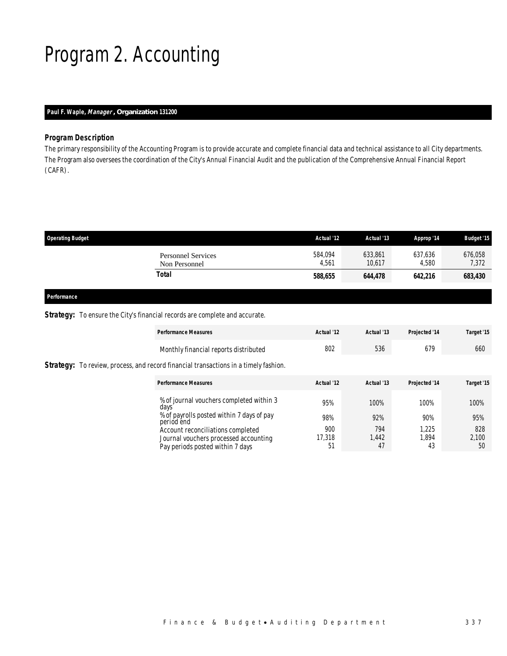# Program 2. Accounting

### *Paul F. Waple, Manager , Organization 131200*

### *Program Description*

The primary responsibility of the Accounting Program is to provide accurate and complete financial data and technical assistance to all City departments. The Program also oversees the coordination of the City's Annual Financial Audit and the publication of the Comprehensive Annual Financial Report (CAFR).

| <b>Operating Budget</b>                    | Actual '12       | Actual '13        | Approp '14       | <b>Budget '15</b> |
|--------------------------------------------|------------------|-------------------|------------------|-------------------|
| <b>Personnel Services</b><br>Non Personnel | 584,094<br>4.561 | 633,861<br>10.617 | 637,636<br>4.580 | 676,058<br>7,372  |
| Total                                      | 588,655          | 644,478           | 642,216          | 683,430           |
|                                            |                  |                   |                  |                   |

### *Performance*

### **Strategy:** To ensure the City's financial records are complete and accurate.

| <b>Performance Measures</b>                                                                                    | Actual '12          | Actual '13         | Projected '14        | Target '15         |
|----------------------------------------------------------------------------------------------------------------|---------------------|--------------------|----------------------|--------------------|
| Monthly financial reports distributed                                                                          | 802                 | 536                | 679                  | 660                |
| <b>Strategy:</b> To review, process, and record financial transactions in a timely fashion.                    |                     |                    |                      |                    |
| <b>Performance Measures</b>                                                                                    | Actual '12          | Actual '13         | Projected '14        | Target '15         |
| % of journal vouchers completed within 3<br>days                                                               | 95%                 | 100%               | 100%                 | 100%               |
| % of payrolls posted within 7 days of pay<br>period end                                                        | 98%                 | 92%                | 90%                  | 95%                |
| Account reconciliations completed<br>Journal vouchers processed accounting<br>Pay periods posted within 7 days | 900<br>17,318<br>51 | 794<br>1,442<br>47 | 1.225<br>1.894<br>43 | 828<br>2,100<br>50 |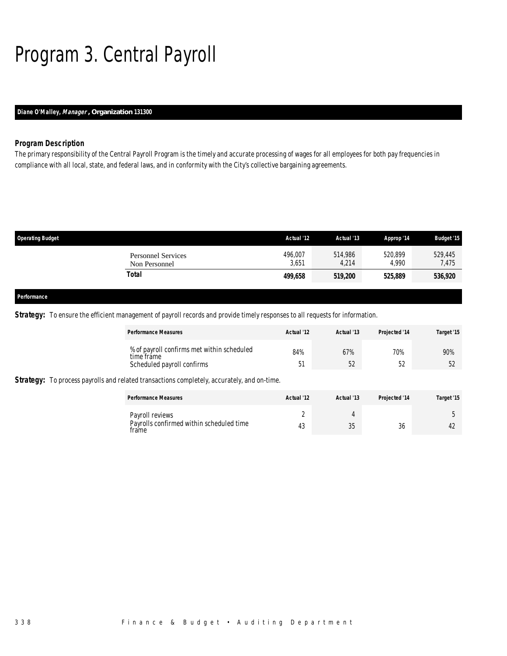# Program 3. Central Payroll

## *Diane O'Malley, Manager , Organization 131300*

### *Program Description*

The primary responsibility of the Central Payroll Program is the timely and accurate processing of wages for all employees for both pay frequencies in compliance with all local, state, and federal laws, and in conformity with the City's collective bargaining agreements.

| <b>Operating Budget</b> |                                            | Actual '12       | Actual '13       | Approp '14       | <b>Budget '15</b> |
|-------------------------|--------------------------------------------|------------------|------------------|------------------|-------------------|
|                         | <b>Personnel Services</b><br>Non Personnel | 496,007<br>3,651 | 514,986<br>4,214 | 520,899<br>4.990 | 529,445<br>7,475  |
|                         | Total                                      | 499,658          | 519,200          | 525,889          | 536,920           |
|                         |                                            |                  |                  |                  |                   |
| Performance             |                                            |                  |                  |                  |                   |

*Strategy:* To ensure the efficient management of payroll records and provide timely responses to all requests for information.

| <b>Performance Measures</b>                                                                        | Actual '12 | Actual '13 | Projected '14 | Target '15 |
|----------------------------------------------------------------------------------------------------|------------|------------|---------------|------------|
| % of payroll confirms met within scheduled<br>time fråme<br>Scheduled payroll confirms             | 84%<br>51  | 67%<br>52  | 70%<br>-52    | 90%<br>52  |
| <b>Strategy:</b> To process payrolls and related transactions completely, accurately, and on-time. |            |            |               |            |

| <b>Performance Measures</b>                                          | Actual '12 | Actual '13 | <b>Projected '14</b> | Target '15 |
|----------------------------------------------------------------------|------------|------------|----------------------|------------|
| Payroll reviews<br>Payrolls confirmed within scheduled time<br>trame |            | 25<br>ుం   | $\sim$<br>30         |            |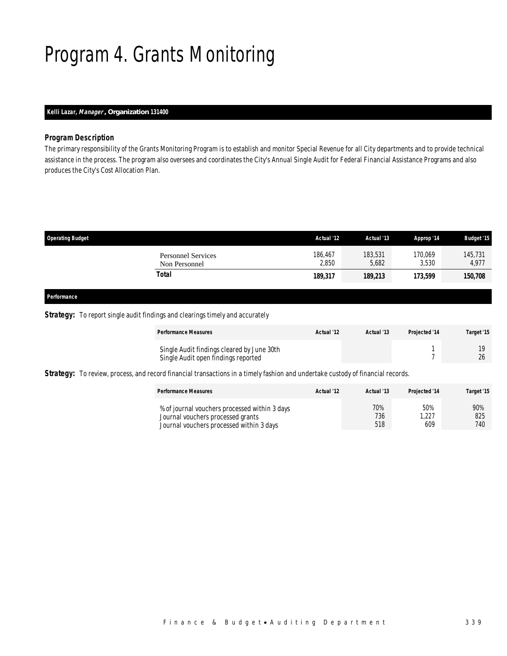# Program 4. Grants Monitoring

### *Kelli Lazar, Manager , Organization 131400*

#### *Program Description*

The primary responsibility of the Grants Monitoring Program is to establish and monitor Special Revenue for all City departments and to provide technical assistance in the process. The program also oversees and coordinates the City's Annual Single Audit for Federal Financial Assistance Programs and also produces the City's Cost Allocation Plan.

| <b>Operating Budget</b>                    | Actual '12       | Actual '13       | Approp '14       | <b>Budget '15</b> |
|--------------------------------------------|------------------|------------------|------------------|-------------------|
| <b>Personnel Services</b><br>Non Personnel | 186,467<br>2,850 | 183,531<br>5.682 | 170,069<br>3.530 | 145,731<br>4,977  |
| Total                                      | 189,317          | 189,213          | 173,599          | 150,708           |

### *Performance*

### **Strategy:** To report single audit findings and clearings timely and accurately

| <b>Performance Measures</b>                                                       | Actual '12 | Actual '13 | <b>Projected '14</b> | Target '15 |
|-----------------------------------------------------------------------------------|------------|------------|----------------------|------------|
| Single Audit findings cleared by June 30th<br>Single Audit open findings reported |            |            |                      | 26         |

Strategy: To review, process, and record financial transactions in a timely fashion and undertake custody of financial records.

| <b>Performance Measures</b>                                                                                                    | Actual '12 | Actual '13        | Projected '14      | Target '15        |
|--------------------------------------------------------------------------------------------------------------------------------|------------|-------------------|--------------------|-------------------|
| % of journal vouchers processed within 3 days<br>Journal vouchers processed grants<br>Journal vouchers processed within 3 days |            | 70%<br>736<br>518 | 50%<br>.227<br>609 | 90%<br>825<br>740 |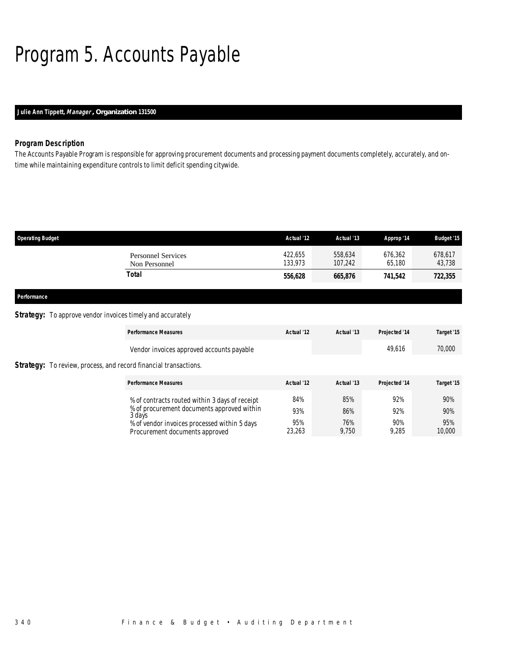# Program 5. Accounts Payable

### *Julie Ann Tippett, Manager , Organization 131500*

### *Program Description*

The Accounts Payable Program is responsible for approving procurement documents and processing payment documents completely, accurately, and ontime while maintaining expenditure controls to limit deficit spending citywide.

| 422,655<br>Personnel Services<br>133.973<br>Non Personnel | 558,634<br>107,242 | 676,362<br>65,180 | 678,617<br>43,738 |
|-----------------------------------------------------------|--------------------|-------------------|-------------------|
| Total<br>556,628                                          | 665,876            | 741.542           | 722,355           |

*Performance* 

#### **Strategy:** To approve vendor invoices timely and accurately

|                                                                         | <b>Performance Measures</b>                                                    | Actual '12    | Actual '13   | Projected '14 | Target '15    |
|-------------------------------------------------------------------------|--------------------------------------------------------------------------------|---------------|--------------|---------------|---------------|
|                                                                         | Vendor invoices approved accounts payable                                      |               |              | 49,616        | 70,000        |
| <b>Strategy:</b> To review, process, and record financial transactions. |                                                                                |               |              |               |               |
|                                                                         | <b>Performance Measures</b>                                                    | Actual '12    | Actual '13   | Projected '14 | Target '15    |
|                                                                         | % of contracts routed within 3 days of receipt                                 | 84%           | 85%          | 92%           | 90%           |
|                                                                         | % of procurement documents approved within<br>3 davs                           | 93%           | 86%          | 92%           | 90%           |
|                                                                         | % of vendor invoices processed within 5 days<br>Procurement documents approved | 95%<br>23,263 | 76%<br>9.750 | 90%<br>9.285  | 95%<br>10,000 |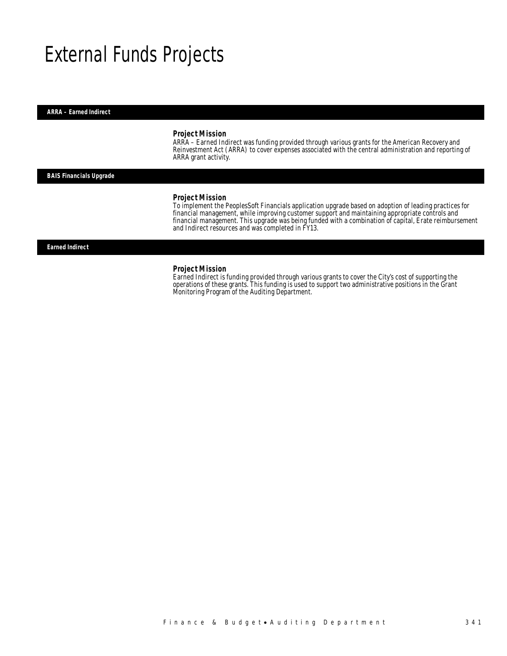# External Funds Projects

#### *ARRA – Earned Indirect*

#### *Project Mission*

ARRA – Earned Indirect was funding provided through various grants for the American Recovery and Reinvestment Act (ARRA) to cover expenses associated with the central administration and reporting of ARRA grant activity.

#### *BAIS Financials Upgrade*

#### *Project Mission*

To implement the PeoplesSoft Financials application upgrade based on adoption of leading practices for financial management, while improving customer support and maintaining appropriate controls and financial management. This upgrade was being funded with a combination of capital, Erate reimbursement and Indirect resources and was completed in FY13.

#### *Earned Indirect*

#### *Project Mission*

Earned Indirect is funding provided through various grants to cover the City's cost of supporting the operations of these grants. This funding is used to support two administrative positions in the Grant Monitoring Program of the Auditing Department.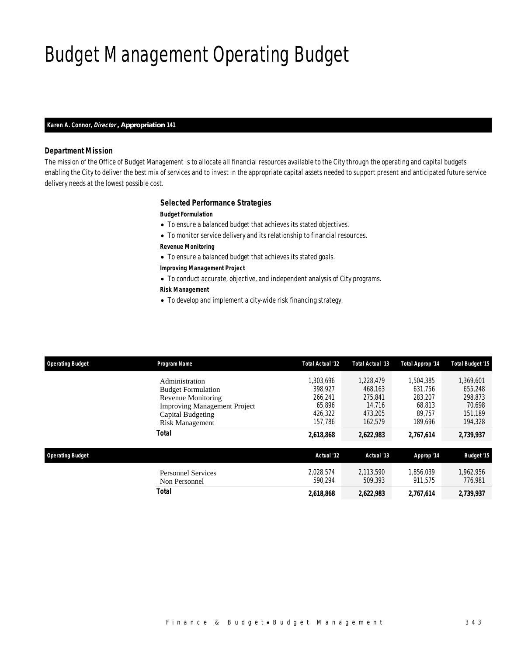# Budget Management Operating Budget

#### *Karen A. Connor, Director , Appropriation 141*

### *Department Mission*

The mission of the Office of Budget Management is to allocate all financial resources available to the City through the operating and capital budgets enabling the City to deliver the best mix of services and to invest in the appropriate capital assets needed to support present and anticipated future service delivery needs at the lowest possible cost.

#### *Selected Performance Strategies*

#### *Budget Formulation*

- To ensure a balanced budget that achieves its stated objectives.
- To monitor service delivery and its relationship to financial resources.
- *Revenue Monitoring*
- To ensure a balanced budget that achieves its stated goals.
- *Improving Management Project*
- To conduct accurate, objective, and independent analysis of City programs.

### *Risk Management*

• To develop and implement a city-wide risk financing strategy.

| <b>Operating Budget</b> | <b>Program Name</b>                                      | Total Actual '12     | <b>Total Actual '13</b> | Total Approp '14     | <b>Total Budget '15</b> |
|-------------------------|----------------------------------------------------------|----------------------|-------------------------|----------------------|-------------------------|
|                         | Administration<br><b>Budget Formulation</b>              | 1,303,696<br>398.927 | 1.228.479<br>468.163    | 1,504,385<br>631.756 | 1,369,601<br>655,248    |
|                         | <b>Revenue Monitoring</b>                                | 266,241<br>65.896    | 275.841<br>14.716       | 283,207<br>68.813    | 298,873<br>70.698       |
|                         | <b>Improving Management Project</b><br>Capital Budgeting | 426.322              | 473.205                 | 89.757               | 151.189                 |
|                         | <b>Risk Management</b><br><b>Total</b>                   | 157.786<br>2,618,868 | 162.579<br>2,622,983    | 189.696<br>2,767,614 | 194,328<br>2,739,937    |
|                         |                                                          |                      |                         |                      |                         |
| <b>Operating Budget</b> |                                                          | Actual '12           | Actual '13              | Approp '14           | <b>Budget '15</b>       |
|                         | <b>Personnel Services</b><br>Non Personnel               | 2.028.574<br>590.294 | 2.113.590<br>509.393    | 1.856.039<br>911.575 | 1.962.956<br>776,981    |
|                         | <b>Total</b>                                             | 2,618,868            | 2,622,983               | 2.767.614            | 2,739,937               |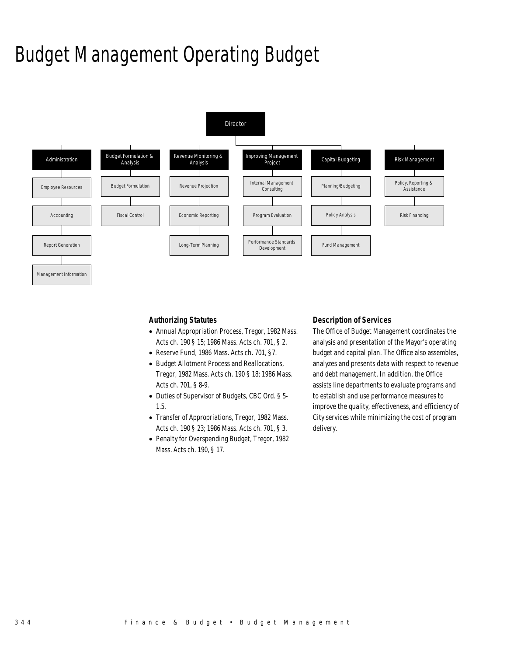# Budget Management Operating Budget



### *Authorizing Statutes*

- Annual Appropriation Process, Tregor, 1982 Mass. Acts ch. 190 § 15; 1986 Mass. Acts ch. 701, § 2.
- Reserve Fund, 1986 Mass. Acts ch. 701, §7.
- Budget Allotment Process and Reallocations, Tregor, 1982 Mass. Acts ch. 190 § 18; 1986 Mass. Acts ch. 701, § 8-9.
- Duties of Supervisor of Budgets, CBC Ord. § 5- 1.5.
- Transfer of Appropriations, Tregor, 1982 Mass. Acts ch. 190 § 23; 1986 Mass. Acts ch. 701, § 3.
- Penalty for Overspending Budget, Tregor, 1982 Mass. Acts ch. 190, § 17.

#### *Description of Services*

The Office of Budget Management coordinates the analysis and presentation of the Mayor's operating budget and capital plan. The Office also assembles, analyzes and presents data with respect to revenue and debt management. In addition, the Office assists line departments to evaluate programs and to establish and use performance measures to improve the quality, effectiveness, and efficiency of City services while minimizing the cost of program delivery.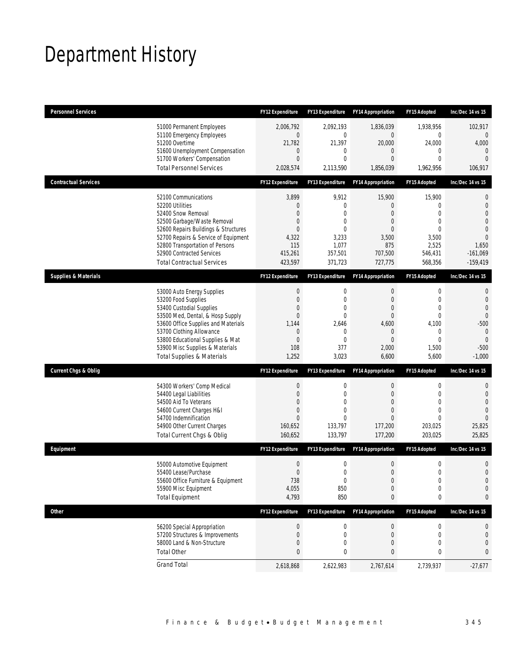# Department History

| <b>Personnel Services</b>       |                                                                                                                                                                                                                                                                                                      | <b>FY12 Expenditure</b>                                                                            | <b>FY13 Expenditure</b>                                                               | <b>FY14 Appropriation</b>                                                                               | FY15 Adopted                                                                                                               | Inc/Dec 14 vs 15                                                                                                         |
|---------------------------------|------------------------------------------------------------------------------------------------------------------------------------------------------------------------------------------------------------------------------------------------------------------------------------------------------|----------------------------------------------------------------------------------------------------|---------------------------------------------------------------------------------------|---------------------------------------------------------------------------------------------------------|----------------------------------------------------------------------------------------------------------------------------|--------------------------------------------------------------------------------------------------------------------------|
|                                 | 51000 Permanent Employees<br>51100 Emergency Employees<br>51200 Overtime<br>51600 Unemployment Compensation<br>51700 Workers' Compensation<br><b>Total Personnel Services</b>                                                                                                                        | 2.006.792<br>0<br>21,782<br>0<br>$\mathbf{0}$<br>2,028,574                                         | 2,092,193<br>$\mathbf 0$<br>21,397<br>0<br>$\overline{0}$<br>2,113,590                | 1,836,039<br>0<br>20,000<br>0<br>$\overline{0}$<br>1,856,039                                            | 1,938,956<br>$\mathbf 0$<br>24,000<br>$\mathbf{0}$<br>$\mathbf{0}$<br>1,962,956                                            | 102,917<br>0<br>4,000<br>$\mathbf{0}$<br>$\Omega$<br>106,917                                                             |
| <b>Contractual Services</b>     |                                                                                                                                                                                                                                                                                                      | <b>FY12 Expenditure</b>                                                                            | <b>FY13 Expenditure</b>                                                               | <b>FY14 Appropriation</b>                                                                               | FY15 Adopted                                                                                                               | Inc/Dec 14 vs 15                                                                                                         |
|                                 | 52100 Communications<br>52200 Utilities<br>52400 Snow Removal<br>52500 Garbage/Waste Removal<br>52600 Repairs Buildings & Structures<br>52700 Repairs & Service of Equipment<br>52800 Transportation of Persons<br>52900 Contracted Services<br><b>Total Contractual Services</b>                    | 3,899<br>0<br>0<br>0<br>$\theta$<br>4,322<br>115<br>415,261<br>423,597                             | 9,912<br>0<br>$\overline{0}$<br>0<br>$\theta$<br>3,233<br>1,077<br>357,501<br>371,723 | 15,900<br>0<br>$\overline{0}$<br>$\overline{0}$<br>$\overline{0}$<br>3,500<br>875<br>707,500<br>727,775 | 15,900<br>$\mathbf{0}$<br>$\mathbf{0}$<br>$\mathbf{0}$<br>$\theta$<br>3,500<br>2,525<br>546,431<br>568,356                 | 0<br>$\mathbf{0}$<br>$\overline{0}$<br>$\overline{0}$<br>$\overline{0}$<br>$\Omega$<br>1,650<br>$-161,069$<br>$-159,419$ |
| <b>Supplies &amp; Materials</b> |                                                                                                                                                                                                                                                                                                      | FY12 Expenditure                                                                                   | FY13 Expenditure                                                                      | <b>FY14 Appropriation</b>                                                                               | FY15 Adopted                                                                                                               | Inc/Dec 14 vs 15                                                                                                         |
|                                 | 53000 Auto Energy Supplies<br>53200 Food Supplies<br>53400 Custodial Supplies<br>53500 Med, Dental, & Hosp Supply<br>53600 Office Supplies and Materials<br>53700 Clothing Allowance<br>53800 Educational Supplies & Mat<br>53900 Misc Supplies & Materials<br><b>Total Supplies &amp; Materials</b> | $\boldsymbol{0}$<br>0<br>0<br>$\mathbf{0}$<br>1,144<br>0<br>$\theta$<br>108<br>1,252               | 0<br>0<br>0<br>$\overline{0}$<br>2,646<br>$\mathbf 0$<br>0<br>377<br>3,023            | $\mathbf 0$<br>0<br>$\overline{0}$<br>$\mathbf{0}$<br>4,600<br>$\mathbf 0$<br>0<br>2,000<br>6,600       | $\boldsymbol{0}$<br>$\mathbf{0}$<br>$\mathbf{0}$<br>$\mathbf{0}$<br>4,100<br>$\mathbf 0$<br>$\mathbf{0}$<br>1,500<br>5,600 | 0<br>$\overline{0}$<br>$\overline{0}$<br>$\overline{0}$<br>$-500$<br>$\mathbf{0}$<br>$\mathbf{0}$<br>$-500$<br>$-1,000$  |
| <b>Current Chgs &amp; Oblig</b> |                                                                                                                                                                                                                                                                                                      | FY12 Expenditure                                                                                   | <b>FY13 Expenditure</b>                                                               | <b>FY14 Appropriation</b>                                                                               | FY15 Adopted                                                                                                               | Inc/Dec 14 vs 15                                                                                                         |
|                                 | 54300 Workers' Comp Medical<br>54400 Legal Liabilities<br>54500 Aid To Veterans<br>54600 Current Charges H&I<br>54700 Indemnification<br>54900 Other Current Charges<br>Total Current Chgs & Oblig                                                                                                   | $\boldsymbol{0}$<br>$\mathbf{0}$<br>$\Omega$<br>$\boldsymbol{0}$<br>$\Omega$<br>160,652<br>160,652 | 0<br>$\overline{0}$<br>$\Omega$<br>$\overline{0}$<br>$\Omega$<br>133,797<br>133,797   | $\boldsymbol{0}$<br>$\overline{0}$<br>$\overline{0}$<br>0<br>$\Omega$<br>177,200<br>177,200             | $\boldsymbol{0}$<br>$\mathbf{0}$<br>$\Omega$<br>$\mathbf{0}$<br>$\theta$<br>203,025<br>203,025                             | $\mathbf{0}$<br>$\mathbf{0}$<br>$\overline{0}$<br>$\overline{0}$<br>$\Omega$<br>25,825<br>25,825                         |
| Equipment                       |                                                                                                                                                                                                                                                                                                      | <b>FY12 Expenditure</b>                                                                            | <b>FY13 Expenditure</b>                                                               | <b>FY14 Appropriation</b>                                                                               | <b>FY15 Adopted</b>                                                                                                        | Inc/Dec 14 vs 15                                                                                                         |
|                                 | 55000 Automotive Equipment<br>55400 Lease/Purchase<br>55600 Office Furniture & Equipment<br>55900 Misc Equipment<br><b>Total Equipment</b>                                                                                                                                                           | $\boldsymbol{0}$<br>$\boldsymbol{0}$<br>738<br>4,055<br>4,793                                      | $\mathbf 0$<br>$\theta$<br>$\boldsymbol{0}$<br>850<br>850                             | $\mathbf 0$<br>$\Omega$<br>$\boldsymbol{0}$<br>$\mathbf 0$<br>0                                         | $\boldsymbol{0}$<br>$\Omega$<br>$\boldsymbol{0}$<br>$\mathbf 0$<br>0                                                       | $\mathbf 0$<br>$\Omega$<br>$\mathbf{0}$<br>$\mathbf 0$<br>0                                                              |
| Other                           |                                                                                                                                                                                                                                                                                                      | FY12 Expenditure                                                                                   | FY13 Expenditure                                                                      | <b>FY14 Appropriation</b>                                                                               | <b>FY15 Adopted</b>                                                                                                        | Inc/Dec 14 vs 15                                                                                                         |
|                                 | 56200 Special Appropriation<br>57200 Structures & Improvements<br>58000 Land & Non-Structure<br><b>Total Other</b>                                                                                                                                                                                   | $\boldsymbol{0}$<br>0<br>0<br>$\mathbf{0}$                                                         | $\boldsymbol{0}$<br>$\boldsymbol{0}$<br>0<br>0                                        | $\pmb{0}$<br>$\mathbf 0$<br>0<br>0                                                                      | 0<br>$\mathbf 0$<br>$\mathbf{0}$<br>0                                                                                      | 0<br>$\mathbf 0$<br>0<br>0                                                                                               |
|                                 | <b>Grand Total</b>                                                                                                                                                                                                                                                                                   | 2,618,868                                                                                          | 2,622,983                                                                             | 2,767,614                                                                                               | 2,739,937                                                                                                                  | $-27,677$                                                                                                                |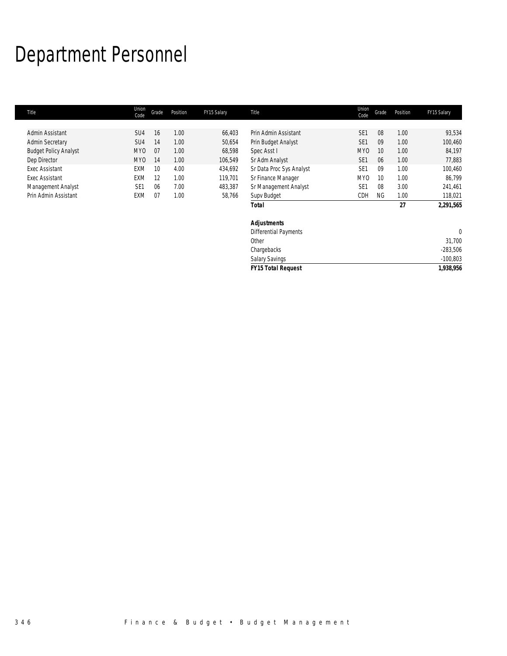# Department Personnel

| Title                        | Union<br>Code   | Grade | Position | FY15 Salary | <b>Title</b>              | Union<br>Code   | Grade     | Position | FY15 Salary |
|------------------------------|-----------------|-------|----------|-------------|---------------------------|-----------------|-----------|----------|-------------|
|                              |                 |       |          |             |                           |                 |           |          |             |
| Admin Assistant              | SU <sub>4</sub> | 16    | 1.00     | 66,403      | Prin Admin Assistant      | SE <sub>1</sub> | 08        | 1.00     | 93,534      |
| <b>Admin Secretary</b>       | SU4             | 14    | 1.00     | 50,654      | Prin Budget Analyst       | SE <sub>1</sub> | 09        | 1.00     | 100,460     |
| <b>Budget Policy Analyst</b> | <b>MYO</b>      | 07    | 1.00     | 68,598      | Spec Asst I               | <b>MYO</b>      | 10        | 1.00     | 84,197      |
| Dep Director                 | <b>MYO</b>      | 14    | 1.00     | 106,549     | Sr Adm Analyst            | SE <sub>1</sub> | 06        | 1.00     | 77,883      |
| <b>Exec Assistant</b>        | <b>EXM</b>      | 10    | 4.00     | 434,692     | Sr Data Proc Sys Analyst  | SE <sub>1</sub> | 09        | 1.00     | 100,460     |
| <b>Exec Assistant</b>        | <b>EXM</b>      | 12    | 1.00     | 119,701     | Sr Finance Manager        | MY <sub>0</sub> | 10        | 1.00     | 86,799      |
| Management Analyst           | SE <sub>1</sub> | 06    | 7.00     | 483,387     | Sr Management Analyst     | SE <sub>1</sub> | 08        | 3.00     | 241,461     |
| Prin Admin Assistant         | <b>EXM</b>      | 07    | 1.00     | 58,766      | Supv Budget               | CDH             | <b>NG</b> | 1.00     | 118,021     |
|                              |                 |       |          |             | Total                     |                 |           | 27       | 2,291,565   |
|                              |                 |       |          |             | <b>Adjustments</b>        |                 |           |          |             |
|                              |                 |       |          |             | Differential Payments     |                 |           |          | $\theta$    |
|                              |                 |       |          |             | Other                     |                 |           |          | 31,700      |
|                              |                 |       |          |             | Chargebacks               |                 |           |          | $-283,506$  |
|                              |                 |       |          |             | <b>Salary Savings</b>     |                 |           |          | $-100,803$  |
|                              |                 |       |          |             | <b>FY15 Total Request</b> |                 |           |          | 1,938,956   |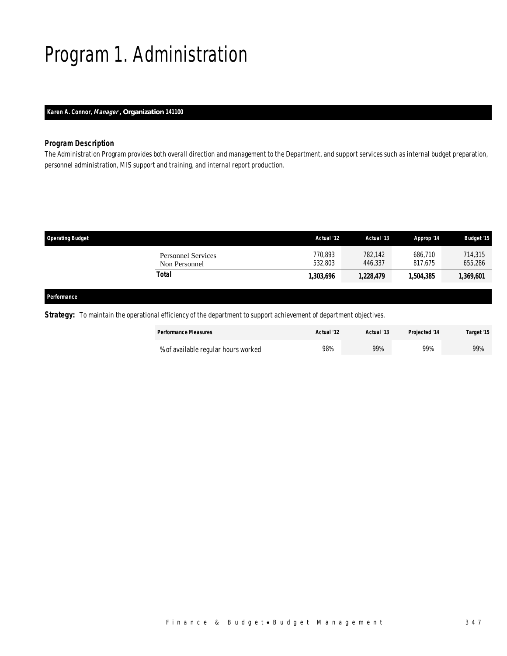# Program 1. Administration

### *Karen A. Connor, Manager , Organization 141100*

### *Program Description*

The Administration Program provides both overall direction and management to the Department, and support services such as internal budget preparation, personnel administration, MIS support and training, and internal report production.

| <b>Operating Budget</b>                    | Actual '12         | Actual '13         | Approp '14         | <b>Budget '15</b>  |
|--------------------------------------------|--------------------|--------------------|--------------------|--------------------|
| <b>Personnel Services</b><br>Non Personnel | 770,893<br>532.803 | 782,142<br>446.337 | 686.710<br>817.675 | 714,315<br>655,286 |
| Total                                      | 1,303,696          | 1,228,479          | 1,504,385          | 1,369,601          |
|                                            |                    |                    |                    |                    |

### *Performance*

*Strategy:* To maintain the operational efficiency of the department to support achievement of department objectives.

| <b>Performance Measures</b>         | Actual '12 | Actual '13 | Projected '14 | Target '15 |
|-------------------------------------|------------|------------|---------------|------------|
| % of available regular hours worked | 98%        | 99%        | 99%           | 99%        |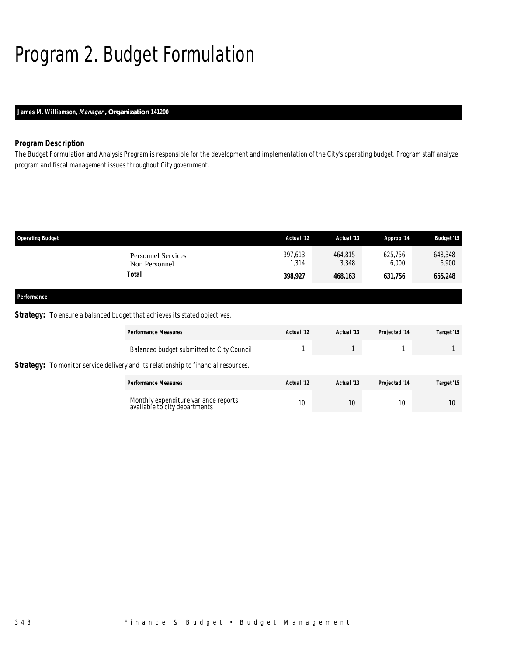# Program 2. Budget Formulation

### *James M. Williamson, Manager , Organization 141200*

### *Program Description*

The Budget Formulation and Analysis Program is responsible for the development and implementation of the City's operating budget. Program staff analyze program and fiscal management issues throughout City government.

| <b>Operating Budget</b> |                                            | Actual '12       | Actual '13       | Approp '14       | <b>Budget '15</b> |
|-------------------------|--------------------------------------------|------------------|------------------|------------------|-------------------|
|                         | <b>Personnel Services</b><br>Non Personnel | 397,613<br>1,314 | 464,815<br>3,348 | 625,756<br>6,000 | 648,348<br>6,900  |
|                         | <b>Total</b>                               | 398,927          | 468,163          | 631,756          | 655,248           |
| Performance             |                                            |                  |                  |                  |                   |

### **Strategy:** To ensure a balanced budget that achieves its stated objectives.

| <b>Performance Measures</b>                                                               | Actual '12 | Actual '13 | Projected '14 | Target '15      |
|-------------------------------------------------------------------------------------------|------------|------------|---------------|-----------------|
| Balanced budget submitted to City Council                                                 |            |            |               |                 |
| <b>Strategy:</b> To monitor service delivery and its relationship to financial resources. |            |            |               |                 |
| <b>Performance Measures</b>                                                               | Actual '12 | Actual '13 | Projected '14 | Target '15      |
| Monthly expenditure variance reports<br>available to city departments                     | 10         | 10         | 10            | 10 <sup>°</sup> |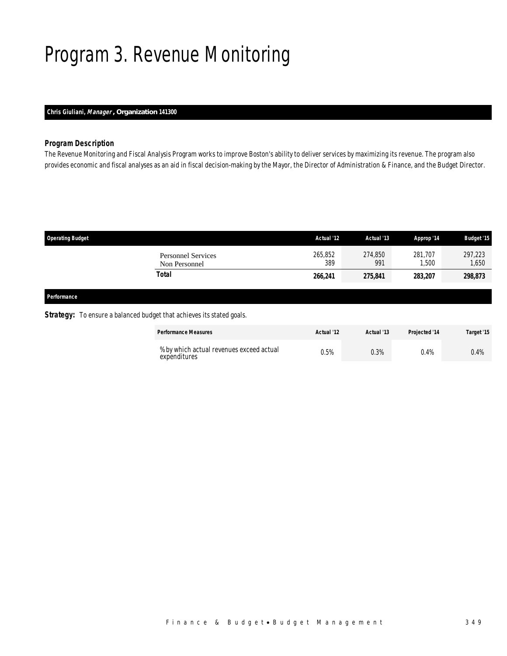## Program 3. Revenue Monitoring

## *Chris Giuliani, Manager , Organization 141300*

### *Program Description*

The Revenue Monitoring and Fiscal Analysis Program works to improve Boston's ability to deliver services by maximizing its revenue. The program also provides economic and fiscal analyses as an aid in fiscal decision-making by the Mayor, the Director of Administration & Finance, and the Budget Director.

| <b>Operating Budget</b> |                                            | Actual '12     | Actual '13     | Approp '14       | <b>Budget '15</b> |
|-------------------------|--------------------------------------------|----------------|----------------|------------------|-------------------|
|                         | <b>Personnel Services</b><br>Non Personnel | 265,852<br>389 | 274,850<br>991 | 281.707<br>1,500 | 297,223<br>1,650  |
|                         | Total                                      | 266,241        | 275,841        | 283,207          | 298,873           |
| Performance             |                                            |                |                |                  |                   |

### **Strategy:** To ensure a balanced budget that achieves its stated goals.

| <b>Performance Measures</b>                              | Actual '12 | Actual '13 | <b>Projected '14</b> | Target '15 |
|----------------------------------------------------------|------------|------------|----------------------|------------|
| % by which actual revenues exceed actual<br>expenditures | 0.5%       | 0.3%       | 0.4%                 | $0.4\%$    |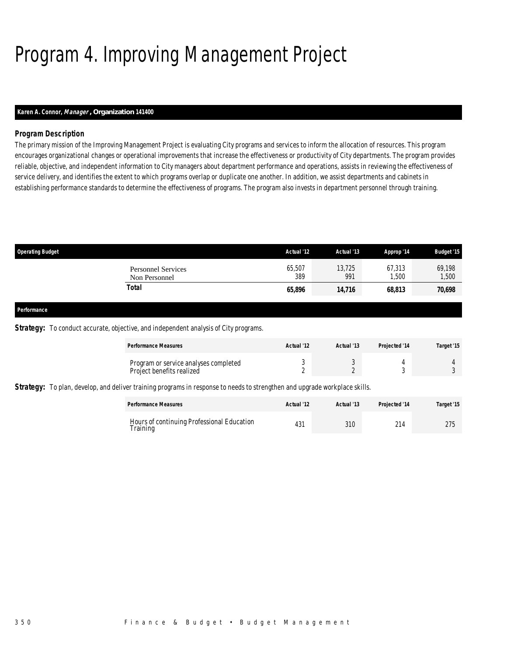## Program 4. Improving Management Project

## *Karen A. Connor, Manager , Organization 141400*

## *Program Description*

The primary mission of the Improving Management Project is evaluating City programs and services to inform the allocation of resources. This program encourages organizational changes or operational improvements that increase the effectiveness or productivity of City departments. The program provides reliable, objective, and independent information to City managers about department performance and operations, assists in reviewing the effectiveness of service delivery, and identifies the extent to which programs overlap or duplicate one another. In addition, we assist departments and cabinets in establishing performance standards to determine the effectiveness of programs. The program also invests in department personnel through training.

| <b>Operating Budget</b>                    | Actual '12    | Actual '13    | Approp '14      | <b>Budget '15</b> |
|--------------------------------------------|---------------|---------------|-----------------|-------------------|
| <b>Personnel Services</b><br>Non Personnel | 65,507<br>389 | 13,725<br>991 | 67,313<br>1,500 | 69,198<br>1,500   |
| Total                                      | 65,896        | 14,716        | 68,813          | 70,698            |
|                                            |               |               |                 |                   |

#### *Performance*

**Strategy:** To conduct accurate, objective, and independent analysis of City programs.

| <b>Performance Measures</b>                                        | Actual '12 | Actual '13 | <b>Projected '14</b> | Target '15 |
|--------------------------------------------------------------------|------------|------------|----------------------|------------|
| Program or service analyses completed<br>Project benefits realized |            |            |                      |            |

*Strategy:* To plan, develop, and deliver training programs in response to needs to strengthen and upgrade workplace skills.

| <b>Performance Measures</b>                            | Actual '12 | Actual '13 | <b>Projected '14</b> | Target '15 |
|--------------------------------------------------------|------------|------------|----------------------|------------|
| Hours of continuing Professional Education<br>Training | 431        | 310        | $^{\sim}$            | 275        |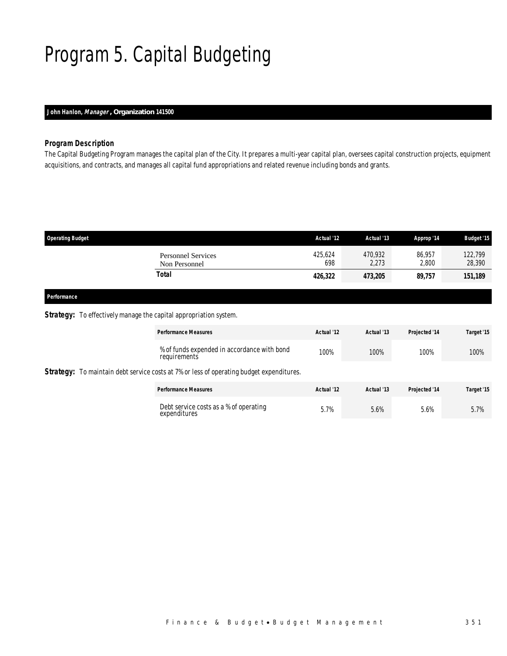## Program 5. Capital Budgeting

## *John Hanlon, Manager , Organization 141500*

## *Program Description*

The Capital Budgeting Program manages the capital plan of the City. It prepares a multi-year capital plan, oversees capital construction projects, equipment acquisitions, and contracts, and manages all capital fund appropriations and related revenue including bonds and grants.

| <b>Operating Budget</b>                    | Actual '12     | Actual '13       | Approp '14      | <b>Budget '15</b> |
|--------------------------------------------|----------------|------------------|-----------------|-------------------|
| <b>Personnel Services</b><br>Non Personnel | 425,624<br>698 | 470.932<br>2,273 | 86.957<br>2,800 | 122,799<br>28,390 |
| Total                                      | 426,322        | 473,205          | 89,757          | 151,189           |

### *Performance*

### *Strategy:* To effectively manage the capital appropriation system.

|  | <b>Performance Measures</b>                                                                     | Actual '12 | Actual '13 | Projected '14 | Target '15 |
|--|-------------------------------------------------------------------------------------------------|------------|------------|---------------|------------|
|  | % of funds expended in accordance with bond<br>requirements                                     | 100%       | 100%       | 100%          | 100%       |
|  | <b>Strategy:</b> To maintain debt service costs at 7% or less of operating budget expenditures. |            |            |               |            |
|  | <b>Performance Measures</b>                                                                     | Actual '12 | Actual '13 | Projected '14 | Target '15 |
|  | Debt service costs as a % of operating<br>expenditures                                          | 5.7%       | 5.6%       | 5.6%          | 5.7%       |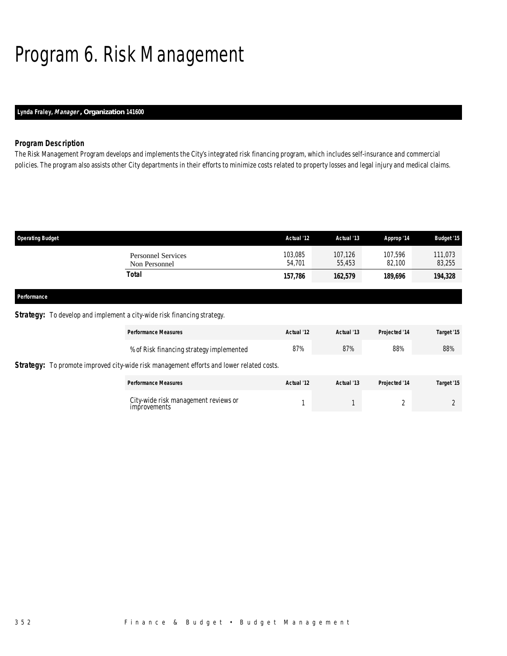## Program 6. Risk Management

## *Lynda Fraley, Manager , Organization 141600*

## *Program Description*

The Risk Management Program develops and implements the City's integrated risk financing program, which includes self-insurance and commercial policies. The program also assists other City departments in their efforts to minimize costs related to property losses and legal injury and medical claims.

| <b>Operating Budget</b> |                                            | Actual '12        | Actual '13        | Approp '14        | <b>Budget '15</b> |
|-------------------------|--------------------------------------------|-------------------|-------------------|-------------------|-------------------|
|                         | <b>Personnel Services</b><br>Non Personnel | 103,085<br>54.701 | 107,126<br>55,453 | 107,596<br>82,100 | 111,073<br>83,255 |
|                         | <b>Total</b>                               | 157,786           | 162,579           | 189,696           | 194,328           |
| Performance             |                                            |                   |                   |                   |                   |

### **Strategy:** To develop and implement a city-wide risk financing strategy.

| <b>Performance Measures</b>                                                                     | Actual '12 | Actual '13 | Projected '14 | Target '15 |
|-------------------------------------------------------------------------------------------------|------------|------------|---------------|------------|
| % of Risk financing strategy implemented                                                        | 87%        | 87%        | 88%           | 88%        |
| <b>Strategy:</b> To promote improved city-wide risk management efforts and lower related costs. |            |            |               |            |
| <b>Performance Measures</b>                                                                     | Actual '12 | Actual '13 | Projected '14 | Target '15 |
| City-wide risk management reviews or<br>improvements                                            |            |            |               |            |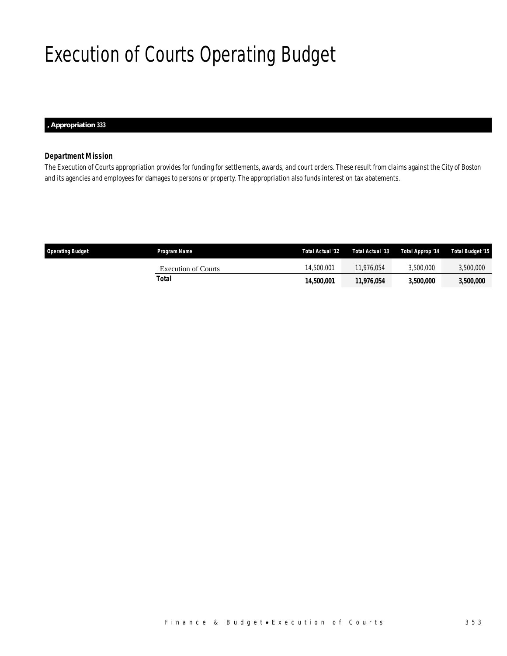## Execution of Courts Operating Budget

*, Appropriation 333* 

### *Department Mission*

The Execution of Courts appropriation provides for funding for settlements, awards, and court orders. These result from claims against the City of Boston and its agencies and employees for damages to persons or property. The appropriation also funds interest on tax abatements.

| <b>Operating Budget</b> | Program Name        | Total Actual '12 | Total Actual '13 | Total Approp '14 | Total Budget '15 |
|-------------------------|---------------------|------------------|------------------|------------------|------------------|
|                         | Execution of Courts | 14,500,001       | 11.976.054       | 3.500.000        | 3,500,000        |
|                         | Total               | 14.500.001       | 11.976.054       | <i>3.500.000</i> | 3,500,000        |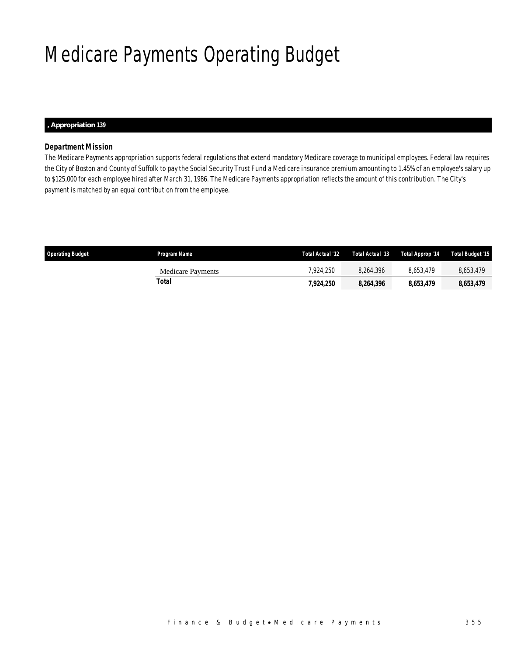## Medicare Payments Operating Budget

#### *, Appropriation 139*

## *Department Mission*

The Medicare Payments appropriation supports federal regulations that extend mandatory Medicare coverage to municipal employees. Federal law requires the City of Boston and County of Suffolk to pay the Social Security Trust Fund a Medicare insurance premium amounting to 1.45% of an employee's salary up to \$125,000 for each employee hired after March 31, 1986. The Medicare Payments appropriation reflects the amount of this contribution. The City's payment is matched by an equal contribution from the employee.

| Operating Budget | Program Name             | Total Actual '12 | Total Actual '13 | Total Approp '14 | Total Budget '15 |
|------------------|--------------------------|------------------|------------------|------------------|------------------|
|                  | <b>Medicare Payments</b> | 7.924.250        | 8.264.396        | 8.653.479        | 8,653,479        |
|                  | Total                    | 7,924,250        | 8.264.396        | 8,653,479        | 8,653,479        |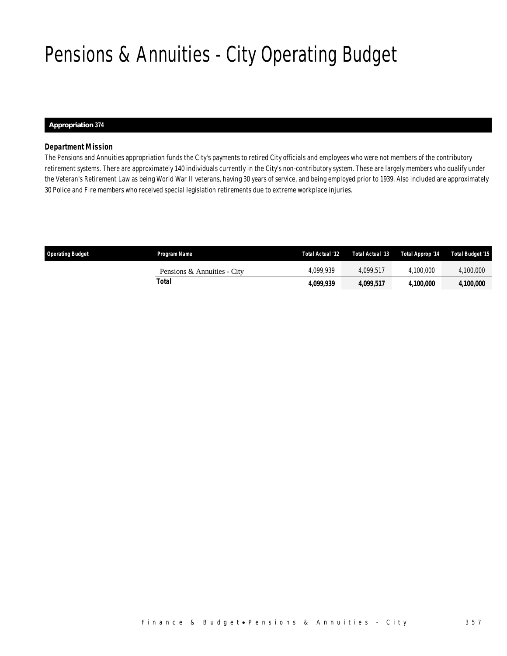## Pensions & Annuities - City Operating Budget

### *Appropriation 374*

### *Department Mission*

The Pensions and Annuities appropriation funds the City's payments to retired City officials and employees who were not members of the contributory retirement systems. There are approximately 140 individuals currently in the City's non-contributory system. These are largely members who qualify under the Veteran's Retirement Law as being World War II veterans, having 30 years of service, and being employed prior to 1939. Also included are approximately 30 Police and Fire members who received special legislation retirements due to extreme workplace injuries.

| <b>Operating Budget</b> | Program Name                | Total Actual '12 | Total Actual '13 | Total Approp '14 | Total Budget '15 |
|-------------------------|-----------------------------|------------------|------------------|------------------|------------------|
|                         | Pensions & Annuities - City | 4.099.939        | 4.099.517        | 4.100.000        | 4,100,000        |
|                         | Total                       | 4,099,939        | 4.099.517        | <i>4.100.000</i> | <i>4,100,000</i> |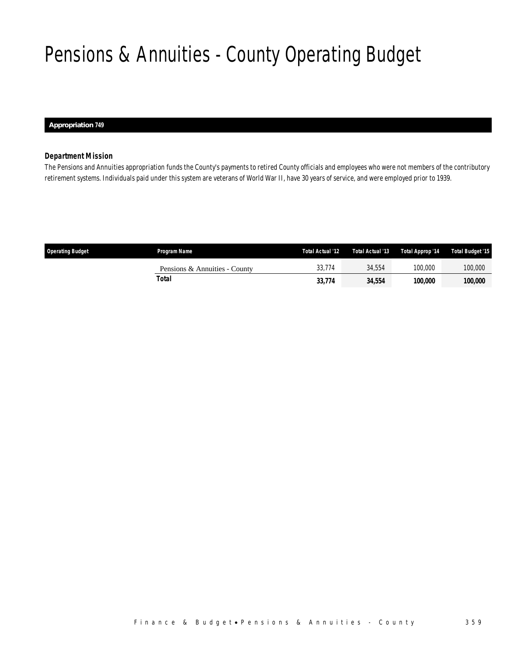## Pensions & Annuities - County Operating Budget

 *Appropriation 749* 

### *Department Mission*

The Pensions and Annuities appropriation funds the County's payments to retired County officials and employees who were not members of the contributory retirement systems. Individuals paid under this system are veterans of World War II, have 30 years of service, and were employed prior to 1939.

| <b>Operating Budget</b> | <b>Program Name</b>           | Total Actual '12 | Total Actual '13 | Total Approp '14 | Total Budget '15 |
|-------------------------|-------------------------------|------------------|------------------|------------------|------------------|
|                         | Pensions & Annuities - County | 33.774           | 34.554           | 100.000          | 100,000          |
|                         | Total                         | 33,774           | 34,554           | 100.000          | 100,000          |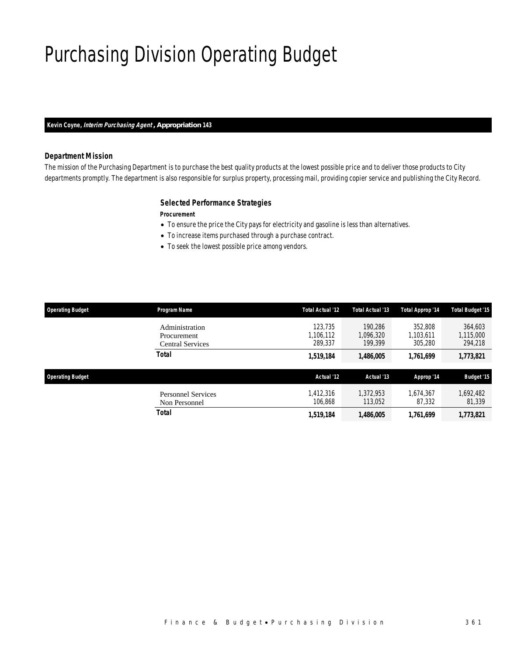## Purchasing Division Operating Budget

## *Kevin Coyne, Interim Purchasing Agent , Appropriation 143*

### *Department Mission*

The mission of the Purchasing Department is to purchase the best quality products at the lowest possible price and to deliver those products to City departments promptly. The department is also responsible for surplus property, processing mail, providing copier service and publishing the City Record.

### *Selected Performance Strategies*

#### *Procurement*

- To ensure the price the City pays for electricity and gasoline is less than alternatives.
- To increase items purchased through a purchase contract.
- To seek the lowest possible price among vendors.

| <b>Operating Budget</b> | Program Name                                      | <b>Total Actual '12</b>         | Total Actual '13                | Total Approp '14                | <b>Total Budget '15</b>         |
|-------------------------|---------------------------------------------------|---------------------------------|---------------------------------|---------------------------------|---------------------------------|
|                         | Administration<br>Procurement<br>Central Services | 123.735<br>1,106,112<br>289,337 | 190.286<br>1,096,320<br>199.399 | 352,808<br>1,103,611<br>305,280 | 364,603<br>1,115,000<br>294,218 |
|                         | <b>Total</b>                                      | 1,519,184                       | 1,486,005                       | 1,761,699                       | 1,773,821                       |
| <b>Operating Budget</b> |                                                   | Actual '12                      | Actual '13                      | Approp '14                      | <b>Budget '15</b>               |
|                         | <b>Personnel Services</b><br>Non Personnel        | 1,412,316<br>106.868            | 1,372,953<br>113,052            | 1.674.367<br>87,332             | 1,692,482<br>81,339             |
|                         | Total                                             | 1,519,184                       | 1,486,005                       | 1,761,699                       | 1,773,821                       |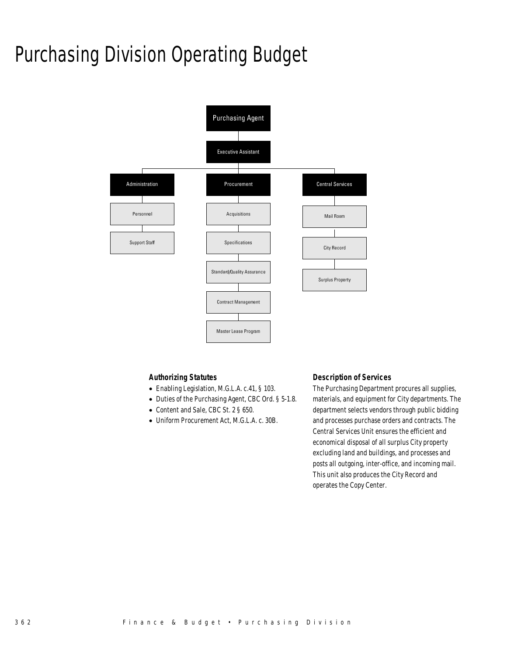## Purchasing Division Operating Budget



### *Authorizing Statutes*

- Enabling Legislation, M.G.L.A. c.41, § 103.
- Duties of the Purchasing Agent, CBC Ord. § 5-1.8.
- Content and Sale, CBC St. 2 § 650.
- Uniform Procurement Act, M.G.L.A. c. 30B.

### *Description of Services*

The Purchasing Department procures all supplies, materials, and equipment for City departments. The department selects vendors through public bidding and processes purchase orders and contracts. The Central Services Unit ensures the efficient and economical disposal of all surplus City property excluding land and buildings, and processes and posts all outgoing, inter-office, and incoming mail. This unit also produces the City Record and operates the Copy Center.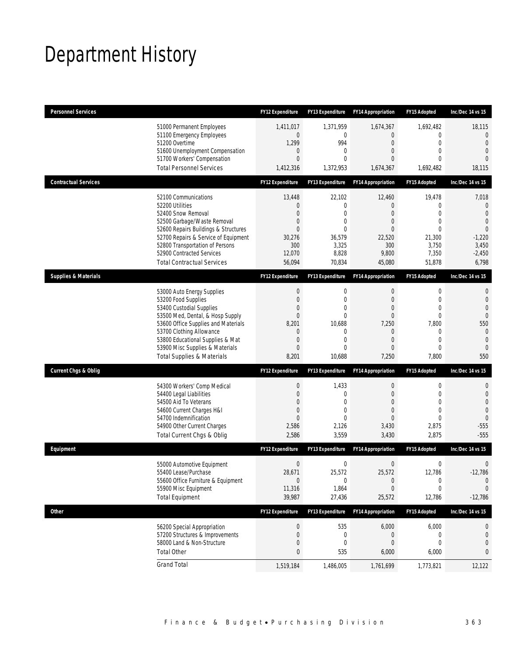## Department History

| <b>Personnel Services</b>       |                                                                                                                                                                                                                                                                                                      | <b>FY12 Expenditure</b>                                                                                                        | <b>FY13 Expenditure</b>                                                                               | <b>FY14 Appropriation</b>                                                   | <b>FY15 Adopted</b>                                                                                                     | Inc/Dec 14 vs 15                                                                                                   |
|---------------------------------|------------------------------------------------------------------------------------------------------------------------------------------------------------------------------------------------------------------------------------------------------------------------------------------------------|--------------------------------------------------------------------------------------------------------------------------------|-------------------------------------------------------------------------------------------------------|-----------------------------------------------------------------------------|-------------------------------------------------------------------------------------------------------------------------|--------------------------------------------------------------------------------------------------------------------|
|                                 | 51000 Permanent Employees<br>51100 Emergency Employees<br>51200 Overtime<br>51600 Unemployment Compensation<br>51700 Workers' Compensation<br><b>Total Personnel Services</b>                                                                                                                        | 1,411,017<br>0<br>1,299<br>$\mathbf 0$<br>$\Omega$<br>1,412,316                                                                | 1,371,959<br>0<br>994<br>0<br>$\Omega$<br>1,372,953                                                   | 1,674,367<br>0<br>0<br>0<br>0<br>1,674,367                                  | 1,692,482<br>$\mathbf 0$<br>$\mathbf 0$<br>$\mathbf{0}$<br>$\Omega$<br>1,692,482                                        | 18,115<br>$\mathbf{0}$<br>$\overline{0}$<br>$\overline{0}$<br>$\Omega$<br>18,115                                   |
| <b>Contractual Services</b>     |                                                                                                                                                                                                                                                                                                      | <b>FY12 Expenditure</b>                                                                                                        | <b>FY13 Expenditure</b>                                                                               | <b>FY14 Appropriation</b>                                                   | <b>FY15 Adopted</b>                                                                                                     | Inc/Dec 14 vs 15                                                                                                   |
|                                 | 52100 Communications<br>52200 Utilities<br>52400 Snow Removal<br>52500 Garbage/Waste Removal<br>52600 Repairs Buildings & Structures<br>52700 Repairs & Service of Equipment<br>52800 Transportation of Persons<br>52900 Contracted Services<br><b>Total Contractual Services</b>                    | 13,448<br>$\mathbf 0$<br>$\overline{0}$<br>$\mathbf 0$<br>$\overline{0}$<br>30,276<br>300<br>12,070<br>56,094                  | 22,102<br>0<br>0<br>0<br>$\Omega$<br>36,579<br>3,325<br>8,828<br>70,834                               | 12,460<br>0<br>0<br>0<br>0<br>22,520<br>300<br>9,800<br>45,080              | 19,478<br>$\mathbf{0}$<br>$\mathbf{0}$<br>$\mathbf{0}$<br>$\theta$<br>21,300<br>3,750<br>7,350<br>51,878                | 7,018<br>0<br>$\mathbf{0}$<br>$\overline{0}$<br>$\theta$<br>$-1,220$<br>3,450<br>$-2,450$<br>6,798                 |
| <b>Supplies &amp; Materials</b> |                                                                                                                                                                                                                                                                                                      | <b>FY12 Expenditure</b>                                                                                                        | <b>FY13 Expenditure</b>                                                                               | <b>FY14 Appropriation</b>                                                   | <b>FY15 Adopted</b>                                                                                                     | Inc/Dec 14 vs 15                                                                                                   |
|                                 | 53000 Auto Energy Supplies<br>53200 Food Supplies<br>53400 Custodial Supplies<br>53500 Med, Dental, & Hosp Supply<br>53600 Office Supplies and Materials<br>53700 Clothing Allowance<br>53800 Educational Supplies & Mat<br>53900 Misc Supplies & Materials<br><b>Total Supplies &amp; Materials</b> | $\boldsymbol{0}$<br>$\boldsymbol{0}$<br>$\overline{0}$<br>$\mathbf{0}$<br>8,201<br>$\mathbf 0$<br>0<br>$\overline{0}$<br>8,201 | 0<br>$\mathbf{0}$<br>$\mathbf{0}$<br>$\mathbf{0}$<br>10,688<br>0<br>$\mathbf 0$<br>$\Omega$<br>10,688 | 0<br>$\overline{0}$<br>0<br>$\overline{0}$<br>7,250<br>0<br>0<br>0<br>7,250 | $\boldsymbol{0}$<br>$\mathbf{0}$<br>$\mathbf{0}$<br>$\mathbf{0}$<br>7,800<br>0<br>$\mathbf{0}$<br>$\mathbf{0}$<br>7,800 | 0<br>$\mathbf 0$<br>$\overline{0}$<br>$\overline{0}$<br>550<br>$\mathbf{0}$<br>$\mathbf{0}$<br>$\mathbf{0}$<br>550 |
| <b>Current Chgs &amp; Oblig</b> |                                                                                                                                                                                                                                                                                                      | <b>FY12 Expenditure</b>                                                                                                        | FY13 Expenditure                                                                                      | <b>FY14 Appropriation</b>                                                   | <b>FY15 Adopted</b>                                                                                                     | Inc/Dec 14 vs 15                                                                                                   |
|                                 | 54300 Workers' Comp Medical<br>54400 Legal Liabilities<br>54500 Aid To Veterans<br>54600 Current Charges H&I<br>54700 Indemnification<br>54900 Other Current Charges<br>Total Current Chgs & Oblig                                                                                                   | $\boldsymbol{0}$<br>$\boldsymbol{0}$<br>$\overline{0}$<br>$\boldsymbol{0}$<br>$\mathbf{0}$<br>2,586<br>2,586                   | 1,433<br>0<br>0<br>$\mathbf 0$<br>$\Omega$<br>2,126<br>3,559                                          | 0<br>$\overline{0}$<br>0<br>0<br>0<br>3,430<br>3,430                        | $\boldsymbol{0}$<br>$\mathbf 0$<br>$\mathbf{0}$<br>$\mathbf{0}$<br>$\mathbf{0}$<br>2,875<br>2,875                       | 0<br>$\mathbf 0$<br>$\overline{0}$<br>$\overline{0}$<br>$\mathbf{0}$<br>$-555$<br>$-555$                           |
| Equipment                       |                                                                                                                                                                                                                                                                                                      | <b>FY12 Expenditure</b>                                                                                                        | <b>FY13 Expenditure</b>                                                                               | <b>FY14 Appropriation</b>                                                   | <b>FY15 Adopted</b>                                                                                                     | Inc/Dec 14 vs 15                                                                                                   |
|                                 | 55000 Automotive Equipment<br>55400 Lease/Purchase<br>55600 Office Furniture & Equipment<br>55900 Misc Equipment<br><b>Total Equipment</b>                                                                                                                                                           | $\boldsymbol{0}$<br>28,671<br>$\mathbf 0$<br>11,316<br>39,987                                                                  | 0<br>25,572<br>$\boldsymbol{0}$<br>1,864<br>27,436                                                    | $\mathbf 0$<br>25,572<br>$\boldsymbol{0}$<br>0<br>25,572                    | 0<br>12,786<br>$\boldsymbol{0}$<br>$\mathbf{0}$<br>12,786                                                               | $\mathbf 0$<br>$-12,786$<br>$\theta$<br>$\mathbf 0$<br>$-12,786$                                                   |
| <b>Other</b>                    |                                                                                                                                                                                                                                                                                                      | FY12 Expenditure                                                                                                               | FY13 Expenditure                                                                                      | <b>FY14 Appropriation</b>                                                   | FY15 Adopted                                                                                                            | Inc/Dec 14 vs 15                                                                                                   |
|                                 | 56200 Special Appropriation<br>57200 Structures & Improvements<br>58000 Land & Non-Structure<br><b>Total Other</b>                                                                                                                                                                                   | $\boldsymbol{0}$<br>$\mathbf 0$<br>0<br>0                                                                                      | 535<br>0<br>$\mathbf 0$<br>535                                                                        | 6,000<br>$\boldsymbol{0}$<br>0<br>6,000                                     | 6,000<br>$\boldsymbol{0}$<br>$\mathbf{0}$<br>6,000                                                                      | 0<br>0<br>0<br>0                                                                                                   |
|                                 | <b>Grand Total</b>                                                                                                                                                                                                                                                                                   | 1,519,184                                                                                                                      | 1,486,005                                                                                             | 1,761,699                                                                   | 1,773,821                                                                                                               | 12,122                                                                                                             |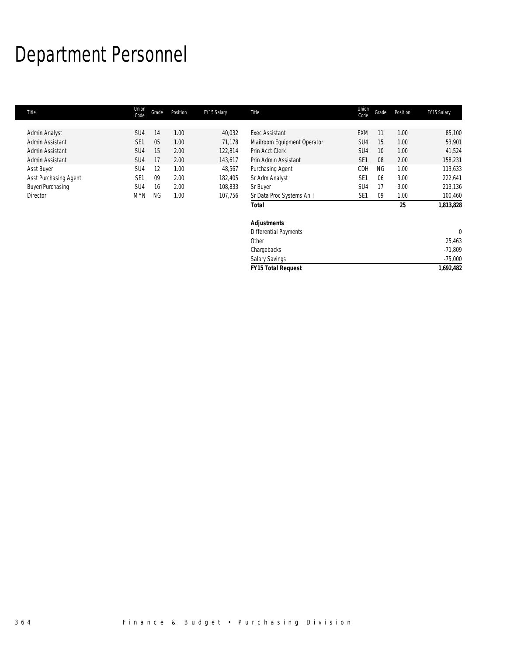## Department Personnel

| Title                 | Union<br>Code   | Grade     | Position | FY15 Salary | Title                       | Union<br>Code   | Grade           | Position | FY15 Salary |
|-----------------------|-----------------|-----------|----------|-------------|-----------------------------|-----------------|-----------------|----------|-------------|
|                       |                 |           |          |             |                             |                 |                 |          |             |
| Admin Analyst         | SU <sub>4</sub> | 14        | 1.00     | 40,032      | <b>Exec Assistant</b>       | <b>EXM</b>      | 11              | 1.00     | 85,100      |
| Admin Assistant       | SE <sub>1</sub> | 05        | 1.00     | 71,178      | Mailroom Equipment Operator | SU4             | 15              | 1.00     | 53,901      |
| Admin Assistant       | SU <sub>4</sub> | 15        | 2.00     | 122,814     | Prin Acct Clerk             | SU <sub>4</sub> | 10 <sup>°</sup> | 1.00     | 41,524      |
| Admin Assistant       | SU <sub>4</sub> | 17        | 2.00     | 143,617     | Prin Admin Assistant        | SE <sub>1</sub> | 08              | 2.00     | 158,231     |
| Asst Buyer            | SU <sub>4</sub> | 12        | 1.00     | 48,567      | Purchasing Agent            | CDH             | <b>NG</b>       | 1.00     | 113,633     |
| Asst Purchasing Agent | SE <sub>1</sub> | 09        | 2.00     | 182,405     | Sr Adm Analyst              | SE <sub>1</sub> | 06              | 3.00     | 222,641     |
| Buyer/Purchasing      | SU <sub>4</sub> | 16        | 2.00     | 108,833     | Sr Buyer                    | SU4             | 17              | 3.00     | 213,136     |
| Director              | <b>MYN</b>      | <b>NG</b> | 1.00     | 107,756     | Sr Data Proc Systems Anl I  | SE <sub>1</sub> | 09              | 1.00     | 100,460     |
|                       |                 |           |          |             | <b>Total</b>                |                 |                 | 25       | 1,813,828   |
|                       |                 |           |          |             | <b>Adjustments</b>          |                 |                 |          |             |
|                       |                 |           |          |             | Differential Payments       |                 |                 |          | $\theta$    |
|                       |                 |           |          |             | Other                       |                 |                 |          | 25,463      |
|                       |                 |           |          |             | Chargebacks                 |                 |                 |          | $-71,809$   |
|                       |                 |           |          |             | <b>Salary Savings</b>       |                 |                 |          | $-75,000$   |
|                       |                 |           |          |             | <b>FY15 Total Request</b>   |                 |                 |          | 1,692,482   |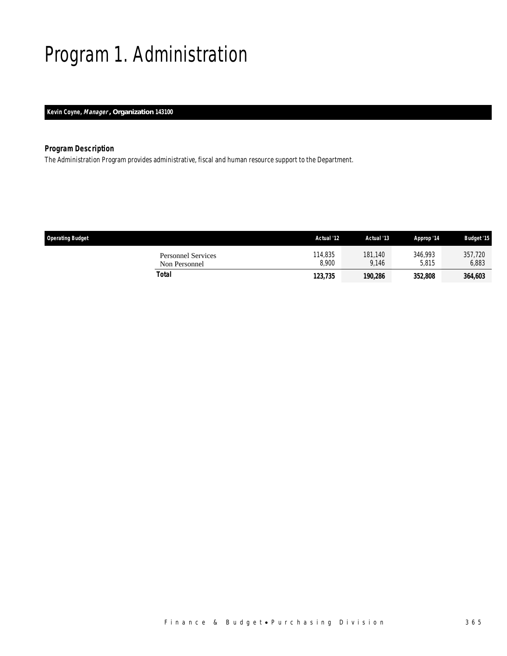## Program 1. Administration

*Kevin Coyne, Manager , Organization 143100* 

## *Program Description*

The Administration Program provides administrative, fiscal and human resource support to the Department.

| <b>Operating Budget</b>                    | Actual '12       | Actual '13       | Approp '14       | <b>Budget '15</b> |
|--------------------------------------------|------------------|------------------|------------------|-------------------|
| <b>Personnel Services</b><br>Non Personnel | 114,835<br>8.900 | 181.140<br>9.146 | 346.993<br>5.815 | 357,720<br>6,883  |
| Total                                      | 123,735          | 190.286          | 352,808          | 364,603           |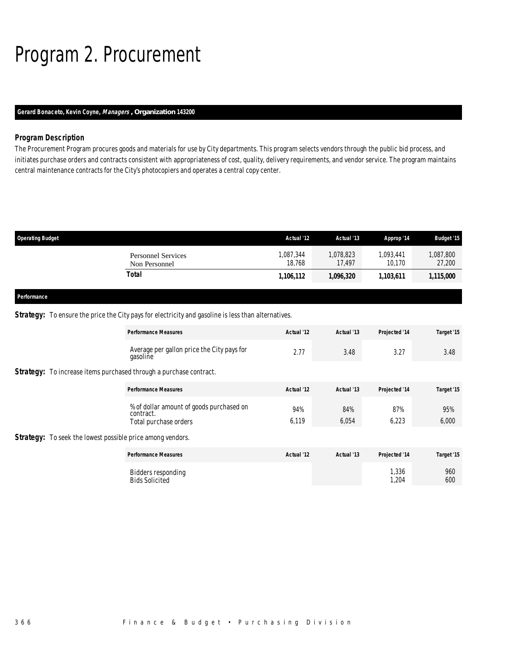## Program 2. Procurement

### *Gerard Bonaceto, Kevin Coyne, Managers , Organization 143200*

## *Program Description*

The Procurement Program procures goods and materials for use by City departments. This program selects vendors through the public bid process, and initiates purchase orders and contracts consistent with appropriateness of cost, quality, delivery requirements, and vendor service. The program maintains central maintenance contracts for the City's photocopiers and operates a central copy center.

| <b>Operating Budget</b>                    | Actual '12          | Actual '13          | Approp '14          | <b>Budget '15</b>  |
|--------------------------------------------|---------------------|---------------------|---------------------|--------------------|
| <b>Personnel Services</b><br>Non Personnel | 1,087,344<br>18.768 | 1,078,823<br>17.497 | 1,093,441<br>10.170 | ,087,800<br>27,200 |
| Total                                      | 1,106,112           | 1,096,320           | 1,103,611           | 1,115,000          |
|                                            |                     |                     |                     |                    |
| Performance                                |                     |                     |                     |                    |

**Strategy:** To ensure the price the City pays for electricity and gasoline is less than alternatives.

|  | <b>Performance Measures</b>                                                    | Actual '12   | Actual '13   | Projected '14  | Target '15   |
|--|--------------------------------------------------------------------------------|--------------|--------------|----------------|--------------|
|  | Average per gallon price the City pays for<br>gasoline                         | 2.77         | 3.48         | 3.27           | 3.48         |
|  | <b>Strategy:</b> To increase items purchased through a purchase contract.      |              |              |                |              |
|  | <b>Performance Measures</b>                                                    | Actual '12   | Actual '13   | Projected '14  | Target '15   |
|  | % of dollar amount of goods purchased on<br>contract.<br>Total purchase orders | 94%<br>6,119 | 84%<br>6,054 | 87%<br>6,223   | 95%<br>6,000 |
|  | <b>Strategy:</b> To seek the lowest possible price among vendors.              |              |              |                |              |
|  | <b>Performance Measures</b>                                                    | Actual '12   | Actual '13   | Projected '14  | Target '15   |
|  | <b>Bidders responding</b><br><b>Bids Solicited</b>                             |              |              | 1,336<br>1,204 | 960<br>600   |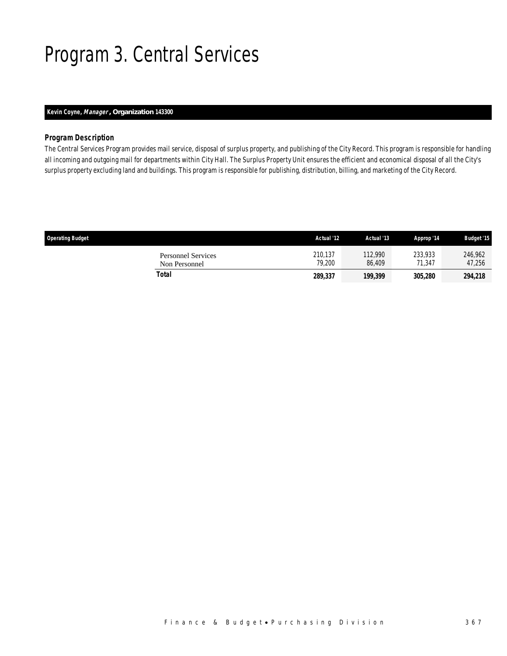## Program 3. Central Services

### *Kevin Coyne, Manager , Organization 143300*

### *Program Description*

The Central Services Program provides mail service, disposal of surplus property, and publishing of the City Record. This program is responsible for handling all incoming and outgoing mail for departments within City Hall. The Surplus Property Unit ensures the efficient and economical disposal of all the City's surplus property excluding land and buildings. This program is responsible for publishing, distribution, billing, and marketing of the City Record.

| <b>Operating Budget</b>                    | Actual '12        | Actual '13        | Approp '14            | <b>Budget '15</b> |
|--------------------------------------------|-------------------|-------------------|-----------------------|-------------------|
| <b>Personnel Services</b><br>Non Personnel | 210.137<br>79.200 | 112,990<br>86.409 | 233,933<br>71.347     | 246,962<br>47,256 |
| Total                                      | 289,337           | 199,399           | <i><b>305,280</b></i> | 294,218           |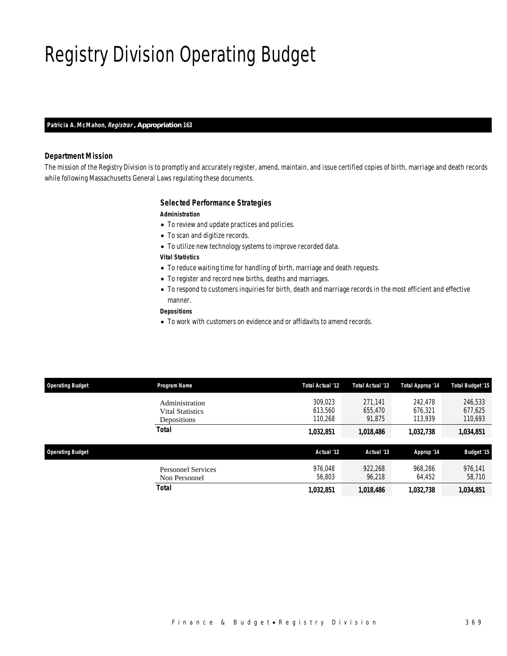## Registry Division Operating Budget

#### *Patricia A. McMahon, Registrar , Appropriation 163*

#### *Department Mission*

The mission of the Registry Division is to promptly and accurately register, amend, maintain, and issue certified copies of birth, marriage and death records while following Massachusetts General Laws regulating these documents.

#### *Selected Performance Strategies*

#### *Administration*

- To review and update practices and policies.
- To scan and digitize records.
- To utilize new technology systems to improve recorded data.
- *Vital Statistics*
- To reduce waiting time for handling of birth, marriage and death requests.
- To register and record new births, deaths and marriages.
- To respond to customers inquiries for birth, death and marriage records in the most efficient and effective manner.

#### *Depositions*

• To work with customers on evidence and or affidavits to amend records.

| <b>Operating Budget</b> | Program Name                                             | <b>Total Actual '12</b>       | Total Actual '13             | Total Approp '14              | <b>Total Budget '15</b>       |
|-------------------------|----------------------------------------------------------|-------------------------------|------------------------------|-------------------------------|-------------------------------|
|                         | Administration<br><b>Vital Statistics</b><br>Depositions | 309.023<br>613.560<br>110.268 | 271.141<br>655,470<br>91.875 | 242.478<br>676.321<br>113.939 | 246,533<br>677.625<br>110,693 |
|                         | <b>Total</b>                                             | 1,032,851                     | 1,018,486                    | 1,032,738                     | 1,034,851                     |
| <b>Operating Budget</b> |                                                          | Actual '12                    | Actual '13                   | Approp '14                    | <b>Budget '15</b>             |
|                         | <b>Personnel Services</b><br>Non Personnel               | 976.048<br>56,803             | 922.268<br>96,218            | 968,286<br>64,452             | 976,141<br>58,710             |
|                         | Total                                                    | 1,032,851                     | 1,018,486                    | 1,032,738                     | 1,034,851                     |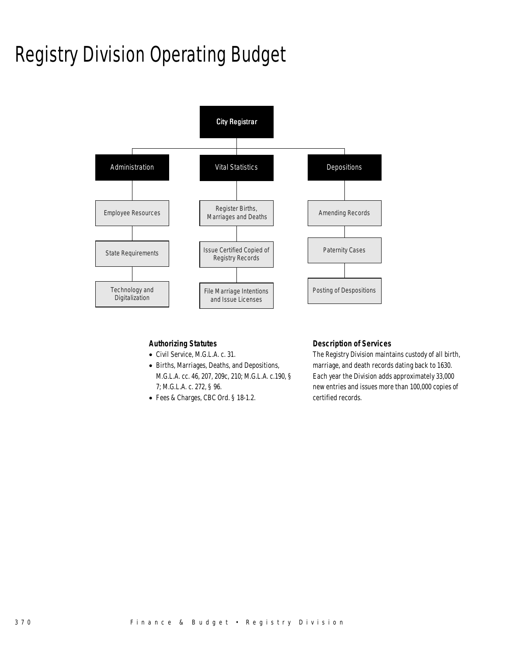## Registry Division Operating Budget



### *Authorizing Statutes*

- Civil Service, M.G.L.A. c. 31.
- Births, Marriages, Deaths, and Depositions, M.G.L.A. cc. 46, 207, 209c, 210; M.G.L.A. c.190, § 7; M.G.L.A. c. 272, § 96.
- Fees & Charges, CBC Ord. § 18-1.2.

### *Description of Services*

The Registry Division maintains custody of all birth, marriage, and death records dating back to 1630. Each year the Division adds approximately 33,000 new entries and issues more than 100,000 copies of certified records.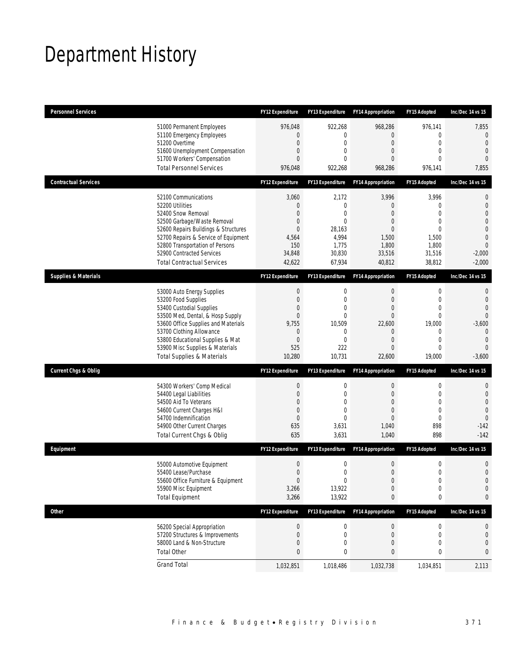## Department History

| <b>Personnel Services</b>       |                                                                                                                                                                                                                                                                                                      | <b>FY12 Expenditure</b>                                                                                                        | <b>FY13 Expenditure</b>                                                                           | <b>FY14 Appropriation</b>                                                                                          | FY15 Adopted                                                                                                        | Inc/Dec 14 vs 15                                                                                                                             |
|---------------------------------|------------------------------------------------------------------------------------------------------------------------------------------------------------------------------------------------------------------------------------------------------------------------------------------------------|--------------------------------------------------------------------------------------------------------------------------------|---------------------------------------------------------------------------------------------------|--------------------------------------------------------------------------------------------------------------------|---------------------------------------------------------------------------------------------------------------------|----------------------------------------------------------------------------------------------------------------------------------------------|
|                                 | 51000 Permanent Employees<br>51100 Emergency Employees<br>51200 Overtime<br>51600 Unemployment Compensation<br>51700 Workers' Compensation<br><b>Total Personnel Services</b>                                                                                                                        | 976,048<br>$\overline{0}$<br>$\boldsymbol{0}$<br>$\overline{0}$<br>$\overline{0}$<br>976,048                                   | 922,268<br>0<br>$\mathbf 0$<br>0<br>$\Omega$<br>922,268                                           | 968,286<br>$\overline{0}$<br>$\boldsymbol{0}$<br>$\overline{0}$<br>$\Omega$<br>968,286                             | 976,141<br>$\mathbf{0}$<br>$\mathbf{0}$<br>$\mathbf{0}$<br>$\Omega$<br>976,141                                      | 7,855<br>$\overline{0}$<br>$\mathbf{0}$<br>$\overline{0}$<br>$\Omega$<br>7,855                                                               |
| <b>Contractual Services</b>     |                                                                                                                                                                                                                                                                                                      | <b>FY12 Expenditure</b>                                                                                                        | <b>FY13 Expenditure</b>                                                                           | <b>FY14 Appropriation</b>                                                                                          | FY15 Adopted                                                                                                        | Inc/Dec 14 vs 15                                                                                                                             |
|                                 | 52100 Communications<br>52200 Utilities<br>52400 Snow Removal<br>52500 Garbage/Waste Removal<br>52600 Repairs Buildings & Structures<br>52700 Repairs & Service of Equipment<br>52800 Transportation of Persons<br>52900 Contracted Services<br><b>Total Contractual Services</b>                    | 3,060<br>$\mathbf 0$<br>$\Omega$<br>$\mathbf 0$<br>$\overline{0}$<br>4,564<br>150<br>34,848<br>42,622                          | 2,172<br>0<br>0<br>0<br>28,163<br>4,994<br>1,775<br>30,830<br>67,934                              | 3,996<br>$\mathbf 0$<br>$\overline{0}$<br>$\overline{0}$<br>$\overline{0}$<br>1,500<br>1,800<br>33,516<br>40,812   | 3,996<br>0<br>$\Omega$<br>$\mathbf{0}$<br>$\Omega$<br>1,500<br>1,800<br>31,516<br>38,812                            | $\mathbf 0$<br>$\mathbf 0$<br>$\overline{0}$<br>$\overline{0}$<br>$\overline{0}$<br>$\overline{0}$<br>$\overline{0}$<br>$-2,000$<br>$-2,000$ |
| <b>Supplies &amp; Materials</b> |                                                                                                                                                                                                                                                                                                      | <b>FY12 Expenditure</b>                                                                                                        | <b>FY13 Expenditure</b>                                                                           | <b>FY14 Appropriation</b>                                                                                          | FY15 Adopted                                                                                                        | Inc/Dec 14 vs 15                                                                                                                             |
|                                 | 53000 Auto Energy Supplies<br>53200 Food Supplies<br>53400 Custodial Supplies<br>53500 Med, Dental, & Hosp Supply<br>53600 Office Supplies and Materials<br>53700 Clothing Allowance<br>53800 Educational Supplies & Mat<br>53900 Misc Supplies & Materials<br><b>Total Supplies &amp; Materials</b> | $\boldsymbol{0}$<br>$\boldsymbol{0}$<br>$\overline{0}$<br>$\mathbf{0}$<br>9,755<br>$\mathbf 0$<br>$\mathbf 0$<br>525<br>10,280 | 0<br>$\mathbf{0}$<br>$\mathbf{0}$<br>$\mathbf{0}$<br>10,509<br>0<br>$\mathbf{0}$<br>222<br>10,731 | 0<br>$\overline{0}$<br>$\overline{0}$<br>$\mathbf{0}$<br>22,600<br>0<br>$\overline{0}$<br>$\overline{0}$<br>22,600 | $\mathbf 0$<br>$\mathbf{0}$<br>$\mathbf{0}$<br>$\mathbf{0}$<br>19,000<br>$\mathbf 0$<br>$\mathbf{0}$<br>0<br>19,000 | 0<br>$\overline{0}$<br>$\overline{0}$<br>$\Omega$<br>$-3,600$<br>$\mathbf{0}$<br>$\overline{0}$<br>$\Omega$<br>$-3,600$                      |
| <b>Current Chgs &amp; Oblig</b> |                                                                                                                                                                                                                                                                                                      | <b>FY12 Expenditure</b>                                                                                                        | <b>FY13 Expenditure</b>                                                                           | <b>FY14 Appropriation</b>                                                                                          | <b>FY15 Adopted</b>                                                                                                 | Inc/Dec 14 vs 15                                                                                                                             |
|                                 | 54300 Workers' Comp Medical<br>54400 Legal Liabilities<br>54500 Aid To Veterans<br>54600 Current Charges H&I<br>54700 Indemnification<br>54900 Other Current Charges<br>Total Current Chgs & Oblig                                                                                                   | $\boldsymbol{0}$<br>$\boldsymbol{0}$<br>$\overline{0}$<br>$\boldsymbol{0}$<br>$\mathbf{0}$<br>635<br>635                       | 0<br>$\mathbf 0$<br>$\mathbf{0}$<br>0<br>0<br>3,631<br>3,631                                      | 0<br>$\overline{0}$<br>$\overline{0}$<br>$\overline{0}$<br>$\overline{0}$<br>1,040<br>1,040                        | $\boldsymbol{0}$<br>$\mathbf 0$<br>$\mathbf{0}$<br>$\mathbf{0}$<br>$\mathbf{0}$<br>898<br>898                       | 0<br>$\mathbf{0}$<br>$\overline{0}$<br>$\overline{0}$<br>$\theta$<br>$-142$<br>$-142$                                                        |
| Equipment                       |                                                                                                                                                                                                                                                                                                      | <b>FY12 Expenditure</b>                                                                                                        | FY13 Expenditure                                                                                  | <b>FY14 Appropriation</b>                                                                                          | <b>FY15 Adopted</b>                                                                                                 | Inc/Dec 14 vs 15                                                                                                                             |
|                                 | 55000 Automotive Equipment<br>55400 Lease/Purchase<br>55600 Office Furniture & Equipment<br>55900 Misc Equipment<br><b>Total Equipment</b>                                                                                                                                                           | $\boldsymbol{0}$<br>$\boldsymbol{0}$<br>$\boldsymbol{0}$<br>3,266<br>3,266                                                     | 0<br>$\overline{0}$<br>0<br>13,922<br>13,922                                                      | $\boldsymbol{0}$<br>$\mathbf{0}$<br>$\boldsymbol{0}$<br>$\mathbf 0$<br>0                                           | $\mathbf 0$<br>$\overline{0}$<br>$\boldsymbol{0}$<br>$\mathbf 0$<br>$\boldsymbol{0}$                                | $\mathbf 0$<br>$\overline{0}$<br>$\mathbf 0$<br>$\mathbf 0$<br>0                                                                             |
| <b>Other</b>                    |                                                                                                                                                                                                                                                                                                      | FY12 Expenditure                                                                                                               | FY13 Expenditure                                                                                  | <b>FY14 Appropriation</b>                                                                                          | FY15 Adopted                                                                                                        | Inc/Dec 14 vs 15                                                                                                                             |
|                                 | 56200 Special Appropriation<br>57200 Structures & Improvements<br>58000 Land & Non-Structure<br><b>Total Other</b>                                                                                                                                                                                   | $\boldsymbol{0}$<br>$\mathbf 0$<br>0<br>$\pmb{0}$                                                                              | 0<br>0<br>0<br>0                                                                                  | $\boldsymbol{0}$<br>0<br>$\mathbf 0$<br>0                                                                          | $\boldsymbol{0}$<br>$\mathbf 0$<br>$\mathbf 0$<br>0                                                                 | 0<br>$\mathbf 0$<br>$\mathbf 0$<br>0                                                                                                         |
|                                 | <b>Grand Total</b>                                                                                                                                                                                                                                                                                   | 1,032,851                                                                                                                      | 1,018,486                                                                                         | 1,032,738                                                                                                          | 1,034,851                                                                                                           | 2,113                                                                                                                                        |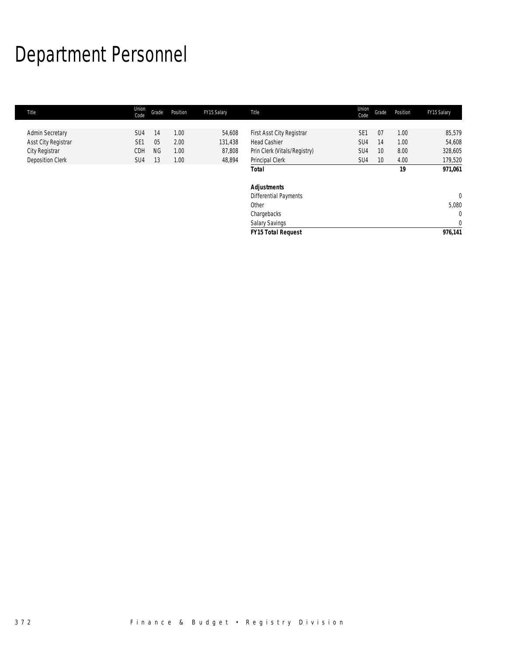# Department Personnel

| Title                      | Union<br>Code   | Grade     | Position | FY15 Salary | Title                        | Union<br>Code   | Grade           | Position | FY15 Salary    |
|----------------------------|-----------------|-----------|----------|-------------|------------------------------|-----------------|-----------------|----------|----------------|
|                            |                 |           |          |             |                              |                 |                 |          |                |
| <b>Admin Secretary</b>     | SU <sub>4</sub> | 14        | 1.00     | 54,608      | First Asst City Registrar    | SE <sub>1</sub> | 07              | 1.00     | 85,579         |
| <b>Asst City Registrar</b> | SE <sub>1</sub> | 05        | 2.00     | 131,438     | <b>Head Cashier</b>          | SU4             | 14              | 1.00     | 54,608         |
| City Registrar             | CDH             | <b>NG</b> | 1.00     | 87,808      | Prin Clerk (Vitals/Registry) | SU4             | 10              | 8.00     | 328,605        |
| <b>Deposition Clerk</b>    | SU <sub>4</sub> | 13        | 1.00     | 48,894      | Principal Clerk              | SU4             | 10 <sup>°</sup> | 4.00     | 179,520        |
|                            |                 |           |          |             | Total                        |                 |                 | 19       | 971,061        |
|                            |                 |           |          |             | <b>Adjustments</b>           |                 |                 |          |                |
|                            |                 |           |          |             | <b>Differential Payments</b> |                 |                 |          | $\overline{0}$ |
|                            |                 |           |          |             | Other                        |                 |                 |          | 5,080          |
|                            |                 |           |          |             | Chargebacks                  |                 |                 |          | $\mathbf 0$    |
|                            |                 |           |          |             | Salary Savings               |                 |                 |          | $\mathbf 0$    |
|                            |                 |           |          |             | <b>FY15 Total Request</b>    |                 |                 |          | 976,141        |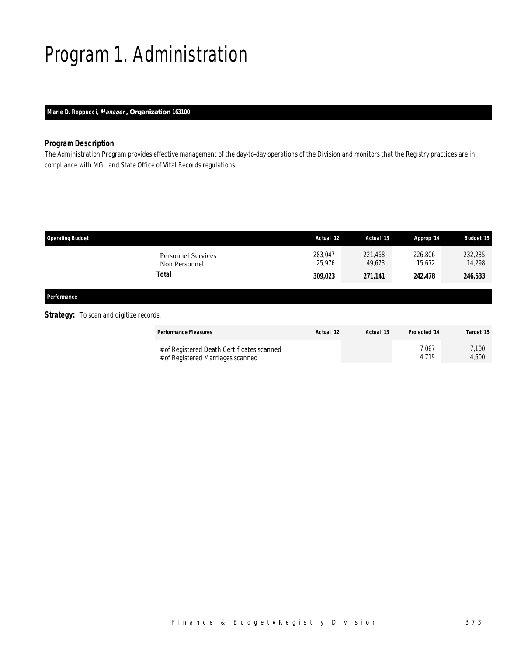## Program 1. Administration

## *Marie D. Reppucci, Manager , Organization 163100*

## *Program Description*

The Administration Program provides effective management of the day-to-day operations of the Division and monitors that the Registry practices are in compliance with MGL and State Office of Vital Records regulations.

| <b>Operating Budget</b>                    | Actual '12        | Actual '13        | Approp '14        | <b>Budget '15</b> |
|--------------------------------------------|-------------------|-------------------|-------------------|-------------------|
| <b>Personnel Services</b><br>Non Personnel | 283,047<br>25.976 | 221,468<br>49.673 | 226,806<br>15,672 | 232,235<br>14,298 |
| Total                                      | 309,023           | 271,141           | 242,478           | 246,533           |
|                                            |                   |                   |                   |                   |

#### *Performance*

### **Strategy:** To scan and digitize records.

| <b>Performance Measures</b>                                                     | Actual '12 | Actual '13 | <b>Projected '14</b> | Target '15     |
|---------------------------------------------------------------------------------|------------|------------|----------------------|----------------|
| # of Registered Death Certificates scanned<br># of Registered Marriages scanned |            |            | 7.067<br>4.719       | 7.100<br>4.600 |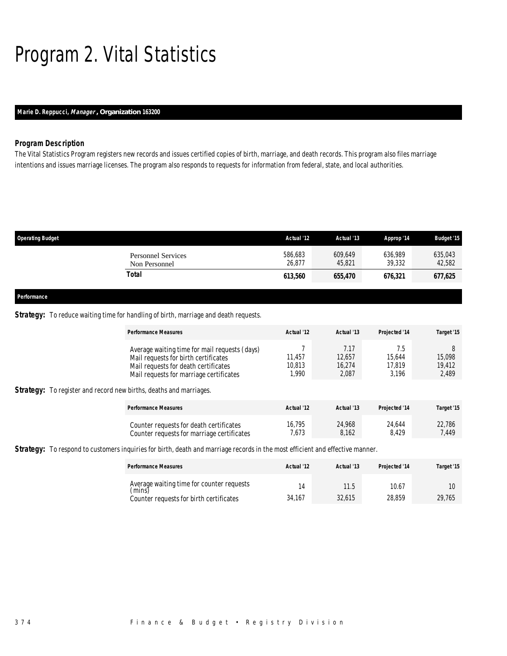## Program 2. Vital Statistics

## *Marie D. Reppucci, Manager , Organization 163200*

### *Program Description*

The Vital Statistics Program registers new records and issues certified copies of birth, marriage, and death records. This program also files marriage intentions and issues marriage licenses. The program also responds to requests for information from federal, state, and local authorities.

| <b>Operating Budget</b>                    | Actual '12        | Actual '13        | Approp '14        | <b>Budget '15</b> |
|--------------------------------------------|-------------------|-------------------|-------------------|-------------------|
| <b>Personnel Services</b><br>Non Personnel | 586,683<br>26,877 | 609,649<br>45,821 | 636,989<br>39,332 | 635,043<br>42,582 |
| Total                                      | 613,560           | 655,470           | 676,321           | 677,625           |
|                                            |                   |                   |                   |                   |
| Performance                                |                   |                   |                   |                   |

### **Strategy:** To reduce waiting time for handling of birth, marriage and death requests.

|                                                                           | <b>Performance Measures</b>                                                                                                                                              | Actual '12                | Actual '13                        | Projected '14                    | Target '15                     |
|---------------------------------------------------------------------------|--------------------------------------------------------------------------------------------------------------------------------------------------------------------------|---------------------------|-----------------------------------|----------------------------------|--------------------------------|
| <b>Strategy:</b> To register and record new births, deaths and marriages. | Average waiting time for mail requests (days)<br>Mail requests for birth certificates<br>Mail requests for death certificates<br>Mail requests for marriage certificates | 11.457<br>10,813<br>1.990 | 7.17<br>12.657<br>16,274<br>2,087 | 7.5<br>15.644<br>17,819<br>3.196 | 8<br>15,098<br>19,412<br>2,489 |
|                                                                           | <b>Performance Measures</b>                                                                                                                                              | Actual '12                | Actual '13                        | Projected '14                    | Target '15                     |
|                                                                           | Counter requests for death certificates<br>Counter requests for marriage certificates                                                                                    | 16.795<br>7,673           | 24.968<br>8,162                   | 24.644<br>8.429                  | 22.786<br>7.449                |

*Strategy:* To respond to customers inquiries for birth, death and marriage records in the most efficient and effective manner.

| <b>Performance Measures</b>                         | Actual '12 | Actual '13 | <b>Projected '14</b> | Target '15 |
|-----------------------------------------------------|------------|------------|----------------------|------------|
| Average waiting time for counter requests<br>(mins) |            | 11.5       | 10.67                |            |
| Counter requests for birth certificates             | 34,167     | 32.615     | 28.859               | 29.765     |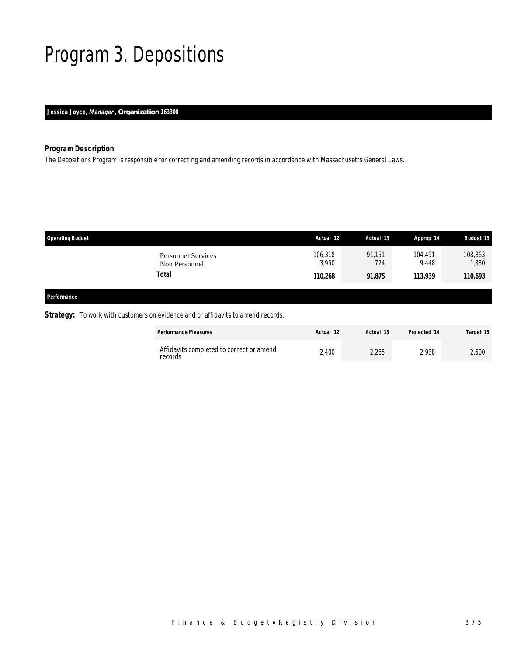## Program 3. Depositions

## *Jessica Joyce, Manager , Organization 163300*

## *Program Description*

The Depositions Program is responsible for correcting and amending records in accordance with Massachusetts General Laws.

| <b>Operating Budget</b> |                                            | Actual '12       | Actual '13    | Approp '14       | <b>Budget '15</b> |
|-------------------------|--------------------------------------------|------------------|---------------|------------------|-------------------|
|                         | <b>Personnel Services</b><br>Non Personnel | 106,318<br>3,950 | 91.151<br>724 | 104.491<br>9,448 | 108,863<br>1,830  |
|                         | Total                                      | 110,268          | 91,875        | 113,939          | 110,693           |
| Performance             |                                            |                  |               |                  |                   |

## **Strategy:** To work with customers on evidence and or affidavits to amend records.

| <b>Performance Measures</b>                         | Actual '12 | Actual '13 | <b>Projected '14</b> | Target '15 |
|-----------------------------------------------------|------------|------------|----------------------|------------|
| Affidavits completed to correct or amend<br>records | 2,400      | 2,265      | 2.938                | 2,600      |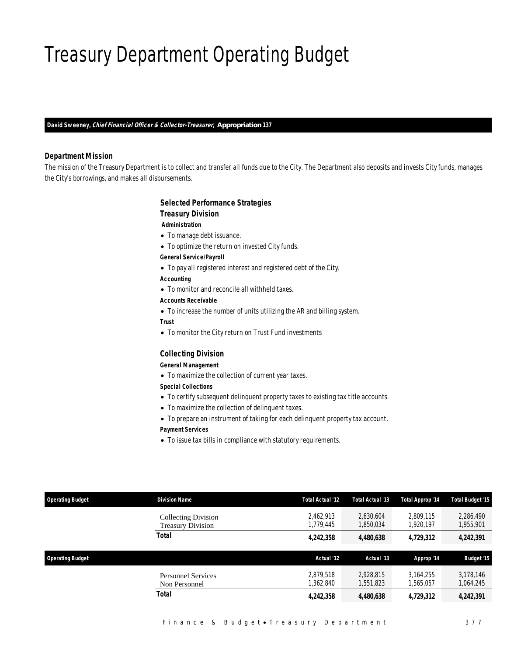## Treasury Department Operating Budget

*David Sweeney, Chief Financial Officer & Collector-Treasurer, Appropriation 137* 

### *Department Mission*

The mission of the Treasury Department is to collect and transfer all funds due to the City. The Department also deposits and invests City funds, manages the City's borrowings, and makes all disbursements.

## *Selected Performance Strategies Treasury Division*

 *Administration* 

- To manage debt issuance.
- To optimize the return on invested City funds.
- *General Service/Payroll*
- To pay all registered interest and registered debt of the City.

#### *Accounting*

- To monitor and reconcile all withheld taxes.
- *Accounts Receivable*
- To increase the number of units utilizing the AR and billing system.
- *Trust*
- To monitor the City return on Trust Fund investments

#### *Collecting Division*

### *General Management*

• To maximize the collection of current year taxes.

#### *Special Collections*

- To certify subsequent delinquent property taxes to existing tax title accounts.
- To maximize the collection of delinquent taxes.
- To prepare an instrument of taking for each delinquent property tax account. *Payment Services*
- To issue tax bills in compliance with statutory requirements.

| <b>Operating Budget</b> | <b>Division Name</b>                            | Total Actual '12      | Total Actual '13       | <b>Total Approp '14</b> | Total Budget '15       |
|-------------------------|-------------------------------------------------|-----------------------|------------------------|-------------------------|------------------------|
|                         | Collecting Division<br><b>Treasury Division</b> | 2.462.913<br>,779,445 | 2.630.604<br>1,850,034 | 2.809.115<br>1,920,197  | 2,286,490<br>1,955,901 |
|                         | Total                                           | 4,242,358             | 4,480,638              | 4,729,312               | 4,242,391              |
|                         |                                                 |                       |                        |                         |                        |
| <b>Operating Budget</b> |                                                 | Actual '12            | Actual '13             | Approp '14              | <b>Budget '15</b>      |
|                         | <b>Personnel Services</b><br>Non Personnel      | 2.879.518<br>.362.840 | 2.928.815<br>1,551,823 | 3.164.255<br>1,565,057  | 3,178,146<br>1,064,245 |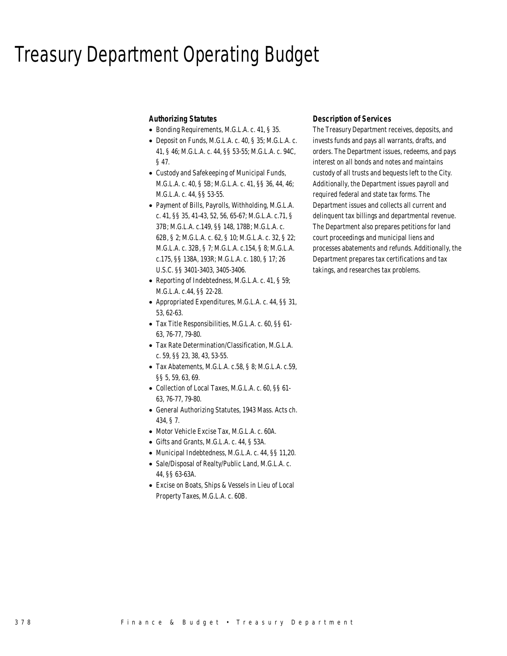## Treasury Department Operating Budget

### *Authorizing Statutes*

- Bonding Requirements, M.G.L.A. c. 41, § 35.
- Deposit on Funds, M.G.L.A. c. 40, § 35; M.G.L.A. c. 41, § 46; M.G.L.A. c. 44, §§ 53-55; M.G.L.A. c. 94C, § 47.
- Custody and Safekeeping of Municipal Funds, M.G.L.A. c. 40, § 5B; M.G.L.A. c. 41, §§ 36, 44, 46; M.G.L.A. c. 44, §§ 53-55.
- Payment of Bills, Payrolls, Withholding, M.G.L.A. c. 41, §§ 35, 41-43, 52, 56, 65-67; M.G.L.A. c.71, § 37B; M.G.L.A. c.149, §§ 148, 178B; M.G.L.A. c. 62B, § 2; M.G.L.A. c. 62, § 10; M.G.L.A. c. 32, § 22; M.G.L.A. c. 32B, § 7; M.G.L.A. c.154, § 8; M.G.L.A. c.175, §§ 138A, 193R; M.G.L.A. c. 180, § 17; 26 U.S.C. §§ 3401-3403, 3405-3406.
- Reporting of Indebtedness, M.G.L.A. c. 41, § 59; M.G.L.A. c.44, §§ 22-28.
- Appropriated Expenditures, M.G.L.A. c. 44, §§ 31, 53, 62-63.
- Tax Title Responsibilities, M.G.L.A. c. 60, §§ 61- 63, 76-77, 79-80.
- Tax Rate Determination/Classification, M.G.L.A. c. 59, §§ 23, 38, 43, 53-55.
- Tax Abatements, M.G.L.A. c.58, § 8; M.G.L.A. c.59, §§ 5, 59, 63, 69.
- Collection of Local Taxes, M.G.L.A. c. 60, §§ 61- 63, 76-77, 79-80.
- General Authorizing Statutes, 1943 Mass. Acts ch. 434, § 7.
- Motor Vehicle Excise Tax, M.G.L.A. c. 60A.
- Gifts and Grants, M.G.L.A. c. 44, § 53A.
- Municipal Indebtedness, M.G.L.A. c. 44, §§ 11,20.
- Sale/Disposal of Realty/Public Land, M.G.L.A. c. 44, §§ 63-63A.
- Excise on Boats, Ships & Vessels in Lieu of Local Property Taxes, M.G.L.A. c. 60B.

## *Description of Services*

The Treasury Department receives, deposits, and invests funds and pays all warrants, drafts, and orders. The Department issues, redeems, and pays interest on all bonds and notes and maintains custody of all trusts and bequests left to the City. Additionally, the Department issues payroll and required federal and state tax forms. The Department issues and collects all current and delinquent tax billings and departmental revenue. The Department also prepares petitions for land court proceedings and municipal liens and processes abatements and refunds. Additionally, the Department prepares tax certifications and tax takings, and researches tax problems.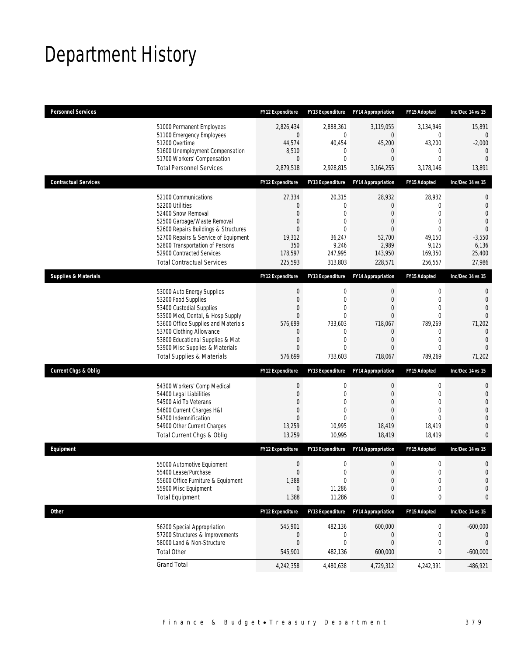## Department History

| <b>Personnel Services</b>       |                                                                          | <b>FY12 Expenditure</b> | <b>FY13 Expenditure</b>    | <b>FY14 Appropriation</b> | FY15 Adopted                 | Inc/Dec 14 vs 15               |
|---------------------------------|--------------------------------------------------------------------------|-------------------------|----------------------------|---------------------------|------------------------------|--------------------------------|
|                                 | 51000 Permanent Employees                                                | 2,826,434               | 2,888,361                  | 3,119,055                 | 3,134,946                    | 15,891                         |
|                                 | 51100 Emergency Employees                                                | 0                       | $\mathbf{0}$               | $\mathbf 0$               | 0                            | $\overline{0}$                 |
|                                 | 51200 Overtime<br>51600 Unemployment Compensation                        | 44,574<br>8,510         | 40,454<br>0                | 45,200<br>$\mathbf 0$     | 43,200<br>0                  | $-2,000$<br>$\mathbf{0}$       |
|                                 | 51700 Workers' Compensation                                              | 0                       | $\overline{0}$             | 0                         | $\mathbf{0}$                 | $\Omega$                       |
|                                 | <b>Total Personnel Services</b>                                          | 2,879,518               | 2,928,815                  | 3,164,255                 | 3,178,146                    | 13,891                         |
| <b>Contractual Services</b>     |                                                                          | <b>FY12 Expenditure</b> | <b>FY13 Expenditure</b>    | <b>FY14 Appropriation</b> | FY15 Adopted                 | Inc/Dec 14 vs 15               |
|                                 | 52100 Communications                                                     | 27,334                  | 20,315                     | 28,932                    | 28,932                       | 0                              |
|                                 | 52200 Utilities                                                          | 0                       | 0                          | $\mathbf{0}$              | $\mathbf 0$                  | $\mathbf{0}$                   |
|                                 | 52400 Snow Removal                                                       | $\overline{0}$          | $\overline{0}$             | 0                         | $\mathbf{0}$                 | $\overline{0}$                 |
|                                 | 52500 Garbage/Waste Removal                                              | 0                       | 0                          | 0                         | $\mathbf{0}$                 | $\overline{0}$                 |
|                                 | 52600 Repairs Buildings & Structures                                     | 0                       | $\theta$                   | $\mathbf{0}$              | $\Omega$                     | $\overline{0}$                 |
|                                 | 52700 Repairs & Service of Equipment<br>52800 Transportation of Persons  | 19,312<br>350           | 36,247<br>9,246            | 52,700<br>2,989           | 49,150<br>9,125              | $-3,550$<br>6,136              |
|                                 | 52900 Contracted Services                                                | 178,597                 | 247,995                    | 143,950                   | 169,350                      | 25,400                         |
|                                 | <b>Total Contractual Services</b>                                        | 225,593                 | 313,803                    | 228,571                   | 256,557                      | 27,986                         |
| <b>Supplies &amp; Materials</b> |                                                                          | FY12 Expenditure        | <b>FY13 Expenditure</b>    | <b>FY14 Appropriation</b> | <b>FY15 Adopted</b>          | Inc/Dec 14 vs 15               |
|                                 | 53000 Auto Energy Supplies                                               | 0                       | 0                          | $\mathbf 0$               | $\mathbf 0$                  | 0                              |
|                                 | 53200 Food Supplies                                                      | 0                       | 0                          | $\mathbf{0}$              | $\mathbf{0}$                 | $\overline{0}$                 |
|                                 | 53400 Custodial Supplies                                                 | 0                       | $\theta$                   | 0                         | $\Omega$                     | $\Omega$                       |
|                                 | 53500 Med, Dental, & Hosp Supply                                         | $\overline{0}$          | $\overline{0}$             | 0                         | $\mathbf{0}$                 | $\Omega$                       |
|                                 | 53600 Office Supplies and Materials                                      | 576,699                 | 733,603                    | 718,067                   | 789,269                      | 71,202                         |
|                                 | 53700 Clothing Allowance                                                 | 0                       | $\mathbf{0}$               | $\mathbf 0$               | 0                            | $\overline{0}$                 |
|                                 | 53800 Educational Supplies & Mat                                         | 0                       | 0<br>$\overline{0}$        | 0                         | $\mathbf{0}$<br>$\mathbf{0}$ | $\overline{0}$<br>$\Omega$     |
|                                 | 53900 Misc Supplies & Materials<br><b>Total Supplies &amp; Materials</b> | 0<br>576,699            | 733,603                    | 0<br>718,067              | 789,269                      | 71,202                         |
| <b>Current Chgs &amp; Oblig</b> |                                                                          | <b>FY12 Expenditure</b> | FY13 Expenditure           | <b>FY14 Appropriation</b> | FY15 Adopted                 | Inc/Dec 14 vs 15               |
|                                 |                                                                          |                         |                            |                           |                              |                                |
|                                 | 54300 Workers' Comp Medical                                              | 0                       | 0                          | $\mathbf 0$               | 0                            | $\mathbf 0$                    |
|                                 | 54400 Legal Liabilities                                                  | 0                       | $\overline{0}$             | $\overline{0}$            | $\mathbf{0}$                 | $\mathbf{0}$                   |
|                                 | 54500 Aid To Veterans                                                    | $\Omega$                | $\theta$                   | $\Omega$                  | $\Omega$                     | $\overline{0}$                 |
|                                 | 54600 Current Charges H&I<br>54700 Indemnification                       | 0<br>0                  | $\overline{0}$<br>$\theta$ | 0<br>0                    | $\mathbf{0}$<br>$\Omega$     | $\overline{0}$<br>$\mathbf{0}$ |
|                                 | 54900 Other Current Charges                                              | 13,259                  | 10,995                     | 18,419                    | 18,419                       | $\overline{0}$                 |
|                                 | Total Current Chgs & Oblig                                               | 13,259                  | 10,995                     | 18,419                    | 18,419                       | $\mathbf{0}$                   |
| Equipment                       |                                                                          | <b>FY12 Expenditure</b> | <b>FY13 Expenditure</b>    | <b>FY14 Appropriation</b> | <b>FY15 Adopted</b>          | Inc/Dec 14 vs 15               |
|                                 | 55000 Automotive Equipment                                               | $\boldsymbol{0}$        | $\mathbf 0$                | $\boldsymbol{0}$          | $\boldsymbol{0}$             | $\mathbf 0$                    |
|                                 | 55400 Lease/Purchase                                                     | $\overline{0}$          | $\overline{0}$             | $\Omega$                  | $\theta$                     | $\Omega$                       |
|                                 | 55600 Office Furniture & Equipment                                       | 1,388                   | $\boldsymbol{0}$           | $\boldsymbol{0}$          | $\boldsymbol{0}$             | $\mathbf{0}$                   |
|                                 | 55900 Misc Equipment                                                     | 0                       | 11,286                     | $\mathbf 0$               | $\mathbf 0$                  | $\mathbf 0$                    |
|                                 | <b>Total Equipment</b>                                                   | 1,388                   | 11,286                     | 0                         | 0                            | 0                              |
| Other                           |                                                                          | FY12 Expenditure        | FY13 Expenditure           | <b>FY14 Appropriation</b> | <b>FY15 Adopted</b>          | Inc/Dec 14 vs 15               |
|                                 | 56200 Special Appropriation                                              | 545,901                 | 482,136                    | 600,000                   | 0                            | $-600,000$                     |
|                                 | 57200 Structures & Improvements                                          | 0                       | 0                          | $\mathbf 0$               | 0                            | 0                              |
|                                 | 58000 Land & Non-Structure                                               | $\mathbf 0$             | $\overline{0}$             | $\overline{0}$            | $\mathbf 0$                  | $\theta$                       |
|                                 | <b>Total Other</b>                                                       | 545,901                 | 482,136                    | 600,000                   | 0                            | $-600,000$                     |
|                                 | <b>Grand Total</b>                                                       | 4,242,358               | 4,480,638                  | 4,729,312                 | 4,242,391                    | $-486,921$                     |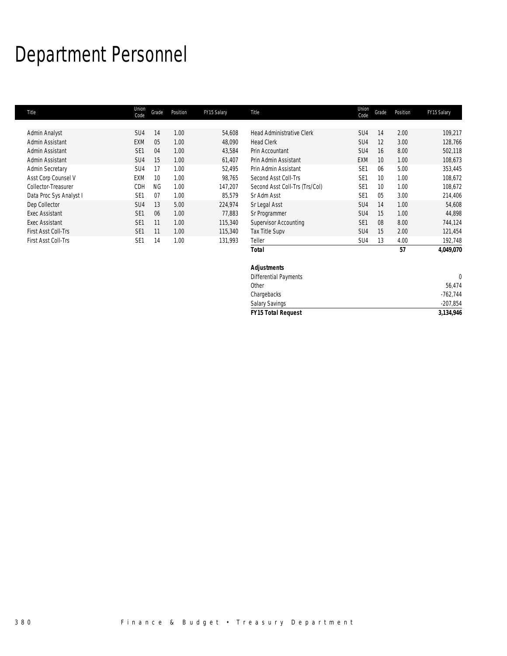## Department Personnel

| Title                   | Union<br>Code   | Grade          | Position | FY15 Salary | Title                            | Union<br>Code   | Grade           | Position | FY15 Salary |
|-------------------------|-----------------|----------------|----------|-------------|----------------------------------|-----------------|-----------------|----------|-------------|
|                         |                 |                |          |             |                                  |                 |                 |          |             |
| Admin Analyst           | SU <sub>4</sub> | 14             | 1.00     | 54,608      | <b>Head Administrative Clerk</b> | SU <sub>4</sub> | 14              | 2.00     | 109.217     |
| Admin Assistant         | <b>EXM</b>      | 0 <sub>5</sub> | 1.00     | 48,090      | <b>Head Clerk</b>                | SU <sub>4</sub> | 12              | 3.00     | 128,766     |
| Admin Assistant         | SE <sub>1</sub> | 04             | 1.00     | 43,584      | Prin Accountant                  | SU <sub>4</sub> | 16              | 8.00     | 502,118     |
| Admin Assistant         | SU <sub>4</sub> | 15             | 1.00     | 61,407      | Prin Admin Assistant             | <b>EXM</b>      | 10              | 1.00     | 108,673     |
| <b>Admin Secretary</b>  | SU <sub>4</sub> | 17             | 1.00     | 52.495      | Prin Admin Assistant             | SF <sub>1</sub> | 06              | 5.00     | 353,445     |
| Asst Corp Counsel V     | <b>EXM</b>      | 10             | 1.00     | 98.765      | Second Asst Coll-Trs             | SE <sub>1</sub> | $10 \,$         | 1.00     | 108.672     |
| Collector-Treasurer     | CDH             | <b>NG</b>      | 1.00     | 147,207     | Second Asst Coll-Trs (Trs/Col)   | SE <sub>1</sub> | 10 <sup>1</sup> | 1.00     | 108,672     |
| Data Proc Sys Analyst I | SE <sub>1</sub> | 07             | 1.00     | 85,579      | Sr Adm Asst                      | SE <sub>1</sub> | 0 <sub>5</sub>  | 3.00     | 214,406     |
| Dep Collector           | SU <sub>4</sub> | 13             | 5.00     | 224,974     | Sr Legal Asst                    | SU <sub>4</sub> | 14              | 1.00     | 54,608      |
| <b>Exec Assistant</b>   | SE <sub>1</sub> | 06             | 1.00     | 77.883      | Sr Programmer                    | SU <sub>4</sub> | 15              | 1.00     | 44,898      |
| Exec Assistant          | SE <sub>1</sub> | 11             | 1.00     | 115,340     | Supervisor Accounting            | SE <sub>1</sub> | 08              | 8.00     | 744,124     |
| First Asst Coll-Trs     | SE <sub>1</sub> | 11             | 1.00     | 115,340     | Tax Title Supv                   | SU4             | 15              | 2.00     | 121,454     |
| First Asst Coll-Trs     | SE <sub>1</sub> | 14             | 1.00     | 131,993     | Teller                           | SU <sub>4</sub> | 13              | 4.00     | 192,748     |
|                         |                 |                |          |             | Total                            |                 |                 | 57       | 4,049,070   |

| <b>THISL LISS IN A TELL</b> | ᆚ<br>$\mathbf{H}$ | $\overline{\phantom{a}}$ | ,,,,, | $1 \cup 11 \cup 1$        | ◡◡┭<br>່ເປ | T.UU | 172, 170   |
|-----------------------------|-------------------|--------------------------|-------|---------------------------|------------|------|------------|
|                             |                   |                          |       | <b>Total</b>              |            | 57   | 4,049,070  |
|                             |                   |                          |       | <b>Adjustments</b>        |            |      |            |
|                             |                   |                          |       | Differential Payments     |            |      |            |
|                             |                   |                          |       | Other                     |            |      | 56,474     |
|                             |                   |                          |       | Chargebacks               |            |      | $-762,744$ |
|                             |                   |                          |       | <b>Salary Savings</b>     |            |      | $-207,854$ |
|                             |                   |                          |       | <b>FY15 Total Request</b> |            |      | 3,134,946  |
|                             |                   |                          |       |                           |            |      |            |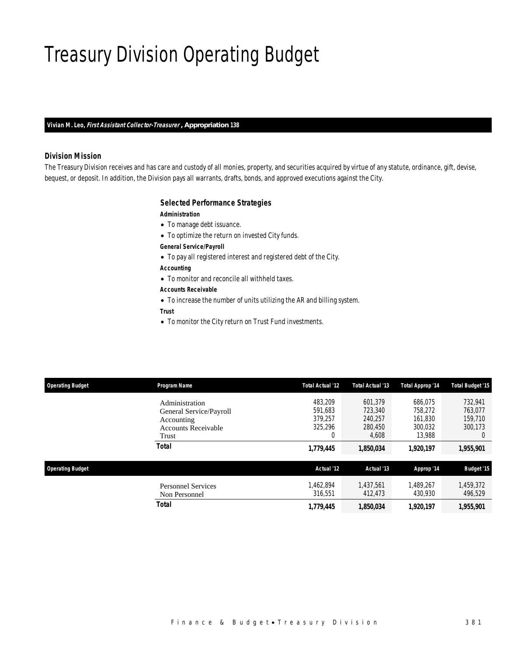## Treasury Division Operating Budget

*Vivian M. Leo, First Assistant Collector-Treasurer , Appropriation 138* 

#### *Division Mission*

The Treasury Division receives and has care and custody of all monies, property, and securities acquired by virtue of any statute, ordinance, gift, devise, bequest, or deposit. In addition, the Division pays all warrants, drafts, bonds, and approved executions against the City.

#### *Selected Performance Strategies*

#### *Administration*

- To manage debt issuance.
- To optimize the return on invested City funds.

#### *General Service/Payroll*

- To pay all registered interest and registered debt of the City.
- *Accounting*
- To monitor and reconcile all withheld taxes.

## *Accounts Receivable*

- To increase the number of units utilizing the AR and billing system.
- *Trust*
- To monitor the City return on Trust Fund investments.

| <b>Operating Budget</b> | <b>Program Name</b>                                                                            | Total Actual '12                              | Total Actual '13                                  | <b>Total Approp '14</b>                            | <b>Total Budget '15</b>                              |
|-------------------------|------------------------------------------------------------------------------------------------|-----------------------------------------------|---------------------------------------------------|----------------------------------------------------|------------------------------------------------------|
|                         | Administration<br>General Service/Payroll<br>Accounting<br><b>Accounts Receivable</b><br>Trust | 483,209<br>591.683<br>379.257<br>325,296<br>0 | 601,379<br>723,340<br>240.257<br>280,450<br>4,608 | 686.075<br>758.272<br>161.830<br>300.032<br>13,988 | 732,941<br>763.077<br>159,710<br>300,173<br>$\Omega$ |
|                         | Total                                                                                          | 1,779,445                                     | 1,850,034                                         | 1,920,197                                          | 1,955,901                                            |
| <b>Operating Budget</b> |                                                                                                | Actual '12                                    | Actual '13                                        | Approp '14                                         | <b>Budget '15</b>                                    |
|                         | <b>Personnel Services</b><br>Non Personnel                                                     | 1.462.894<br>316.551                          | 1.437.561<br>412,473                              | 1.489.267<br>430.930                               | 1,459,372<br>496,529                                 |
|                         | <b>Total</b>                                                                                   | 1,779,445                                     | 1,850,034                                         | 1.920.197                                          | 1,955,901                                            |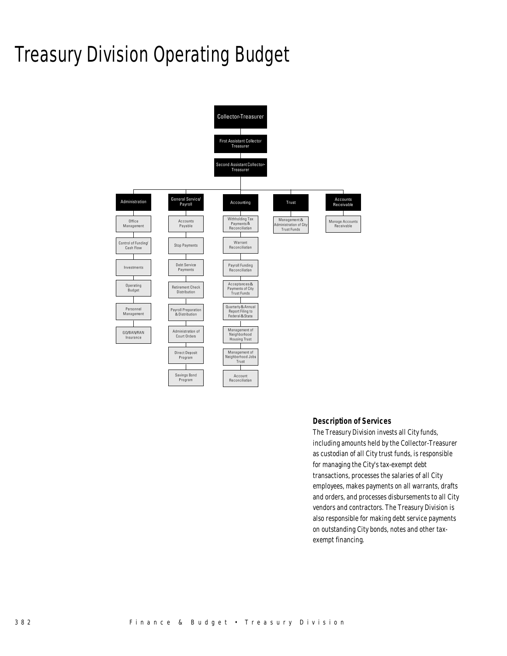## Treasury Division Operating Budget



#### *Description of Services*

The Treasury Division invests all City funds, including amounts held by the Collector-Treasurer as custodian of all City trust funds, is responsible for managing the City's tax-exempt debt transactions, processes the salaries of all City employees, makes payments on all warrants, drafts and orders, and processes disbursements to all City vendors and contractors. The Treasury Division is also responsible for making debt service payments on outstanding City bonds, notes and other taxexempt financing.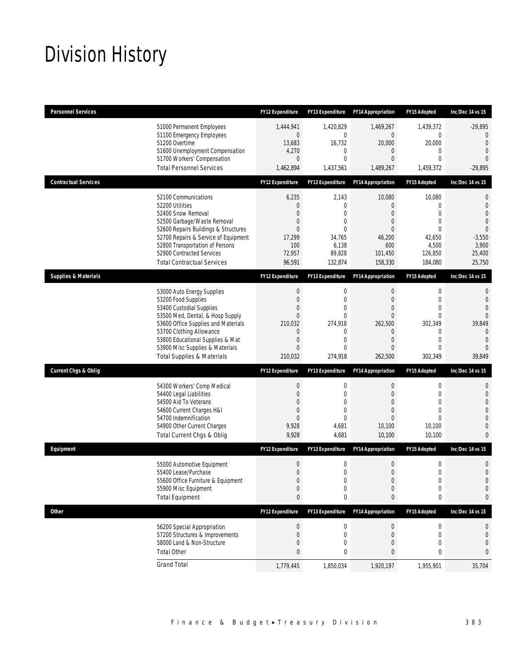## Division History

| <b>Personnel Services</b>       |                                                                                                                                                                                                                                                                                                      | <b>FY12 Expenditure</b>                                                                                                              | FY13 Expenditure                                                                                   | <b>FY14 Appropriation</b>                                                                                                  | FY15 Adopted                                                                                                   | Inc/Dec 14 vs 15                                                                                                      |
|---------------------------------|------------------------------------------------------------------------------------------------------------------------------------------------------------------------------------------------------------------------------------------------------------------------------------------------------|--------------------------------------------------------------------------------------------------------------------------------------|----------------------------------------------------------------------------------------------------|----------------------------------------------------------------------------------------------------------------------------|----------------------------------------------------------------------------------------------------------------|-----------------------------------------------------------------------------------------------------------------------|
|                                 | 51000 Permanent Employees<br>51100 Emergency Employees<br>51200 Overtime<br>51600 Unemployment Compensation<br>51700 Workers' Compensation<br><b>Total Personnel Services</b>                                                                                                                        | 1,444,941<br>$\overline{0}$<br>13,683<br>4,270<br>$\overline{0}$<br>1,462,894                                                        | 1,420,829<br>0<br>16,732<br>0<br>0<br>1,437,561                                                    | 1,469,267<br>$\overline{0}$<br>20,000<br>0<br>$\overline{0}$<br>1,489,267                                                  | 1,439,372<br>$\mathbf{0}$<br>20,000<br>0<br>$\mathbf{0}$<br>1,459,372                                          | $-29,895$<br>$\mathbf{0}$<br>$\Omega$<br>$\mathbf{0}$<br>$\Omega$<br>$-29,895$                                        |
| <b>Contractual Services</b>     |                                                                                                                                                                                                                                                                                                      | <b>FY12 Expenditure</b>                                                                                                              | FY13 Expenditure                                                                                   | <b>FY14 Appropriation</b>                                                                                                  | FY15 Adopted                                                                                                   | Inc/Dec 14 vs 15                                                                                                      |
|                                 | 52100 Communications<br>52200 Utilities<br>52400 Snow Removal<br>52500 Garbage/Waste Removal<br>52600 Repairs Buildings & Structures<br>52700 Repairs & Service of Equipment<br>52800 Transportation of Persons<br>52900 Contracted Services<br><b>Total Contractual Services</b>                    | 6,235<br>$\mathbf 0$<br>$\overline{0}$<br>0<br>$\mathbf{0}$<br>17,299<br>100<br>72,957<br>96,591                                     | 2,143<br>$\boldsymbol{0}$<br>0<br>$\mathbf{0}$<br>$\Omega$<br>34,765<br>6,138<br>89,828<br>132,874 | 10,080<br>0<br>$\overline{0}$<br>$\overline{0}$<br>$\overline{0}$<br>46,200<br>600<br>101,450<br>158,330                   | 10,080<br>$\mathbf{0}$<br>$\theta$<br>$\theta$<br>$\theta$<br>42,650<br>4,500<br>126,850<br>184,080            | $\mathbf{0}$<br>$\mathbf{0}$<br>$\overline{0}$<br>$\Omega$<br>$\overline{0}$<br>$-3,550$<br>3,900<br>25,400<br>25,750 |
| <b>Supplies &amp; Materials</b> |                                                                                                                                                                                                                                                                                                      | <b>FY12 Expenditure</b>                                                                                                              | FY13 Expenditure                                                                                   | <b>FY14 Appropriation</b>                                                                                                  | FY15 Adopted                                                                                                   | Inc/Dec 14 vs 15                                                                                                      |
|                                 | 53000 Auto Energy Supplies<br>53200 Food Supplies<br>53400 Custodial Supplies<br>53500 Med, Dental, & Hosp Supply<br>53600 Office Supplies and Materials<br>53700 Clothing Allowance<br>53800 Educational Supplies & Mat<br>53900 Misc Supplies & Materials<br><b>Total Supplies &amp; Materials</b> | $\boldsymbol{0}$<br>$\boldsymbol{0}$<br>0<br>$\mathbf{0}$<br>210,032<br>$\mathbf 0$<br>$\boldsymbol{0}$<br>$\overline{0}$<br>210,032 | 0<br>$\mathbf 0$<br>0<br>$\overline{0}$<br>274,918<br>0<br>$\overline{0}$<br>$\Omega$<br>274,918   | 0<br>$\boldsymbol{0}$<br>$\overline{0}$<br>$\overline{0}$<br>262,500<br>0<br>$\boldsymbol{0}$<br>$\overline{0}$<br>262,500 | $\mathbf 0$<br>$\mathbf{0}$<br>$\mathbf{0}$<br>$\theta$<br>302,349<br>0<br>$\mathbf{0}$<br>$\theta$<br>302,349 | 0<br>$\mathbf{0}$<br>$\Omega$<br>$\Omega$<br>39,849<br>$\Omega$<br>$\mathbf{0}$<br>$\Omega$<br>39,849                 |
| <b>Current Chgs &amp; Oblig</b> |                                                                                                                                                                                                                                                                                                      | <b>FY12 Expenditure</b>                                                                                                              | FY13 Expenditure                                                                                   | <b>FY14 Appropriation</b>                                                                                                  | FY15 Adopted                                                                                                   | Inc/Dec 14 vs 15                                                                                                      |
|                                 | 54300 Workers' Comp Medical<br>54400 Legal Liabilities<br>54500 Aid To Veterans<br>54600 Current Charges H&I<br>54700 Indemnification<br>54900 Other Current Charges<br>Total Current Chgs & Oblig                                                                                                   | $\boldsymbol{0}$<br>$\boldsymbol{0}$<br>$\mathbf{0}$<br>$\overline{0}$<br>$\mathbf{0}$<br>9,928<br>9,928                             | 0<br>$\overline{0}$<br>0<br>$\mathbf 0$<br>$\Omega$<br>4,681<br>4,681                              | $\boldsymbol{0}$<br>0<br>$\overline{0}$<br>$\overline{0}$<br>0<br>10,100<br>10,100                                         | $\mathbf 0$<br>$\mathbf{0}$<br>$\mathbf{0}$<br>$\theta$<br>$\theta$<br>10,100<br>10,100                        | $\mathbf{0}$<br>$\mathbf{0}$<br>$\overline{0}$<br>$\Omega$<br>$\Omega$<br>$\Omega$<br>$\Omega$                        |
| Equipment                       |                                                                                                                                                                                                                                                                                                      | <b>FY12 Expenditure</b>                                                                                                              | <b>FY13 Expenditure</b>                                                                            | <b>FY14 Appropriation</b>                                                                                                  | FY15 Adopted                                                                                                   | Inc/Dec 14 vs 15                                                                                                      |
|                                 | 55000 Automotive Equipment<br>55400 Lease/Purchase<br>55600 Office Furniture & Equipment<br>55900 Misc Equipment<br><b>Total Equipment</b>                                                                                                                                                           | $\boldsymbol{0}$<br>$\Omega$<br>$\boldsymbol{0}$<br>$\boldsymbol{0}$<br>$\pmb{0}$                                                    | 0<br>$\Omega$<br>0<br>0<br>0                                                                       | $\boldsymbol{0}$<br>$\Omega$<br>$\boldsymbol{0}$<br>0<br>0                                                                 | $\mathbf 0$<br>0<br>$\boldsymbol{0}$<br>$\mathbf 0$<br>0                                                       | 0<br>$\Omega$<br>$\mathbf{0}$<br>0<br>0                                                                               |
| <b>Other</b>                    |                                                                                                                                                                                                                                                                                                      | FY12 Expenditure                                                                                                                     | FY13 Expenditure                                                                                   | <b>FY14 Appropriation</b>                                                                                                  | FY15 Adopted                                                                                                   | Inc/Dec 14 vs 15                                                                                                      |
|                                 | 56200 Special Appropriation<br>57200 Structures & Improvements<br>58000 Land & Non-Structure<br><b>Total Other</b>                                                                                                                                                                                   | $\boldsymbol{0}$<br>$\boldsymbol{0}$<br>$\mathbf 0$<br>$\pmb{0}$                                                                     | 0<br>$\boldsymbol{0}$<br>0<br>0                                                                    | $\pmb{0}$<br>$\boldsymbol{0}$<br>0<br>0                                                                                    | $\boldsymbol{0}$<br>$\mathbf 0$<br>$\mathbf{0}$<br>0                                                           | 0<br>$\mathbf 0$<br>$\mathbf 0$<br>0                                                                                  |
|                                 | <b>Grand Total</b>                                                                                                                                                                                                                                                                                   | 1,779,445                                                                                                                            | 1,850,034                                                                                          | 1,920,197                                                                                                                  | 1,955,901                                                                                                      | 35,704                                                                                                                |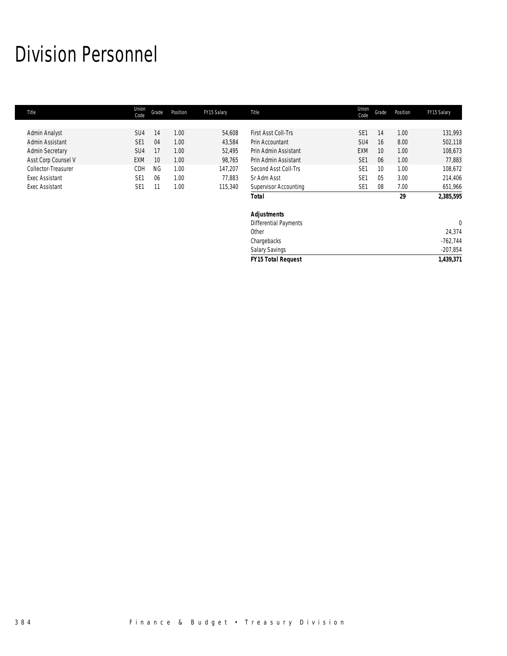## Division Personnel

| Title                  | Union<br>Code   | Grade     | Position | FY15 Salary | Title                        | Union<br>Code   | Grade | Position | FY15 Salary |
|------------------------|-----------------|-----------|----------|-------------|------------------------------|-----------------|-------|----------|-------------|
|                        |                 |           |          |             |                              |                 |       |          |             |
| Admin Analyst          | SU <sub>4</sub> | 14        | 1.00     | 54,608      | First Asst Coll-Trs          | SE <sub>1</sub> | 14    | 1.00     | 131,993     |
| Admin Assistant        | SE <sub>1</sub> | 04        | 1.00     | 43,584      | Prin Accountant              | SU <sub>4</sub> | 16    | 8.00     | 502,118     |
| <b>Admin Secretary</b> | SU <sub>4</sub> | 17        | 1.00     | 52,495      | Prin Admin Assistant         | <b>EXM</b>      | 10    | 1.00     | 108,673     |
| Asst Corp Counsel V    | <b>EXM</b>      | 10        | 1.00     | 98,765      | Prin Admin Assistant         | SE <sub>1</sub> | 06    | 1.00     | 77,883      |
| Collector-Treasurer    | CDH             | <b>NG</b> | 1.00     | 147,207     | Second Asst Coll-Trs         | SE <sub>1</sub> | 10    | 1.00     | 108,672     |
| <b>Exec Assistant</b>  | SE <sub>1</sub> | 06        | 1.00     | 77,883      | Sr Adm Asst                  | SE <sub>1</sub> | 05    | 3.00     | 214,406     |
| <b>Exec Assistant</b>  | SE <sub>1</sub> | 11        | 1.00     | 115,340     | <b>Supervisor Accounting</b> | SE <sub>1</sub> | 08    | 7.00     | 651,966     |
|                        |                 |           |          |             | <b>Total</b>                 |                 |       | 29       | 2,385,595   |
|                        |                 |           |          |             | <b>Adjustments</b>           |                 |       |          |             |
|                        |                 |           |          |             | <b>Differential Payments</b> |                 |       |          | $\mathbf 0$ |
|                        |                 |           |          |             | Other                        |                 |       |          | 24,374      |
|                        |                 |           |          |             | Chargebacks                  |                 |       |          | $-762,744$  |
|                        |                 |           |          |             | Salary Savings               |                 |       |          | $-207,854$  |
|                        |                 |           |          |             | <b>FY15 Total Request</b>    |                 |       |          | 1,439,371   |
|                        |                 |           |          |             |                              |                 |       |          |             |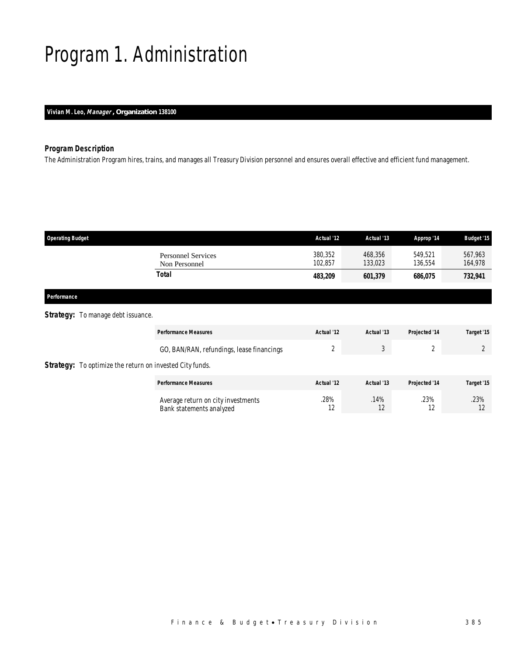# Program 1. Administration

### *Vivian M. Leo, Manager , Organization 138100*

### *Program Description*

The Administration Program hires, trains, and manages all Treasury Division personnel and ensures overall effective and efficient fund management.

| <b>Operating Budget</b>            |                                            | Actual '12         | Actual '13         | Approp '14         | <b>Budget '15</b>  |
|------------------------------------|--------------------------------------------|--------------------|--------------------|--------------------|--------------------|
|                                    | <b>Personnel Services</b><br>Non Personnel | 380,352<br>102,857 | 468,356<br>133,023 | 549.521<br>136,554 | 567,963<br>164,978 |
|                                    | <b>Total</b>                               | 483,209            | 601,379            | 686,075            | 732,941            |
| Performance                        |                                            |                    |                    |                    |                    |
| Strategy: To manage debt issuance. |                                            |                    |                    |                    |                    |

|                                                                 | <b>Performance Measures</b>                                    | Actual '12 | Actual '13 | Projected '14 | Target '15 |
|-----------------------------------------------------------------|----------------------------------------------------------------|------------|------------|---------------|------------|
|                                                                 | GO, BAN/RAN, refundings, lease financings                      |            | $\cdot$    |               |            |
| <b>Strategy:</b> To optimize the return on invested City funds. |                                                                |            |            |               |            |
|                                                                 | <b>Performance Measures</b>                                    | Actual '12 | Actual '13 | Projected '14 | Target '15 |
|                                                                 | Average return on city investments<br>Bank statements analyzed | .28%<br>12 | .14%<br>12 | .23%<br>12    | .23%       |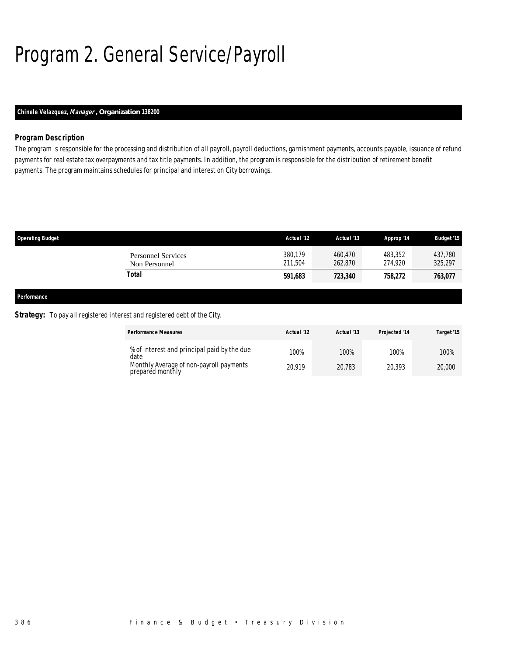# Program 2. General Service/Payroll

### *Chinele Velazquez, Manager , Organization 138200*

### *Program Description*

The program is responsible for the processing and distribution of all payroll, payroll deductions, garnishment payments, accounts payable, issuance of refund payments for real estate tax overpayments and tax title payments. In addition, the program is responsible for the distribution of retirement benefit payments. The program maintains schedules for principal and interest on City borrowings.

| <b>Operating Budget</b>                                                  |                                            | Actual '12         | Actual '13         | Approp '14         | <b>Budget '15</b>  |
|--------------------------------------------------------------------------|--------------------------------------------|--------------------|--------------------|--------------------|--------------------|
|                                                                          | <b>Personnel Services</b><br>Non Personnel | 380,179<br>211.504 | 460.470<br>262,870 | 483,352<br>274.920 | 437.780<br>325,297 |
|                                                                          | <b>Total</b>                               | 591,683            | 723,340            | 758,272            | 763,077            |
| $\mathbf{r}$ , $\mathbf{r}$ , $\mathbf{r}$ , $\mathbf{r}$ , $\mathbf{r}$ |                                            |                    |                    |                    |                    |

#### *Performance*

### **Strategy:** To pay all registered interest and registered debt of the City.

| <b>Performance Measures</b>                                 | Actual '12 | Actual '13 | Projected '14 | Target '15 |
|-------------------------------------------------------------|------------|------------|---------------|------------|
| % of interest and principal paid by the due<br>date         | 100%       | 100%       | 100%          | 100%       |
| Monthly Average of non-payroll payments<br>prepared monthly | 20.919     | 20.783     | 20.393        | 20,000     |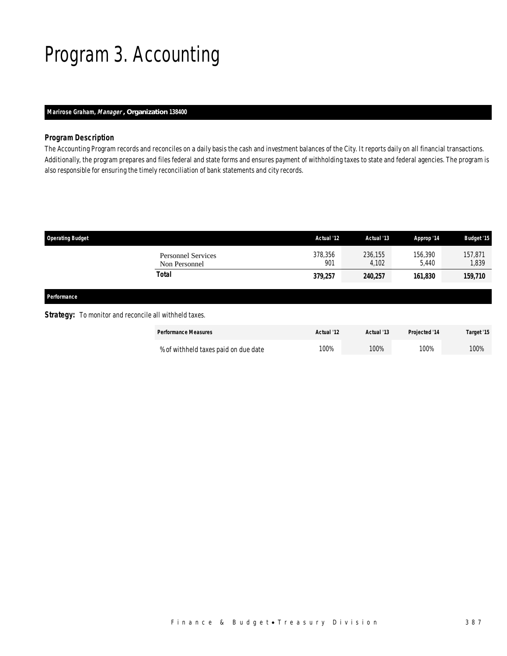## Program 3. Accounting

### *Marirose Graham, Manager , Organization 138400*

### *Program Description*

The Accounting Program records and reconciles on a daily basis the cash and investment balances of the City. It reports daily on all financial transactions. Additionally, the program prepares and files federal and state forms and ensures payment of withholding taxes to state and federal agencies. The program is also responsible for ensuring the timely reconciliation of bank statements and city records.

| <b>Operating Budget</b>                                       |                                            | Actual '12     | Actual '13       | Approp '14       | <b>Budget '15</b> |
|---------------------------------------------------------------|--------------------------------------------|----------------|------------------|------------------|-------------------|
|                                                               | <b>Personnel Services</b><br>Non Personnel | 378,356<br>901 | 236,155<br>4,102 | 156,390<br>5,440 | 157,871<br>1,839  |
|                                                               | <b>Total</b>                               | 379,257        | 240,257          | 161,830          | 159,710           |
| Performance                                                   |                                            |                |                  |                  |                   |
| <b>Strategy:</b> To monitor and reconcile all withheld taxes. |                                            |                |                  |                  |                   |

| <b>Performance Measures</b>          | Actual '12 | Actual '13 | <b>Projected '14</b> | Target '15 |
|--------------------------------------|------------|------------|----------------------|------------|
| % of withheld taxes paid on due date | 100%       | 100%       | 100%                 | 100%       |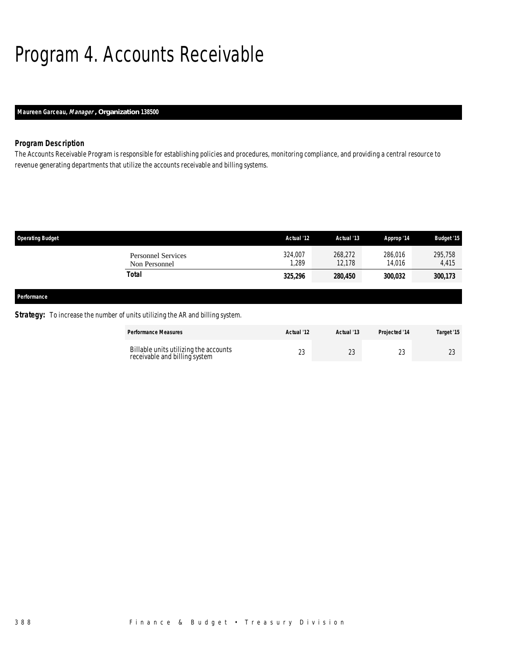# Program 4. Accounts Receivable

### *Maureen Garceau, Manager , Organization 138500*

### *Program Description*

The Accounts Receivable Program is responsible for establishing policies and procedures, monitoring compliance, and providing a central resource to revenue generating departments that utilize the accounts receivable and billing systems.

| <b>Operating Budget</b>                    | Actual '12      | Actual '13        | Approp '14        | <b>Budget '15</b> |
|--------------------------------------------|-----------------|-------------------|-------------------|-------------------|
| <b>Personnel Services</b><br>Non Personnel | 324,007<br>,289 | 268,272<br>12.178 | 286,016<br>14,016 | 295,758<br>4,415  |
| Total                                      | 325,296         | 280,450           | 300,032           | 300,173           |
|                                            |                 |                   |                   |                   |
| Performance                                |                 |                   |                   |                   |

### **Strategy:** To increase the number of units utilizing the AR and billing system.

| <b>Performance Measures</b>                                            | Actual '12 | Actual '13 | <b>Projected '14</b> | Target '15 |
|------------------------------------------------------------------------|------------|------------|----------------------|------------|
| Billable units utilizing the accounts<br>receivable and billing system | $\sim$     | าว         |                      | $\cap$     |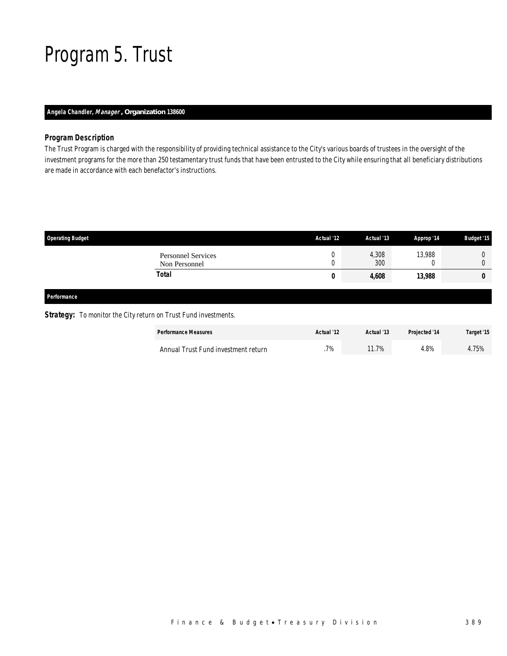## Program 5. Trust

### *Angela Chandler, Manager , Organization 138600*

### *Program Description*

The Trust Program is charged with the responsibility of providing technical assistance to the City's various boards of trustees in the oversight of the investment programs for the more than 250 testamentary trust funds that have been entrusted to the City while ensuring that all beneficiary distributions are made in accordance with each benefactor's instructions.

| <b>Operating Budget</b>                    | Actual '12 | Actual '13   | Approp '14 | <b>Budget '15</b> |
|--------------------------------------------|------------|--------------|------------|-------------------|
| <b>Personnel Services</b><br>Non Personnel | 0<br>◡     | 4,308<br>300 | 13,988     |                   |
| <b>Total</b>                               | 0          | 4,608        | 13,988     | 0                 |
| Performance                                |            |              |            |                   |

### **Strategy:** To monitor the City return on Trust Fund investments.

| <b>Performance Measures</b>         | Actual '12 | Actual '13 | Projected '14 | Target '15 |
|-------------------------------------|------------|------------|---------------|------------|
| Annual Trust Fund investment return | .7%        | 1.7%       | 8%،           | 4.75%      |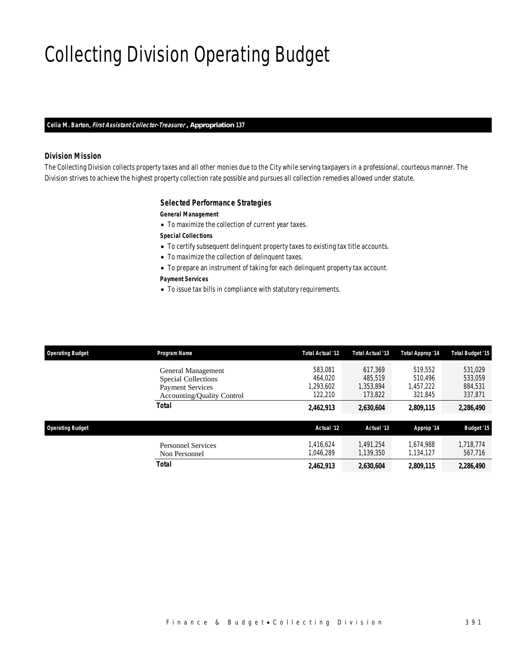# Collecting Division Operating Budget

*Celia M. Barton, First Assistant Collector-Treasurer , Appropriation 137* 

### *Division Mission*

The Collecting Division collects property taxes and all other monies due to the City while serving taxpayers in a professional, courteous manner. The Division strives to achieve the highest property collection rate possible and pursues all collection remedies allowed under statute.

#### *Selected Performance Strategies*

#### *General Management*

• To maximize the collection of current year taxes.

*Special Collections* 

- To certify subsequent delinquent property taxes to existing tax title accounts.
- To maximize the collection of delinquent taxes.
- To prepare an instrument of taking for each delinquent property tax account.

#### *Payment Services*

• To issue tax bills in compliance with statutory requirements.

| <b>Operating Budget</b> | Program Name                                                 | Total Actual '12       | Total Actual '13       | Total Approp '14       | <b>Total Budget '15</b> |
|-------------------------|--------------------------------------------------------------|------------------------|------------------------|------------------------|-------------------------|
|                         | General Management<br>Special Collections                    | 583,081<br>464.020     | 617.369<br>485,519     | 519.552<br>510.496     | 531,029<br>533,059      |
|                         | <b>Payment Services</b><br><b>Accounting/Quality Control</b> | 1,293,602<br>122,210   | 1,353,894<br>173,822   | 1,457,222<br>321,845   | 884,531<br>337,871      |
|                         | <b>Total</b>                                                 | 2,462,913              | 2,630,604              | 2,809,115              | 2,286,490               |
| <b>Operating Budget</b> |                                                              | Actual '12             | Actual '13             | Approp '14             | Budget '15              |
|                         | <b>Personnel Services</b><br>Non Personnel                   | 1.416.624<br>1.046.289 | 1.491.254<br>1.139.350 | 1.674.988<br>1.134.127 | 1,718,774<br>567.716    |
|                         | Total                                                        | 2,462,913              | 2,630,604              | 2,809,115              | 2,286,490               |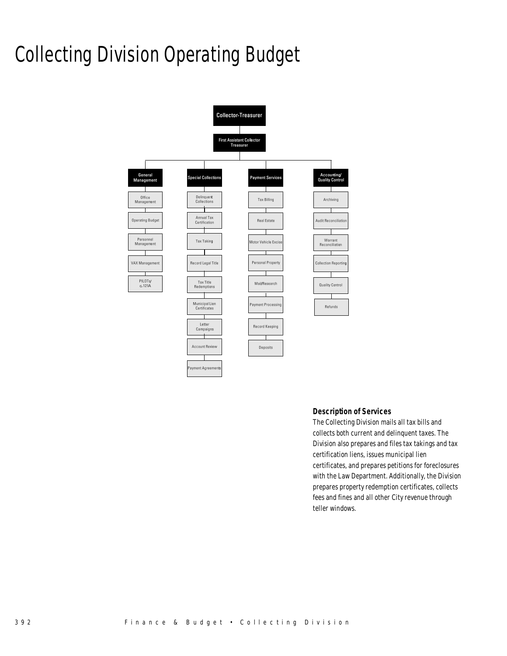# Collecting Division Operating Budget



#### *Description of Services*

The Collecting Division mails all tax bills and collects both current and delinquent taxes. The Division also prepares and files tax takings and tax certification liens, issues municipal lien certificates, and prepares petitions for foreclosures with the Law Department. Additionally, the Division prepares property redemption certificates, collects fees and fines and all other City revenue through teller windows.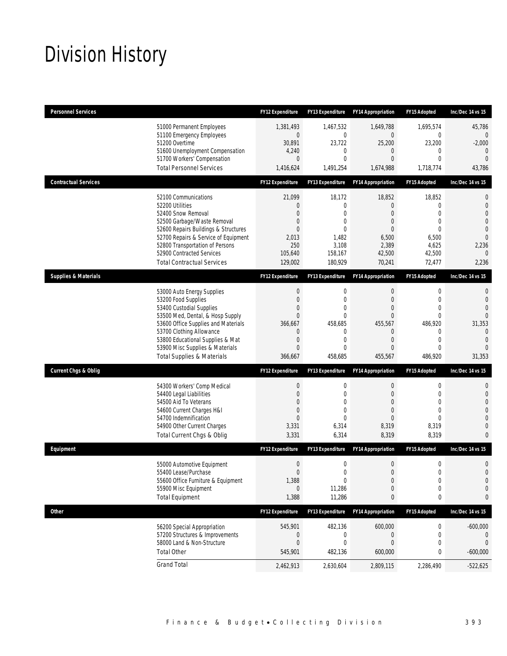## Division History

| <b>Personnel Services</b>       |                                                                                                                                                                                                                                                                                                      | <b>FY12 Expenditure</b>                                                                           | <b>FY13 Expenditure</b>                                                                    | <b>FY14 Appropriation</b>                                                                                        | FY15 Adopted                                                                                                                          | Inc/Dec 14 vs 15                                                                                                           |
|---------------------------------|------------------------------------------------------------------------------------------------------------------------------------------------------------------------------------------------------------------------------------------------------------------------------------------------------|---------------------------------------------------------------------------------------------------|--------------------------------------------------------------------------------------------|------------------------------------------------------------------------------------------------------------------|---------------------------------------------------------------------------------------------------------------------------------------|----------------------------------------------------------------------------------------------------------------------------|
|                                 | 51000 Permanent Employees<br>51100 Emergency Employees<br>51200 Overtime<br>51600 Unemployment Compensation<br>51700 Workers' Compensation<br><b>Total Personnel Services</b>                                                                                                                        | 1,381,493<br>$\overline{0}$<br>30,891<br>4,240<br>$\theta$<br>1,416,624                           | 1,467,532<br>$\mathbf{0}$<br>23,722<br>0<br>0<br>1,491,254                                 | 1,649,788<br>0<br>25,200<br>0<br>0<br>1,674,988                                                                  | 1,695,574<br>$\mathbf 0$<br>23,200<br>$\mathbf{0}$<br>$\mathbf{0}$<br>1,718,774                                                       | 45,786<br>0<br>$-2,000$<br>$\theta$<br>$\overline{0}$<br>43,786                                                            |
| <b>Contractual Services</b>     |                                                                                                                                                                                                                                                                                                      | <b>FY12 Expenditure</b>                                                                           | <b>FY13 Expenditure</b>                                                                    | <b>FY14 Appropriation</b>                                                                                        | FY15 Adopted                                                                                                                          | Inc/Dec 14 vs 15                                                                                                           |
|                                 | 52100 Communications<br>52200 Utilities<br>52400 Snow Removal<br>52500 Garbage/Waste Removal<br>52600 Repairs Buildings & Structures<br>52700 Repairs & Service of Equipment<br>52800 Transportation of Persons<br>52900 Contracted Services<br><b>Total Contractual Services</b>                    | 21,099<br>0<br>$\Omega$<br>0<br>0<br>2,013<br>250<br>105,640<br>129,002                           | 18,172<br>$\overline{0}$<br>0<br>0<br>$\Omega$<br>1,482<br>3,108<br>158,167<br>180,929     | 18,852<br>$\mathbf{0}$<br>$\mathbf{0}$<br>$\mathbf{0}$<br>0<br>6,500<br>2,389<br>42,500<br>70,241                | 18,852<br>$\mathbf{0}$<br>$\Omega$<br>$\mathbf{0}$<br>$\Omega$<br>6,500<br>4,625<br>42,500<br>72,477                                  | $\mathbf 0$<br>$\mathbf{0}$<br>$\overline{0}$<br>$\Omega$<br>$\overline{0}$<br>$\Omega$<br>2,236<br>$\Omega$<br>2,236      |
| <b>Supplies &amp; Materials</b> |                                                                                                                                                                                                                                                                                                      | <b>FY12 Expenditure</b>                                                                           | <b>FY13 Expenditure</b>                                                                    | <b>FY14 Appropriation</b>                                                                                        | FY15 Adopted                                                                                                                          | Inc/Dec 14 vs 15                                                                                                           |
|                                 | 53000 Auto Energy Supplies<br>53200 Food Supplies<br>53400 Custodial Supplies<br>53500 Med, Dental, & Hosp Supply<br>53600 Office Supplies and Materials<br>53700 Clothing Allowance<br>53800 Educational Supplies & Mat<br>53900 Misc Supplies & Materials<br><b>Total Supplies &amp; Materials</b> | $\boldsymbol{0}$<br>$\mathbf{0}$<br>0<br>$\mathbf{0}$<br>366,667<br>0<br>0<br>$\Omega$<br>366,667 | 0<br>$\overline{0}$<br>0<br>$\overline{0}$<br>458,685<br>$\mathbf{0}$<br>0<br>0<br>458,685 | 0<br>$\mathbf{0}$<br>0<br>$\overline{0}$<br>455,567<br>$\mathbf{0}$<br>$\mathbf{0}$<br>$\overline{0}$<br>455,567 | $\boldsymbol{0}$<br>$\mathbf{0}$<br>$\mathbf{0}$<br>$\mathbf{0}$<br>486,920<br>$\mathbf 0$<br>$\mathbf{0}$<br>$\mathbf{0}$<br>486,920 | $\mathbf{0}$<br>$\overline{0}$<br>$\Omega$<br>$\Omega$<br>31,353<br>$\overline{0}$<br>$\overline{0}$<br>$\Omega$<br>31,353 |
| <b>Current Chgs &amp; Oblig</b> |                                                                                                                                                                                                                                                                                                      | <b>FY12 Expenditure</b>                                                                           | <b>FY13 Expenditure</b>                                                                    | <b>FY14 Appropriation</b>                                                                                        | <b>FY15 Adopted</b>                                                                                                                   | Inc/Dec 14 vs 15                                                                                                           |
|                                 | 54300 Workers' Comp Medical<br>54400 Legal Liabilities<br>54500 Aid To Veterans<br>54600 Current Charges H&I<br>54700 Indemnification<br>54900 Other Current Charges<br>Total Current Chgs & Oblig                                                                                                   | $\boldsymbol{0}$<br>$\mathbf 0$<br>0<br>0<br>$\overline{0}$<br>3,331<br>3,331                     | 0<br>$\overline{0}$<br>0<br>$\overline{0}$<br>0<br>6,314<br>6,314                          | 0<br>$\overline{0}$<br>0<br>$\overline{0}$<br>$\overline{0}$<br>8,319<br>8,319                                   | $\boldsymbol{0}$<br>$\mathbf 0$<br>$\mathbf{0}$<br>$\mathbf{0}$<br>$\Omega$<br>8,319<br>8,319                                         | 0<br>$\mathbf{0}$<br>$\overline{0}$<br>$\Omega$<br>0<br>$\overline{0}$<br>$\Omega$                                         |
| Equipment                       |                                                                                                                                                                                                                                                                                                      | <b>FY12 Expenditure</b>                                                                           | <b>FY13 Expenditure</b>                                                                    | <b>FY14 Appropriation</b>                                                                                        | <b>FY15 Adopted</b>                                                                                                                   | Inc/Dec 14 vs 15                                                                                                           |
|                                 | 55000 Automotive Equipment<br>55400 Lease/Purchase<br>55600 Office Furniture & Equipment<br>55900 Misc Equipment<br><b>Total Equipment</b>                                                                                                                                                           | $\boldsymbol{0}$<br>$\mathbf{0}$<br>1,388<br>$\overline{0}$<br>1,388                              | 0<br>0<br>$\boldsymbol{0}$<br>11,286<br>11,286                                             | $\mathbf 0$<br>$\mathbf{0}$<br>$\boldsymbol{0}$<br>$\mathbf 0$<br>0                                              | $\mathbf 0$<br>$\mathbf 0$<br>$\boldsymbol{0}$<br>$\mathbf 0$<br>0                                                                    | $\mathbf 0$<br>$\overline{0}$<br>$\mathbf 0$<br>$\mathbf 0$<br>0                                                           |
| <b>Other</b>                    |                                                                                                                                                                                                                                                                                                      | FY12 Expenditure                                                                                  | FY13 Expenditure                                                                           | <b>FY14 Appropriation</b>                                                                                        | FY15 Adopted                                                                                                                          | Inc/Dec 14 vs 15                                                                                                           |
|                                 | 56200 Special Appropriation<br>57200 Structures & Improvements<br>58000 Land & Non-Structure<br><b>Total Other</b>                                                                                                                                                                                   | 545,901<br>0<br>$\boldsymbol{0}$<br>545,901                                                       | 482,136<br>$\boldsymbol{0}$<br>$\mathbf 0$<br>482,136                                      | 600,000<br>$\boldsymbol{0}$<br>$\boldsymbol{0}$<br>600,000                                                       | 0<br>0<br>$\mathbf 0$<br>0                                                                                                            | $-600,000$<br>0<br>$\mathbf 0$<br>$-600,000$                                                                               |
|                                 | <b>Grand Total</b>                                                                                                                                                                                                                                                                                   | 2,462,913                                                                                         | 2,630,604                                                                                  | 2,809,115                                                                                                        | 2,286,490                                                                                                                             | $-522,625$                                                                                                                 |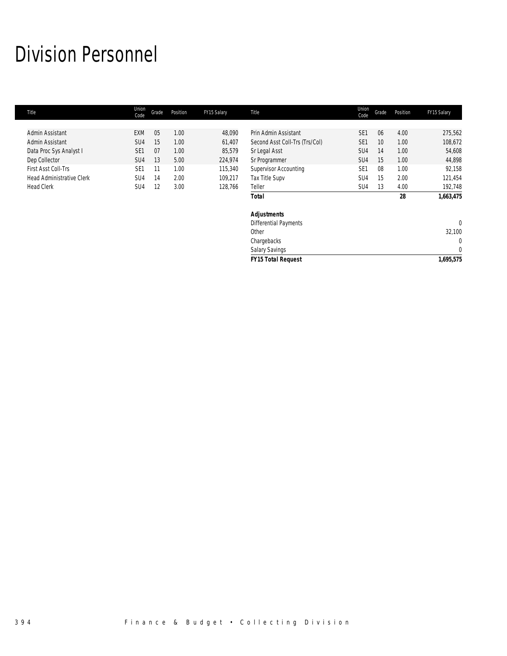## Division Personnel

| Title                            | Union<br>Code   | Grade | Position | FY15 Salary | Title                          | Union<br>Code   | Grade | Position | FY15 Salary |
|----------------------------------|-----------------|-------|----------|-------------|--------------------------------|-----------------|-------|----------|-------------|
|                                  |                 |       |          |             |                                |                 |       |          |             |
| Admin Assistant                  | <b>EXM</b>      | 05    | 1.00     | 48,090      | Prin Admin Assistant           | SE <sub>1</sub> | 06    | 4.00     | 275,562     |
| Admin Assistant                  | SU <sub>4</sub> | 15    | 1.00     | 61,407      | Second Asst Coll-Trs (Trs/Col) | SE <sub>1</sub> | 10    | 1.00     | 108,672     |
| Data Proc Sys Analyst I          | SE <sub>1</sub> | 07    | 1.00     | 85,579      | Sr Legal Asst                  | SU <sub>4</sub> | 14    | 1.00     | 54,608      |
| Dep Collector                    | SU <sub>4</sub> | 13    | 5.00     | 224,974     | Sr Programmer                  | SU <sub>4</sub> | 15    | 1.00     | 44,898      |
| First Asst Coll-Trs              | SE <sub>1</sub> | 11    | 1.00     | 115,340     | <b>Supervisor Accounting</b>   | SE <sub>1</sub> | 08    | 1.00     | 92,158      |
| <b>Head Administrative Clerk</b> | SU <sub>4</sub> | 14    | 2.00     | 109,217     | Tax Title Supv                 | SU <sub>4</sub> | 15    | 2.00     | 121,454     |
| <b>Head Clerk</b>                | SU4             | 12    | 3.00     | 128,766     | Teller                         | SU4             | 13    | 4.00     | 192,748     |
|                                  |                 |       |          |             | <b>Total</b>                   |                 |       | 28       | 1,663,475   |
|                                  |                 |       |          |             | <b>Adjustments</b>             |                 |       |          |             |
|                                  |                 |       |          |             | <b>Differential Payments</b>   |                 |       |          | $\theta$    |
|                                  |                 |       |          |             | Other                          |                 |       |          | 32,100      |
|                                  |                 |       |          |             | Chargebacks                    |                 |       |          | 0           |
|                                  |                 |       |          |             | Salary Savings                 |                 |       |          | $\mathbf 0$ |
|                                  |                 |       |          |             | <b>FY15 Total Request</b>      |                 |       |          | 1,695,575   |
|                                  |                 |       |          |             |                                |                 |       |          |             |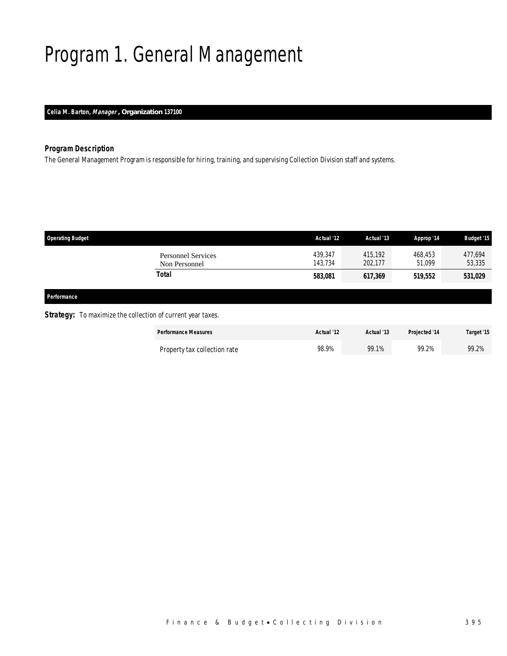# Program 1. General Management

### *Celia M. Barton, Manager , Organization 137100*

### *Program Description*

The General Management Program is responsible for hiring, training, and supervising Collection Division staff and systems.

| <b>Operating Budget</b>                                                                                                                                                                                                                                            |                                            | Actual '12         | Actual '13         | Approp '14        | <b>Budget '15</b> |
|--------------------------------------------------------------------------------------------------------------------------------------------------------------------------------------------------------------------------------------------------------------------|--------------------------------------------|--------------------|--------------------|-------------------|-------------------|
|                                                                                                                                                                                                                                                                    | <b>Personnel Services</b><br>Non Personnel | 439,347<br>143,734 | 415,192<br>202,177 | 468,453<br>51,099 | 477,694<br>53,335 |
|                                                                                                                                                                                                                                                                    | Total                                      | 583,081            | 617,369            | 519,552           | 531,029           |
|                                                                                                                                                                                                                                                                    |                                            |                    |                    |                   |                   |
| Performance                                                                                                                                                                                                                                                        |                                            |                    |                    |                   |                   |
| $C$ is a set of $\mathbb{R}^n$ . The set of $\mathbb{R}^n$ is the set of $\mathbb{R}^n$ is the set of $\mathbb{R}^n$ is the set of $\mathbb{R}^n$ is the set of $\mathbb{R}^n$ is the set of $\mathbb{R}^n$ is the set of $\mathbb{R}^n$ is the set of $\mathbb{R$ |                                            |                    |                    |                   |                   |

#### **Strategy:** To maximize the collection of current year taxes.

| <b>Performance Measures</b>  | Actual '12 | Actual '13 | Projected '14 | Target '15 |
|------------------------------|------------|------------|---------------|------------|
| Property tax collection rate | 98.9%      | 99.1%      | 99.2%         | 99.2%      |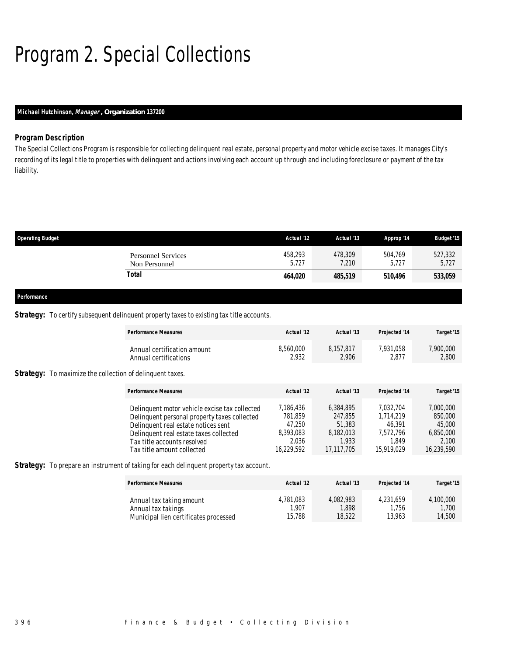# Program 2. Special Collections

### *Michael Hutchinson, Manager , Organization 137200*

### *Program Description*

The Special Collections Program is responsible for collecting delinquent real estate, personal property and motor vehicle excise taxes. It manages City's recording of its legal title to properties with delinquent and actions involving each account up through and including foreclosure or payment of the tax liability.

| <b>Operating Budget</b> |                                            | Actual '12       | Actual '13       | Approp '14       | <b>Budget '15</b> |
|-------------------------|--------------------------------------------|------------------|------------------|------------------|-------------------|
|                         | <b>Personnel Services</b><br>Non Personnel | 458,293<br>5,727 | 478,309<br>7,210 | 504,769<br>5,727 | 527,332<br>5,727  |
|                         | Total                                      | 464,020          | 485,519          | 510,496          | 533,059           |
| Performance             |                                            |                  |                  |                  |                   |

### **Strategy:** To certify subsequent delinquent property taxes to existing tax title accounts.

|                                                                  | <b>Performance Measures</b>                                                                                                                                                                                                                 | Actual '12                                                         | Actual '13                                                         | Projected '14                                                        | Target '15                                                         |
|------------------------------------------------------------------|---------------------------------------------------------------------------------------------------------------------------------------------------------------------------------------------------------------------------------------------|--------------------------------------------------------------------|--------------------------------------------------------------------|----------------------------------------------------------------------|--------------------------------------------------------------------|
|                                                                  | Annual certification amount<br>Annual certifications                                                                                                                                                                                        | 8,560,000<br>2,932                                                 | 8.157.817<br>2.906                                                 | 7.931.058<br>2.877                                                   | 7,900,000<br>2,800                                                 |
| <b>Strategy:</b> To maximize the collection of delinquent taxes. |                                                                                                                                                                                                                                             |                                                                    |                                                                    |                                                                      |                                                                    |
|                                                                  | <b>Performance Measures</b>                                                                                                                                                                                                                 | Actual '12                                                         | Actual '13                                                         | Projected '14                                                        | Target '15                                                         |
|                                                                  | Delinquent motor vehicle excise tax collected<br>Delinquent personal property taxes collected<br>Delinquent real estate notices sent<br>Delinquent real estate taxes collected<br>Tax title accounts resolved<br>Tax title amount collected | 7,186,436<br>781.859<br>47.250<br>8,393,083<br>2,036<br>16,229,592 | 6.384.895<br>247.855<br>51,383<br>8,182,013<br>1.933<br>17,117,705 | 7.032.704<br>1.714.219<br>46.391<br>7,572,796<br>1.849<br>15,919,029 | 7,000,000<br>850,000<br>45,000<br>6,850,000<br>2,100<br>16,239,590 |

Strategy: To prepare an instrument of taking for each delinquent property tax account.

| <b>Performance Measures</b>           | Actual '12 | Actual '13 | Projected '14 | Target '15 |
|---------------------------------------|------------|------------|---------------|------------|
| Annual tax taking amount              | 4,781,083  | 4.082.983  | 4.231.659     | 4,100,000  |
| Annual tax takings                    | 1.907      | 1.898      | .756          | 1.700      |
| Municipal lien certificates processed | 15,788     | 18.522     | 13.963        | 14,500     |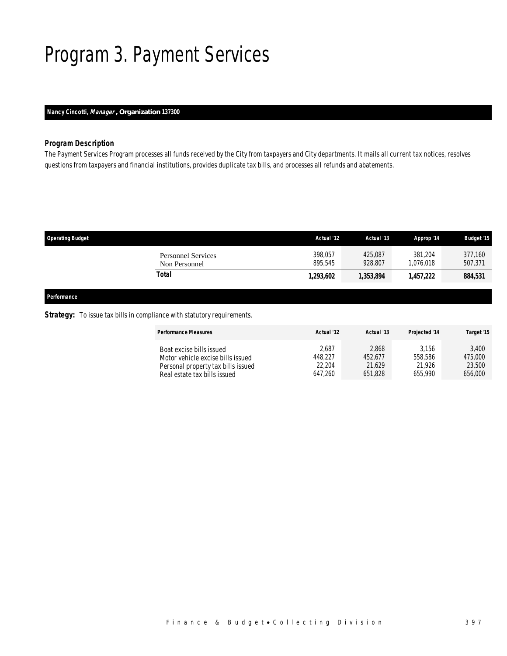## Program 3. Payment Services

### *Nancy Cincotti, Manager , Organization 137300*

### *Program Description*

The Payment Services Program processes all funds received by the City from taxpayers and City departments. It mails all current tax notices, resolves questions from taxpayers and financial institutions, provides duplicate tax bills, and processes all refunds and abatements.

| <b>Operating Budget</b>                    | Actual '12         | Actual '13         | Approp '14           | <b>Budget '15</b>  |
|--------------------------------------------|--------------------|--------------------|----------------------|--------------------|
| <b>Personnel Services</b><br>Non Personnel | 398,057<br>895.545 | 425.087<br>928.807 | 381.204<br>1.076.018 | 377,160<br>507,371 |
| Total                                      | 1,293,602          | 1,353,894          | 1,457,222            | 884,531            |
|                                            |                    |                    |                      |                    |

### *Performance*

### **Strategy:** To issue tax bills in compliance with statutory requirements.

| <b>Performance Measures</b>        | Actual '12 | Actual '13 | Projected '14 | Target '15 |
|------------------------------------|------------|------------|---------------|------------|
| Boat excise bills issued           | 2,687      | 2,868      | 3.156         | 3.400      |
| Motor vehicle excise bills issued  | 448.227    | 452.677    | 558,586       | 475,000    |
| Personal property tax bills issued | 22,204     | 21.629     | 21.926        | 23,500     |
| Real estate tax bills issued       | 647.260    | 651.828    | 655.990       | 656,000    |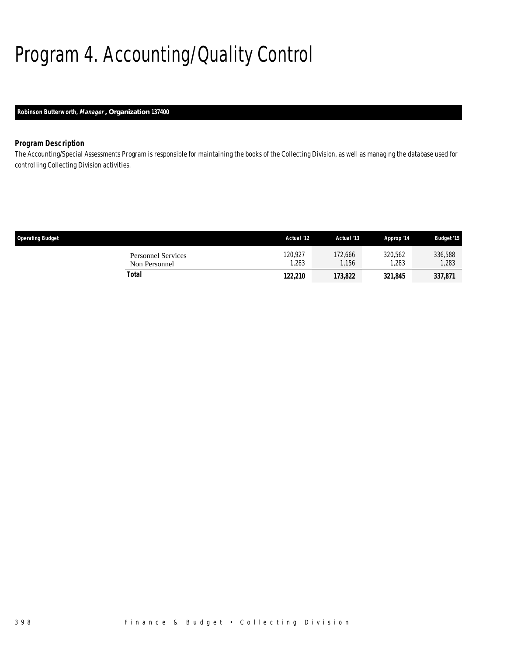# Program 4. Accounting/Quality Control

### *Robinson Butterworth, Manager , Organization 137400*

### *Program Description*

The Accounting/Special Assessments Program is responsible for maintaining the books of the Collecting Division, as well as managing the database used for controlling Collecting Division activities.

| <b>Operating Budget</b>                    | Actual '12      | Actual '13       | Approp '14       | <b>Budget '15</b> |
|--------------------------------------------|-----------------|------------------|------------------|-------------------|
| <b>Personnel Services</b><br>Non Personnel | 120,927<br>,283 | 172,666<br>1.156 | 320,562<br>1,283 | 336,588<br>1,283  |
| Total                                      | 122,210         | 173.822          | 321,845          | 337,871           |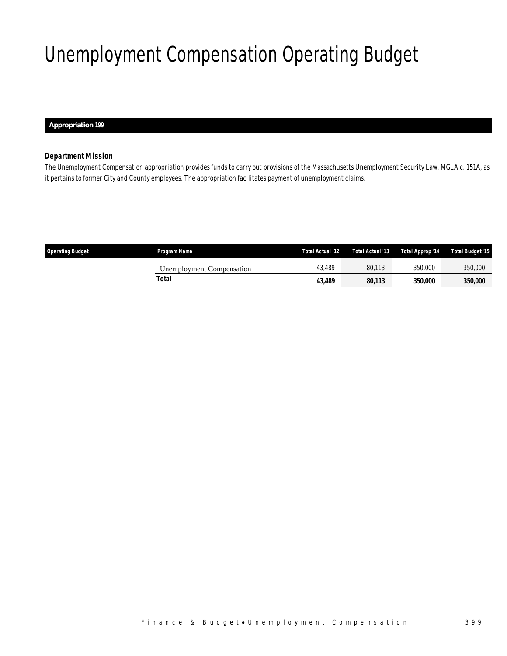# Unemployment Compensation Operating Budget

 *Appropriation 199* 

### *Department Mission*

The Unemployment Compensation appropriation provides funds to carry out provisions of the Massachusetts Unemployment Security Law, MGLA c. 151A, as it pertains to former City and County employees. The appropriation facilitates payment of unemployment claims.

| <b>Operating Budget</b> | Program Name              | Total Actual '12 | Total Actual '13 | Total Approp '14      | <b>Total Budget '15</b> |
|-------------------------|---------------------------|------------------|------------------|-----------------------|-------------------------|
|                         | Unemployment Compensation | 43.489           | 80.113           | 350,000               | 350,000                 |
|                         | Total                     | 43,489           | 80,113           | <i><b>350,000</b></i> | <i>350,000</i>          |